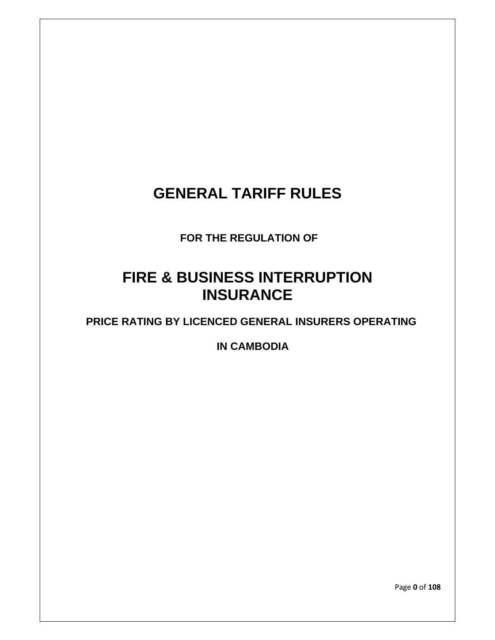# **GENERAL TARIFF RULES**

 **FOR THE REGULATION OF** 

# **FIRE & BUSINESS INTERRUPTION INSURANCE**

**PRICE RATING BY LICENCED GENERAL INSURERS OPERATING** 

**IN CAMBODIA** 

Page **0** of **108**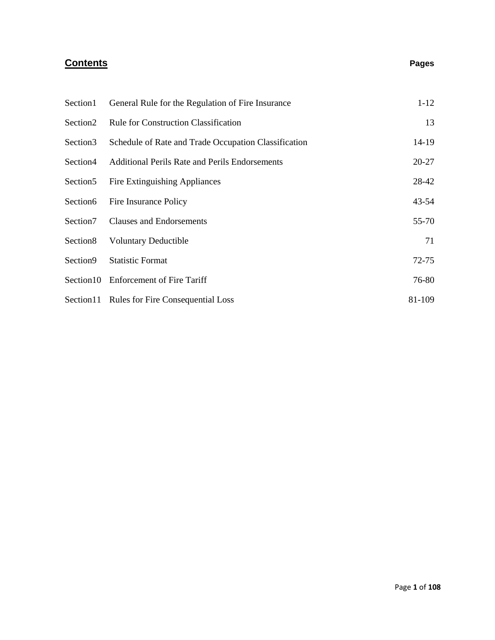# **Contents Pages**

| Section1             | General Rule for the Regulation of Fire Insurance    | $1 - 12$  |
|----------------------|------------------------------------------------------|-----------|
| Section <sub>2</sub> | <b>Rule for Construction Classification</b>          | 13        |
| Section <sub>3</sub> | Schedule of Rate and Trade Occupation Classification | 14-19     |
| Section4             | Additional Perils Rate and Perils Endorsements       | $20 - 27$ |
| Section <sub>5</sub> | Fire Extinguishing Appliances                        | 28-42     |
| Section6             | Fire Insurance Policy                                | $43 - 54$ |
| Section7             | <b>Clauses and Endorsements</b>                      | 55-70     |
| Section <sub>8</sub> | <b>Voluntary Deductible</b>                          | 71        |
| Section9             | <b>Statistic Format</b>                              | $72 - 75$ |
| Section10            | <b>Enforcement of Fire Tariff</b>                    | 76-80     |
|                      | Section 11 Rules for Fire Consequential Loss         | 81-109    |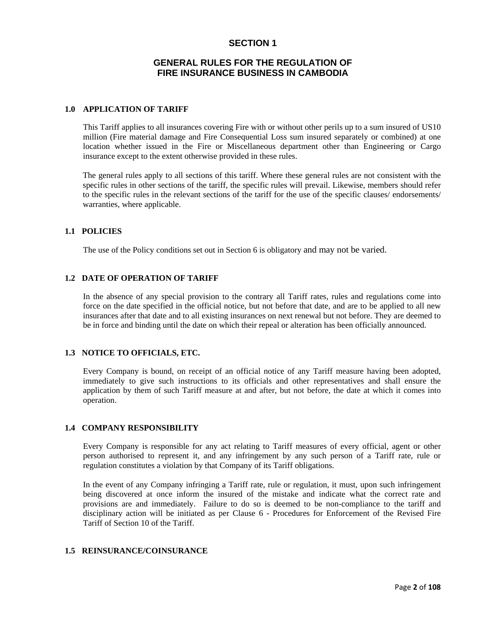# **SECTION 1**

# **GENERAL RULES FOR THE REGULATION OF FIRE INSURANCE BUSINESS IN CAMBODIA**

# **1.0 APPLICATION OF TARIFF**

This Tariff applies to all insurances covering Fire with or without other perils up to a sum insured of US10 million (Fire material damage and Fire Consequential Loss sum insured separately or combined) at one location whether issued in the Fire or Miscellaneous department other than Engineering or Cargo insurance except to the extent otherwise provided in these rules.

The general rules apply to all sections of this tariff. Where these general rules are not consistent with the specific rules in other sections of the tariff, the specific rules will prevail. Likewise, members should refer to the specific rules in the relevant sections of the tariff for the use of the specific clauses/ endorsements/ warranties, where applicable.

# **1.1 POLICIES**

The use of the Policy conditions set out in Section 6 is obligatory and may not be varied.

# **1.2 DATE OF OPERATION OF TARIFF**

In the absence of any special provision to the contrary all Tariff rates, rules and regulations come into force on the date specified in the official notice, but not before that date, and are to be applied to all new insurances after that date and to all existing insurances on next renewal but not before. They are deemed to be in force and binding until the date on which their repeal or alteration has been officially announced.

# **1.3 NOTICE TO OFFICIALS, ETC.**

Every Company is bound, on receipt of an official notice of any Tariff measure having been adopted, immediately to give such instructions to its officials and other representatives and shall ensure the application by them of such Tariff measure at and after, but not before, the date at which it comes into operation.

# **1.4 COMPANY RESPONSIBILITY**

Every Company is responsible for any act relating to Tariff measures of every official, agent or other person authorised to represent it, and any infringement by any such person of a Tariff rate, rule or regulation constitutes a violation by that Company of its Tariff obligations.

In the event of any Company infringing a Tariff rate, rule or regulation, it must, upon such infringement being discovered at once inform the insured of the mistake and indicate what the correct rate and provisions are and immediately. Failure to do so is deemed to be non-compliance to the tariff and disciplinary action will be initiated as per Clause 6 - Procedures for Enforcement of the Revised Fire Tariff of Section 10 of the Tariff.

# **1.5 REINSURANCE/COINSURANCE**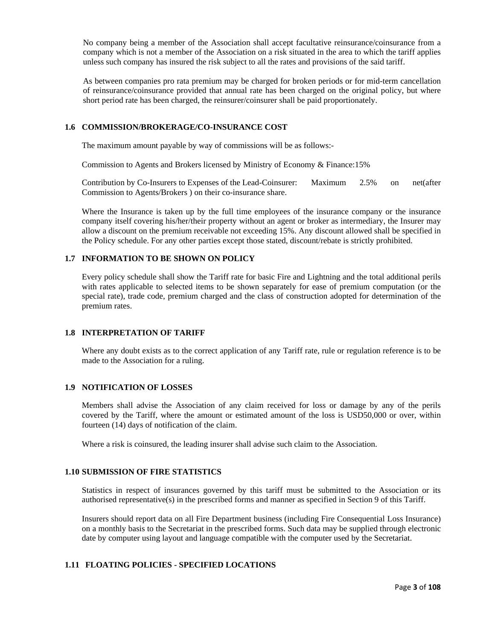No company being a member of the Association shall accept facultative reinsurance/coinsurance from a company which is not a member of the Association on a risk situated in the area to which the tariff applies unless such company has insured the risk subject to all the rates and provisions of the said tariff.

As between companies pro rata premium may be charged for broken periods or for mid-term cancellation of reinsurance/coinsurance provided that annual rate has been charged on the original policy, but where short period rate has been charged, the reinsurer/coinsurer shall be paid proportionately.

# **1.6 COMMISSION/BROKERAGE/CO-INSURANCE COST**

The maximum amount payable by way of commissions will be as follows:-

Commission to Agents and Brokers licensed by Ministry of Economy & Finance:15%

Contribution by Co-Insurers to Expenses of the Lead-Coinsurer: Maximum 2.5% on net(after Commission to Agents/Brokers ) on their co-insurance share.

Where the Insurance is taken up by the full time employees of the insurance company or the insurance company itself covering his/her/their property without an agent or broker as intermediary, the Insurer may allow a discount on the premium receivable not exceeding 15%. Any discount allowed shall be specified in the Policy schedule. For any other parties except those stated, discount/rebate is strictly prohibited.

# **1.7 INFORMATION TO BE SHOWN ON POLICY**

Every policy schedule shall show the Tariff rate for basic Fire and Lightning and the total additional perils with rates applicable to selected items to be shown separately for ease of premium computation (or the special rate), trade code, premium charged and the class of construction adopted for determination of the premium rates.

# **1.8 INTERPRETATION OF TARIFF**

Where any doubt exists as to the correct application of any Tariff rate, rule or regulation reference is to be made to the Association for a ruling.

# **1.9 NOTIFICATION OF LOSSES**

Members shall advise the Association of any claim received for loss or damage by any of the perils covered by the Tariff, where the amount or estimated amount of the loss is USD50,000 or over, within fourteen (14) days of notification of the claim.

Where a risk is coinsured, the leading insurer shall advise such claim to the Association.

# **1.10 SUBMISSION OF FIRE STATISTICS**

Statistics in respect of insurances governed by this tariff must be submitted to the Association or its authorised representative(s) in the prescribed forms and manner as specified in Section 9 of this Tariff.

Insurers should report data on all Fire Department business (including Fire Consequential Loss Insurance) on a monthly basis to the Secretariat in the prescribed forms. Such data may be supplied through electronic date by computer using layout and language compatible with the computer used by the Secretariat.

# **1.11 FLOATING POLICIES - SPECIFIED LOCATIONS**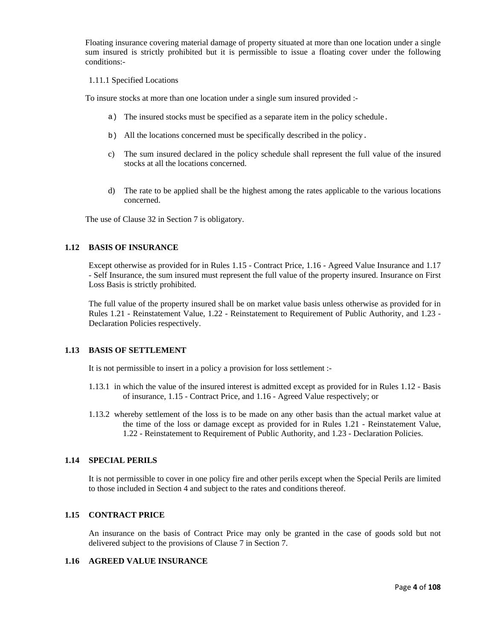Floating insurance covering material damage of property situated at more than one location under a single sum insured is strictly prohibited but it is permissible to issue a floating cover under the following conditions:-

#### 1.11.1 Specified Locations

To insure stocks at more than one location under a single sum insured provided :-

- a) The insured stocks must be specified as a separate item in the policy schedule.
- b) All the locations concerned must be specifically described in the policy.
- c) The sum insured declared in the policy schedule shall represent the full value of the insured stocks at all the locations concerned.
- d) The rate to be applied shall be the highest among the rates applicable to the various locations concerned.

The use of Clause 32 in Section 7 is obligatory.

# **1.12 BASIS OF INSURANCE**

Except otherwise as provided for in Rules 1.15 - Contract Price, 1.16 - Agreed Value Insurance and 1.17 - Self Insurance, the sum insured must represent the full value of the property insured. Insurance on First Loss Basis is strictly prohibited.

The full value of the property insured shall be on market value basis unless otherwise as provided for in Rules 1.21 - Reinstatement Value, 1.22 - Reinstatement to Requirement of Public Authority, and 1.23 - Declaration Policies respectively.

#### **1.13 BASIS OF SETTLEMENT**

It is not permissible to insert in a policy a provision for loss settlement :-

- 1.13.1 in which the value of the insured interest is admitted except as provided for in Rules 1.12 Basis of insurance, 1.15 - Contract Price, and 1.16 - Agreed Value respectively; or
- 1.13.2 whereby settlement of the loss is to be made on any other basis than the actual market value at the time of the loss or damage except as provided for in Rules 1.21 - Reinstatement Value, 1.22 - Reinstatement to Requirement of Public Authority, and 1.23 - Declaration Policies.

# **1.14 SPECIAL PERILS**

It is not permissible to cover in one policy fire and other perils except when the Special Perils are limited to those included in Section 4 and subject to the rates and conditions thereof.

# **1.15 CONTRACT PRICE**

An insurance on the basis of Contract Price may only be granted in the case of goods sold but not delivered subject to the provisions of Clause 7 in Section 7.

# **1.16 AGREED VALUE INSURANCE**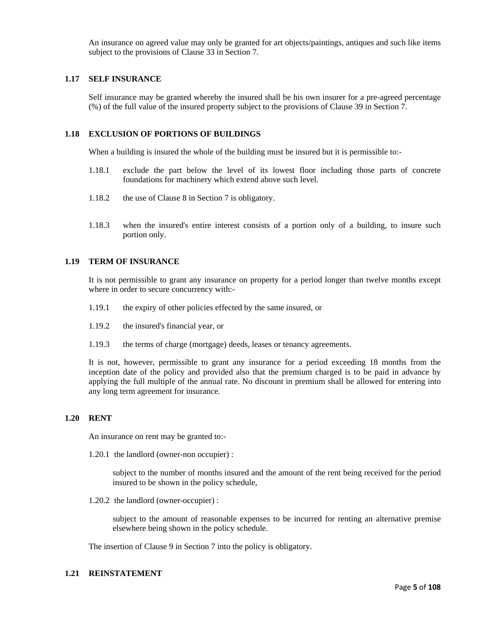An insurance on agreed value may only be granted for art objects/paintings, antiques and such like items subject to the provisions of Clause 33 in Section 7.

# **1.17 SELF INSURANCE**

Self insurance may be granted whereby the insured shall be his own insurer for a pre-agreed percentage (%) of the full value of the insured property subject to the provisions of Clause 39 in Section 7.

# **1.18 EXCLUSION OF PORTIONS OF BUILDINGS**

When a building is insured the whole of the building must be insured but it is permissible to:-

- 1.18.1 exclude the part below the level of its lowest floor including those parts of concrete foundations for machinery which extend above such level.
- 1.18.2 the use of Clause 8 in Section 7 is obligatory.
- 1.18.3 when the insured's entire interest consists of a portion only of a building, to insure such portion only.

#### **1.19 TERM OF INSURANCE**

It is not permissible to grant any insurance on property for a period longer than twelve months except where in order to secure concurrency with:-

- 1.19.1 the expiry of other policies effected by the same insured, or
- 1.19.2 the insured's financial year, or
- 1.19.3 the terms of charge (mortgage) deeds, leases or tenancy agreements.

It is not, however, permissible to grant any insurance for a period exceeding 18 months from the inception date of the policy and provided also that the premium charged is to be paid in advance by applying the full multiple of the annual rate. No discount in premium shall be allowed for entering into any long term agreement for insurance.

## **1.20 RENT**

An insurance on rent may be granted to:-

1.20.1 the landlord (owner-non occupier) :

subject to the number of months insured and the amount of the rent being received for the period insured to be shown in the policy schedule,

1.20.2 the landlord (owner-occupier) :

subject to the amount of reasonable expenses to be incurred for renting an alternative premise elsewhere being shown in the policy schedule.

The insertion of Clause 9 in Section 7 into the policy is obligatory.

# **1.21 REINSTATEMENT**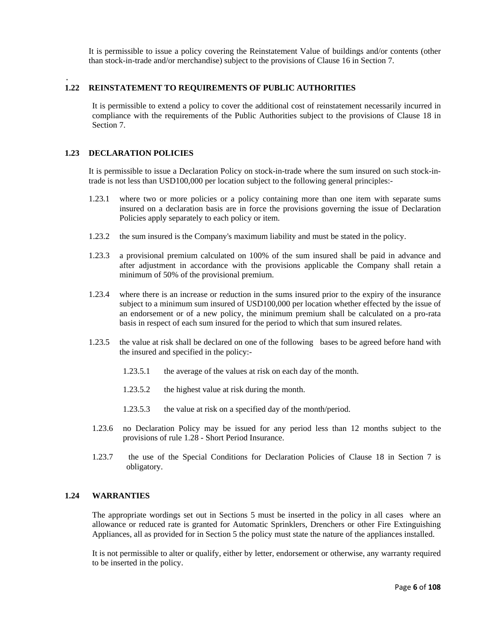It is permissible to issue a policy covering the Reinstatement Value of buildings and/or contents (other than stock-in-trade and/or merchandise) subject to the provisions of Clause 16 in Section 7.

#### . **1.22 REINSTATEMENT TO REQUIREMENTS OF PUBLIC AUTHORITIES**

It is permissible to extend a policy to cover the additional cost of reinstatement necessarily incurred in compliance with the requirements of the Public Authorities subject to the provisions of Clause 18 in Section 7.

# **1.23 DECLARATION POLICIES**

It is permissible to issue a Declaration Policy on stock-in-trade where the sum insured on such stock-intrade is not less than USD100,000 per location subject to the following general principles:-

- 1.23.1 where two or more policies or a policy containing more than one item with separate sums insured on a declaration basis are in force the provisions governing the issue of Declaration Policies apply separately to each policy or item.
- 1.23.2 the sum insured is the Company's maximum liability and must be stated in the policy.
- 1.23.3 a provisional premium calculated on 100% of the sum insured shall be paid in advance and after adjustment in accordance with the provisions applicable the Company shall retain a minimum of 50% of the provisional premium.
- 1.23.4 where there is an increase or reduction in the sums insured prior to the expiry of the insurance subject to a minimum sum insured of USD100,000 per location whether effected by the issue of an endorsement or of a new policy, the minimum premium shall be calculated on a pro-rata basis in respect of each sum insured for the period to which that sum insured relates.
- 1.23.5 the value at risk shall be declared on one of the following bases to be agreed before hand with the insured and specified in the policy:-
	- 1.23.5.1 the average of the values at risk on each day of the month.
	- 1.23.5.2 the highest value at risk during the month.
	- 1.23.5.3 the value at risk on a specified day of the month/period.
- 1.23.6 no Declaration Policy may be issued for any period less than 12 months subject to the provisions of rule 1.28 - Short Period Insurance.
- 1.23.7 the use of the Special Conditions for Declaration Policies of Clause 18 in Section 7 is obligatory.

# **1.24 WARRANTIES**

The appropriate wordings set out in Sections 5 must be inserted in the policy in all cases where an allowance or reduced rate is granted for Automatic Sprinklers, Drenchers or other Fire Extinguishing Appliances, all as provided for in Section 5 the policy must state the nature of the appliances installed.

It is not permissible to alter or qualify, either by letter, endorsement or otherwise, any warranty required to be inserted in the policy.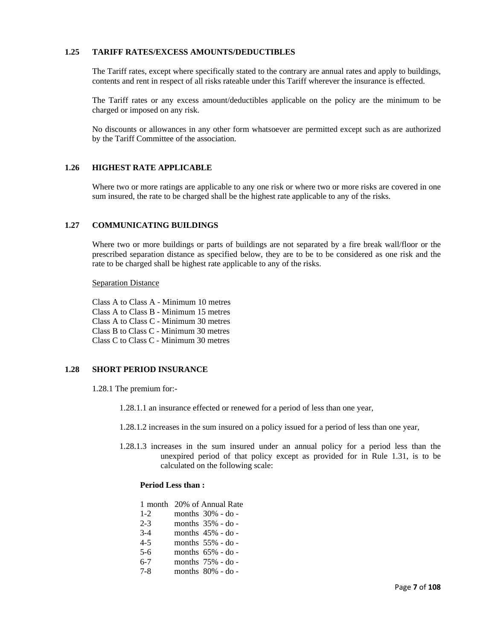# **1.25 TARIFF RATES/EXCESS AMOUNTS/DEDUCTIBLES**

The Tariff rates, except where specifically stated to the contrary are annual rates and apply to buildings, contents and rent in respect of all risks rateable under this Tariff wherever the insurance is effected.

The Tariff rates or any excess amount/deductibles applicable on the policy are the minimum to be charged or imposed on any risk.

No discounts or allowances in any other form whatsoever are permitted except such as are authorized by the Tariff Committee of the association.

# **1.26 HIGHEST RATE APPLICABLE**

Where two or more ratings are applicable to any one risk or where two or more risks are covered in one sum insured, the rate to be charged shall be the highest rate applicable to any of the risks.

# **1.27 COMMUNICATING BUILDINGS**

Where two or more buildings or parts of buildings are not separated by a fire break wall/floor or the prescribed separation distance as specified below, they are to be to be considered as one risk and the rate to be charged shall be highest rate applicable to any of the risks.

Separation Distance

 Class A to Class A - Minimum 10 metres Class A to Class B - Minimum 15 metres Class A to Class C - Minimum 30 metres Class B to Class C - Minimum 30 metres Class C to Class C - Minimum 30 metres

# **1.28 SHORT PERIOD INSURANCE**

1.28.1 The premium for:-

- 1.28.1.1 an insurance effected or renewed for a period of less than one year,
- 1.28.1.2 increases in the sum insured on a policy issued for a period of less than one year,
- 1.28.1.3 increases in the sum insured under an annual policy for a period less than the unexpired period of that policy except as provided for in Rule 1.31, is to be calculated on the following scale:

# **Period Less than :**

|         | 1 month 20% of Annual Rate |  |
|---------|----------------------------|--|
| $1-2$   | months $30\%$ - do -       |  |
| $2 - 3$ | months 35% - do -          |  |
| $3-4$   | months $45\%$ - do -       |  |
| $4 - 5$ | months $55\%$ - do -       |  |
| $5-6$   | months 65% - do -          |  |
| $6-7$   | months 75% - do -          |  |
| $7 - 8$ | months $80\%$ - do -       |  |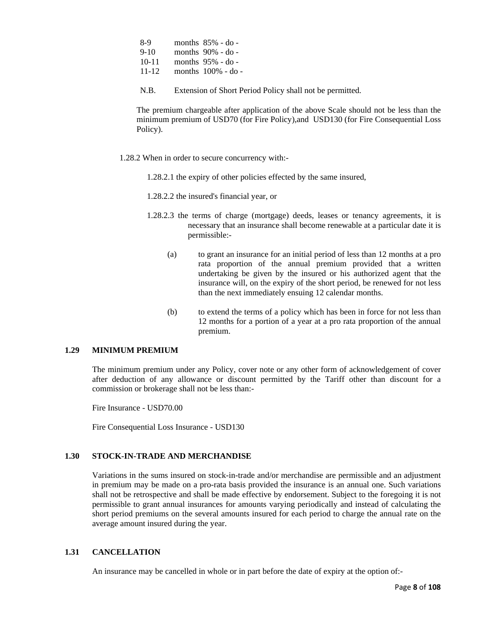| 8-9       | months $85\%$ - do -  |
|-----------|-----------------------|
| $9-10$    | months $90\%$ - do -  |
| $10 - 11$ | months $95\%$ - do -  |
| $11 - 12$ | months $100\%$ - do - |

N.B. Extension of Short Period Policy shall not be permitted.

The premium chargeable after application of the above Scale should not be less than the minimum premium of USD70 (for Fire Policy),and USD130 (for Fire Consequential Loss Policy).

- 1.28.2 When in order to secure concurrency with:-
	- 1.28.2.1 the expiry of other policies effected by the same insured,
	- 1.28.2.2 the insured's financial year, or
	- 1.28.2.3 the terms of charge (mortgage) deeds, leases or tenancy agreements, it is necessary that an insurance shall become renewable at a particular date it is permissible:-
		- (a) to grant an insurance for an initial period of less than 12 months at a pro rata proportion of the annual premium provided that a written undertaking be given by the insured or his authorized agent that the insurance will, on the expiry of the short period, be renewed for not less than the next immediately ensuing 12 calendar months.
		- (b) to extend the terms of a policy which has been in force for not less than 12 months for a portion of a year at a pro rata proportion of the annual premium.

# **1.29 MINIMUM PREMIUM**

The minimum premium under any Policy, cover note or any other form of acknowledgement of cover after deduction of any allowance or discount permitted by the Tariff other than discount for a commission or brokerage shall not be less than:-

Fire Insurance - USD70.00

Fire Consequential Loss Insurance - USD130

# **1.30 STOCK-IN-TRADE AND MERCHANDISE**

Variations in the sums insured on stock-in-trade and/or merchandise are permissible and an adjustment in premium may be made on a pro-rata basis provided the insurance is an annual one. Such variations shall not be retrospective and shall be made effective by endorsement. Subject to the foregoing it is not permissible to grant annual insurances for amounts varying periodically and instead of calculating the short period premiums on the several amounts insured for each period to charge the annual rate on the average amount insured during the year.

# **1.31 CANCELLATION**

An insurance may be cancelled in whole or in part before the date of expiry at the option of:-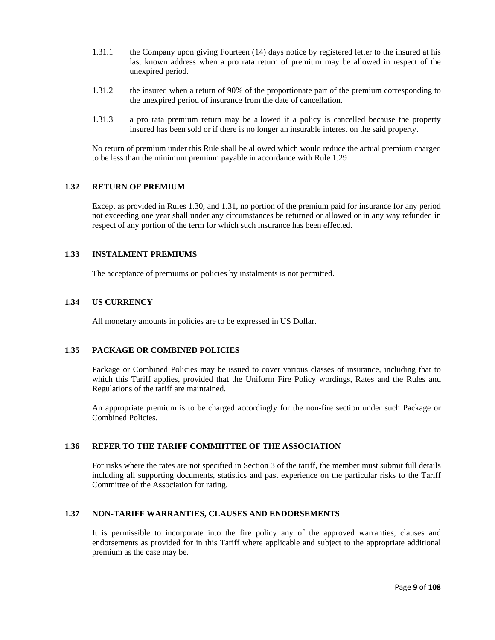- 1.31.1 the Company upon giving Fourteen (14) days notice by registered letter to the insured at his last known address when a pro rata return of premium may be allowed in respect of the unexpired period.
- 1.31.2 the insured when a return of 90% of the proportionate part of the premium corresponding to the unexpired period of insurance from the date of cancellation.
- 1.31.3 a pro rata premium return may be allowed if a policy is cancelled because the property insured has been sold or if there is no longer an insurable interest on the said property.

No return of premium under this Rule shall be allowed which would reduce the actual premium charged to be less than the minimum premium payable in accordance with Rule 1.29

# **1.32 RETURN OF PREMIUM**

Except as provided in Rules 1.30, and 1.31, no portion of the premium paid for insurance for any period not exceeding one year shall under any circumstances be returned or allowed or in any way refunded in respect of any portion of the term for which such insurance has been effected.

# **1.33 INSTALMENT PREMIUMS**

The acceptance of premiums on policies by instalments is not permitted.

# **1.34 US CURRENCY**

All monetary amounts in policies are to be expressed in US Dollar.

# **1.35 PACKAGE OR COMBINED POLICIES**

Package or Combined Policies may be issued to cover various classes of insurance, including that to which this Tariff applies, provided that the Uniform Fire Policy wordings, Rates and the Rules and Regulations of the tariff are maintained.

An appropriate premium is to be charged accordingly for the non-fire section under such Package or Combined Policies.

# **1.36 REFER TO THE TARIFF COMMIITTEE OF THE ASSOCIATION**

For risks where the rates are not specified in Section 3 of the tariff, the member must submit full details including all supporting documents, statistics and past experience on the particular risks to the Tariff Committee of the Association for rating.

# **1.37 NON-TARIFF WARRANTIES, CLAUSES AND ENDORSEMENTS**

It is permissible to incorporate into the fire policy any of the approved warranties, clauses and endorsements as provided for in this Tariff where applicable and subject to the appropriate additional premium as the case may be.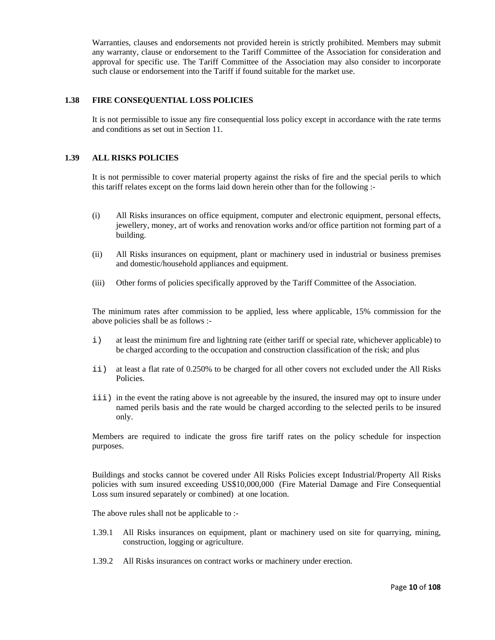Warranties, clauses and endorsements not provided herein is strictly prohibited. Members may submit any warranty, clause or endorsement to the Tariff Committee of the Association for consideration and approval for specific use. The Tariff Committee of the Association may also consider to incorporate such clause or endorsement into the Tariff if found suitable for the market use.

# **1.38 FIRE CONSEQUENTIAL LOSS POLICIES**

It is not permissible to issue any fire consequential loss policy except in accordance with the rate terms and conditions as set out in Section 11.

# **1.39 ALL RISKS POLICIES**

It is not permissible to cover material property against the risks of fire and the special perils to which this tariff relates except on the forms laid down herein other than for the following :-

- (i) All Risks insurances on office equipment, computer and electronic equipment, personal effects, jewellery, money, art of works and renovation works and/or office partition not forming part of a building.
- (ii) All Risks insurances on equipment, plant or machinery used in industrial or business premises and domestic/household appliances and equipment.
- (iii) Other forms of policies specifically approved by the Tariff Committee of the Association.

The minimum rates after commission to be applied, less where applicable, 15% commission for the above policies shall be as follows :-

- i) at least the minimum fire and lightning rate (either tariff or special rate, whichever applicable) to be charged according to the occupation and construction classification of the risk; and plus
- ii) at least a flat rate of 0.250% to be charged for all other covers not excluded under the All Risks Policies.
- iii) in the event the rating above is not agreeable by the insured, the insured may opt to insure under named perils basis and the rate would be charged according to the selected perils to be insured only.

Members are required to indicate the gross fire tariff rates on the policy schedule for inspection purposes.

Buildings and stocks cannot be covered under All Risks Policies except Industrial/Property All Risks policies with sum insured exceeding US\$10,000,000 (Fire Material Damage and Fire Consequential Loss sum insured separately or combined) at one location.

The above rules shall not be applicable to :-

- 1.39.1 All Risks insurances on equipment, plant or machinery used on site for quarrying, mining, construction, logging or agriculture.
- 1.39.2 All Risks insurances on contract works or machinery under erection.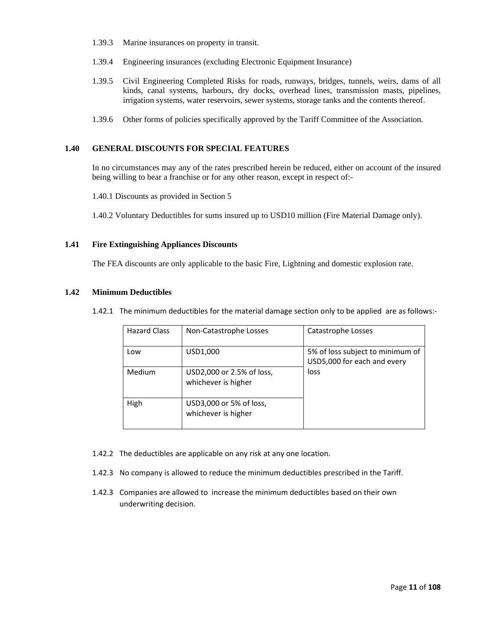- 1.39.3 Marine insurances on property in transit.
- 1.39.4 Engineering insurances (excluding Electronic Equipment Insurance)
- 1.39.5 Civil Engineering Completed Risks for roads, runways, bridges, tunnels, weirs, dams of all kinds, canal systems, harbours, dry docks, overhead lines, transmission masts, pipelines, irrigation systems, water reservoirs, sewer systems, storage tanks and the contents thereof.
- 1.39.6 Other forms of policies specifically approved by the Tariff Committee of the Association.

# **1.40 GENERAL DISCOUNTS FOR SPECIAL FEATURES**

In no circumstances may any of the rates prescribed herein be reduced, either on account of the insured being willing to bear a franchise or for any other reason, except in respect of:-

1.40.1 Discounts as provided in Section 5

1.40.2 Voluntary Deductibles for sums insured up to USD10 million (Fire Material Damage only).

# **1.41 Fire Extinguishing Appliances Discounts**

The FEA discounts are only applicable to the basic Fire, Lightning and domestic explosion rate.

#### **1.42 Minimum Deductibles**

1.42.1 The minimum deductibles for the material damage section only to be applied are as follows:‐

| <b>Hazard Class</b> | Non-Catastrophe Losses                           | Catastrophe Losses                                              |
|---------------------|--------------------------------------------------|-----------------------------------------------------------------|
| Low                 | USD1,000                                         | 5% of loss subject to minimum of<br>USD5,000 for each and every |
| Medium              | USD2,000 or 2.5% of loss,<br>whichever is higher | loss                                                            |
| High                | USD3,000 or 5% of loss,<br>whichever is higher   |                                                                 |

- 1.42.2 The deductibles are applicable on any risk at any one location.
- 1.42.3 No company is allowed to reduce the minimum deductibles prescribed in the Tariff.
- 1.42.3 Companies are allowed to increase the minimum deductibles based on their own underwriting decision.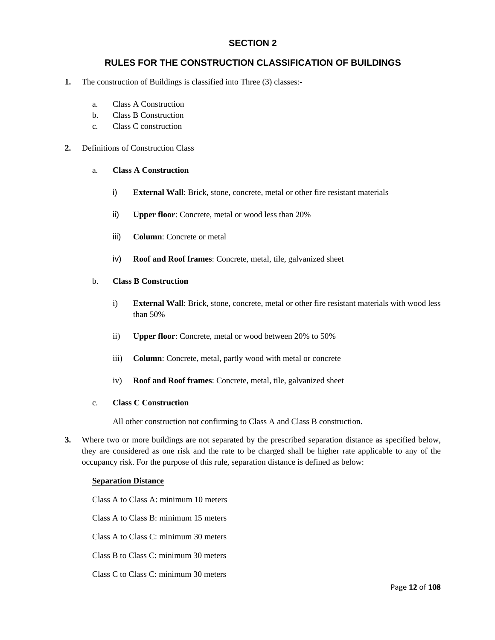# **SECTION 2**

# **RULES FOR THE CONSTRUCTION CLASSIFICATION OF BUILDINGS**

- **1.** The construction of Buildings is classified into Three (3) classes:
	- a. Class A Construction
	- b. Class B Construction
	- c. Class C construction

# **2.** Definitions of Construction Class

#### a. **Class A Construction**

- i) **External Wall**: Brick, stone, concrete, metal or other fire resistant materials
- ii) **Upper floor**: Concrete, metal or wood less than 20%
- iii) **Column**: Concrete or metal
- iv) **Roof and Roof frames**: Concrete, metal, tile, galvanized sheet

# b. **Class B Construction**

- i) **External Wall**: Brick, stone, concrete, metal or other fire resistant materials with wood less than 50%
- ii) **Upper floor**: Concrete, metal or wood between 20% to 50%
- iii) **Column**: Concrete, metal, partly wood with metal or concrete
- iv) **Roof and Roof frames**: Concrete, metal, tile, galvanized sheet

# c. **Class C Construction**

All other construction not confirming to Class A and Class B construction.

**3.** Where two or more buildings are not separated by the prescribed separation distance as specified below, they are considered as one risk and the rate to be charged shall be higher rate applicable to any of the occupancy risk. For the purpose of this rule, separation distance is defined as below:

# **Separation Distance**

Class A to Class A: minimum 10 meters

Class A to Class B: minimum 15 meters

Class A to Class C: minimum 30 meters

Class B to Class C: minimum 30 meters

Class C to Class C: minimum 30 meters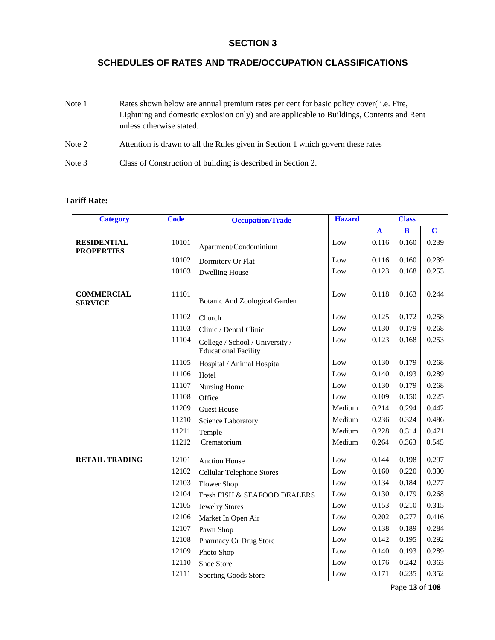# **SECTION 3**

# **SCHEDULES OF RATES AND TRADE/OCCUPATION CLASSIFICATIONS**

| Note 1 | Rates shown below are annual premium rates per cent for basic policy cover (i.e. Fire,                                |
|--------|-----------------------------------------------------------------------------------------------------------------------|
|        | Lightning and domestic explosion only) and are applicable to Buildings, Contents and Rent<br>unless otherwise stated. |
| Note 2 | Attention is drawn to all the Rules given in Section 1 which govern these rates                                       |
| Note 3 | Class of Construction of building is described in Section 2.                                                          |

# **Tariff Rate:**

| <b>Category</b>                     | <b>Code</b> | <b>Occupation/Trade</b>                                        | <b>Hazard</b> |              | <b>Class</b>            |                         |
|-------------------------------------|-------------|----------------------------------------------------------------|---------------|--------------|-------------------------|-------------------------|
|                                     |             |                                                                |               | $\mathbf{A}$ | $\overline{\mathbf{B}}$ | $\overline{\mathbf{C}}$ |
| <b>RESIDENTIAL</b>                  | 10101       | Apartment/Condominium                                          | Low           | 0.116        | 0.160                   | 0.239                   |
| <b>PROPERTIES</b>                   | 10102       | Dormitory Or Flat                                              | Low           | 0.116        | 0.160                   | 0.239                   |
|                                     | 10103       | <b>Dwelling House</b>                                          | Low           | 0.123        | 0.168                   | 0.253                   |
|                                     |             |                                                                |               |              |                         |                         |
| <b>COMMERCIAL</b><br><b>SERVICE</b> | 11101       | <b>Botanic And Zoological Garden</b>                           | Low           | 0.118        | 0.163                   | 0.244                   |
|                                     | 11102       | Church                                                         | Low           | 0.125        | 0.172                   | 0.258                   |
|                                     | 11103       | Clinic / Dental Clinic                                         | Low           | 0.130        | 0.179                   | 0.268                   |
|                                     | 11104       | College / School / University /<br><b>Educational Facility</b> | Low           | 0.123        | 0.168                   | 0.253                   |
|                                     | 11105       | Hospital / Animal Hospital                                     | Low           | 0.130        | 0.179                   | 0.268                   |
|                                     | 11106       | Hotel                                                          | Low           | 0.140        | 0.193                   | 0.289                   |
|                                     | 11107       | Nursing Home                                                   | Low           | 0.130        | 0.179                   | 0.268                   |
|                                     | 11108       | Office                                                         | Low           | 0.109        | 0.150                   | 0.225                   |
|                                     | 11209       | <b>Guest House</b>                                             | Medium        | 0.214        | 0.294                   | 0.442                   |
|                                     | 11210       | Science Laboratory                                             | Medium        | 0.236        | 0.324                   | 0.486                   |
|                                     | 11211       | Temple                                                         | Medium        | 0.228        | 0.314                   | 0.471                   |
|                                     | 11212       | Crematorium                                                    | Medium        | 0.264        | 0.363                   | 0.545                   |
| <b>RETAIL TRADING</b>               | 12101       | <b>Auction House</b>                                           | Low           | 0.144        | 0.198                   | 0.297                   |
|                                     | 12102       | <b>Cellular Telephone Stores</b>                               | Low           | 0.160        | 0.220                   | 0.330                   |
|                                     | 12103       | Flower Shop                                                    | Low           | 0.134        | 0.184                   | 0.277                   |
|                                     | 12104       | Fresh FISH & SEAFOOD DEALERS                                   | Low           | 0.130        | 0.179                   | 0.268                   |
|                                     | 12105       | <b>Jewelry Stores</b>                                          | Low           | 0.153        | 0.210                   | 0.315                   |
|                                     | 12106       | Market In Open Air                                             | Low           | 0.202        | 0.277                   | 0.416                   |
|                                     | 12107       | Pawn Shop                                                      | Low           | 0.138        | 0.189                   | 0.284                   |
|                                     | 12108       | Pharmacy Or Drug Store                                         | Low           | 0.142        | 0.195                   | 0.292                   |
|                                     | 12109       | Photo Shop                                                     | Low           | 0.140        | 0.193                   | 0.289                   |
|                                     | 12110       | Shoe Store                                                     | Low           | 0.176        | 0.242                   | 0.363                   |
|                                     | 12111       | <b>Sporting Goods Store</b>                                    | Low           | 0.171        | 0.235                   | 0.352                   |

Page **13** of **108**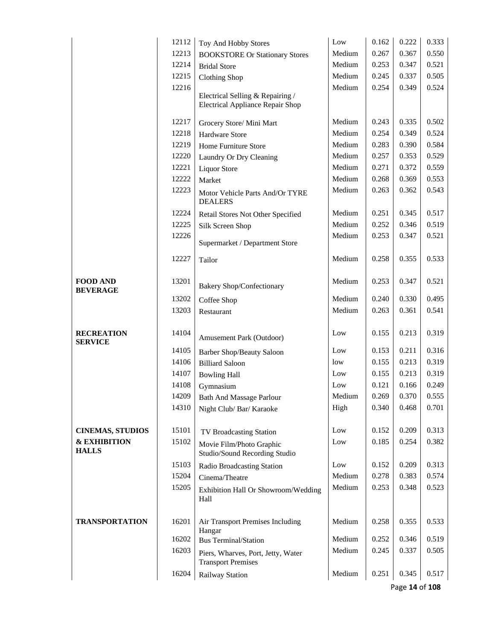|                                         | 12112 | Toy And Hobby Stores                                                        | Low    | 0.162 | 0.222 | 0.333 |
|-----------------------------------------|-------|-----------------------------------------------------------------------------|--------|-------|-------|-------|
|                                         | 12213 | <b>BOOKSTORE Or Stationary Stores</b>                                       | Medium | 0.267 | 0.367 | 0.550 |
|                                         | 12214 | <b>Bridal Store</b>                                                         | Medium | 0.253 | 0.347 | 0.521 |
|                                         | 12215 | <b>Clothing Shop</b>                                                        | Medium | 0.245 | 0.337 | 0.505 |
|                                         | 12216 |                                                                             | Medium | 0.254 | 0.349 | 0.524 |
|                                         |       | Electrical Selling & Repairing /<br><b>Electrical Appliance Repair Shop</b> |        |       |       |       |
|                                         | 12217 | Grocery Store/ Mini Mart                                                    | Medium | 0.243 | 0.335 | 0.502 |
|                                         | 12218 | <b>Hardware Store</b>                                                       | Medium | 0.254 | 0.349 | 0.524 |
|                                         | 12219 | Home Furniture Store                                                        | Medium | 0.283 | 0.390 | 0.584 |
|                                         | 12220 | Laundry Or Dry Cleaning                                                     | Medium | 0.257 | 0.353 | 0.529 |
|                                         | 12221 | <b>Liquor Store</b>                                                         | Medium | 0.271 | 0.372 | 0.559 |
|                                         | 12222 | Market                                                                      | Medium | 0.268 | 0.369 | 0.553 |
|                                         | 12223 | Motor Vehicle Parts And/Or TYRE<br><b>DEALERS</b>                           | Medium | 0.263 | 0.362 | 0.543 |
|                                         | 12224 | Retail Stores Not Other Specified                                           | Medium | 0.251 | 0.345 | 0.517 |
|                                         | 12225 | Silk Screen Shop                                                            | Medium | 0.252 | 0.346 | 0.519 |
|                                         | 12226 | Supermarket / Department Store                                              | Medium | 0.253 | 0.347 | 0.521 |
|                                         | 12227 | Tailor                                                                      | Medium | 0.258 | 0.355 | 0.533 |
| <b>FOOD AND</b><br><b>BEVERAGE</b>      | 13201 | <b>Bakery Shop/Confectionary</b>                                            | Medium | 0.253 | 0.347 | 0.521 |
|                                         | 13202 | Coffee Shop                                                                 | Medium | 0.240 | 0.330 | 0.495 |
|                                         | 13203 | Restaurant                                                                  | Medium | 0.263 | 0.361 | 0.541 |
| <b>RECREATION</b><br><b>SERVICE</b>     | 14104 | Amusement Park (Outdoor)                                                    | Low    | 0.155 | 0.213 | 0.319 |
|                                         | 14105 | <b>Barber Shop/Beauty Saloon</b>                                            | Low    | 0.153 | 0.211 | 0.316 |
|                                         | 14106 | <b>Billiard Saloon</b>                                                      | low    | 0.155 | 0.213 | 0.319 |
|                                         | 14107 | <b>Bowling Hall</b>                                                         | Low    | 0.155 | 0.213 | 0.319 |
|                                         | 14108 | Gymnasium                                                                   | Low    | 0.121 | 0.166 | 0.249 |
|                                         | 14209 | <b>Bath And Massage Parlour</b>                                             | Medium | 0.269 | 0.370 | 0.555 |
|                                         | 14310 | Night Club/ Bar/ Karaoke                                                    | High   | 0.340 | 0.468 | 0.701 |
| <b>CINEMAS, STUDIOS</b>                 | 15101 | TV Broadcasting Station                                                     | Low    | 0.152 | 0.209 | 0.313 |
| <b>&amp; EXHIBITION</b><br><b>HALLS</b> | 15102 | Movie Film/Photo Graphic<br>Studio/Sound Recording Studio                   | Low    | 0.185 | 0.254 | 0.382 |
|                                         | 15103 | Radio Broadcasting Station                                                  | Low    | 0.152 | 0.209 | 0.313 |
|                                         | 15204 | Cinema/Theatre                                                              | Medium | 0.278 | 0.383 | 0.574 |
|                                         | 15205 | Exhibition Hall Or Showroom/Wedding<br>Hall                                 | Medium | 0.253 | 0.348 | 0.523 |
| <b>TRANSPORTATION</b>                   | 16201 | Air Transport Premises Including                                            | Medium | 0.258 | 0.355 | 0.533 |
|                                         | 16202 | Hangar<br><b>Bus Terminal/Station</b>                                       | Medium | 0.252 | 0.346 | 0.519 |
|                                         | 16203 | Piers, Wharves, Port, Jetty, Water<br><b>Transport Premises</b>             | Medium | 0.245 | 0.337 | 0.505 |
|                                         | 16204 | Railway Station                                                             | Medium | 0.251 | 0.345 | 0.517 |

Page **14** of **108**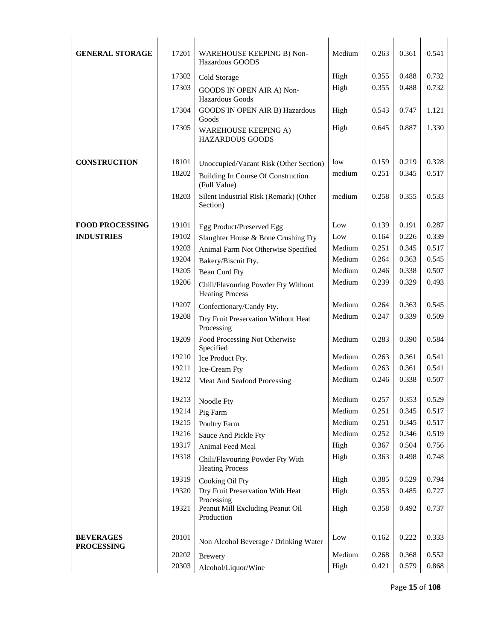| <b>GENERAL STORAGE</b>                | 17201 | WAREHOUSE KEEPING B) Non-<br>Hazardous GOODS                  | Medium | 0.263 | 0.361 | 0.541 |  |
|---------------------------------------|-------|---------------------------------------------------------------|--------|-------|-------|-------|--|
|                                       | 17302 | Cold Storage                                                  | High   | 0.355 | 0.488 | 0.732 |  |
|                                       | 17303 | GOODS IN OPEN AIR A) Non-<br>Hazardous Goods                  | High   | 0.355 | 0.488 | 0.732 |  |
|                                       | 17304 | <b>GOODS IN OPEN AIR B) Hazardous</b><br>Goods                | High   | 0.543 | 0.747 | 1.121 |  |
|                                       | 17305 | <b>WAREHOUSE KEEPING A)</b><br><b>HAZARDOUS GOODS</b>         | High   | 0.645 | 0.887 | 1.330 |  |
| <b>CONSTRUCTION</b>                   | 18101 | Unoccupied/Vacant Risk (Other Section)                        | low    | 0.159 | 0.219 | 0.328 |  |
|                                       | 18202 | <b>Building In Course Of Construction</b><br>(Full Value)     | medium | 0.251 | 0.345 | 0.517 |  |
|                                       | 18203 | Silent Industrial Risk (Remark) (Other<br>Section)            | medium | 0.258 | 0.355 | 0.533 |  |
| <b>FOOD PROCESSING</b>                | 19101 |                                                               | Low    | 0.139 | 0.191 | 0.287 |  |
| <b>INDUSTRIES</b>                     | 19102 | Egg Product/Preserved Egg                                     | Low    | 0.164 | 0.226 | 0.339 |  |
|                                       | 19203 | Slaughter House & Bone Crushing Fty                           | Medium | 0.251 | 0.345 | 0.517 |  |
|                                       | 19204 | Animal Farm Not Otherwise Specified<br>Bakery/Biscuit Fty.    | Medium | 0.264 | 0.363 | 0.545 |  |
|                                       | 19205 | <b>Bean Curd Fty</b>                                          | Medium | 0.246 | 0.338 | 0.507 |  |
|                                       | 19206 |                                                               | Medium | 0.239 | 0.329 | 0.493 |  |
|                                       |       | Chili/Flavouring Powder Fty Without<br><b>Heating Process</b> |        |       |       |       |  |
|                                       | 19207 | Confectionary/Candy Fty.                                      | Medium | 0.264 | 0.363 | 0.545 |  |
|                                       | 19208 | Dry Fruit Preservation Without Heat<br>Processing             | Medium | 0.247 | 0.339 | 0.509 |  |
|                                       | 19209 | Food Processing Not Otherwise<br>Specified                    | Medium | 0.283 | 0.390 | 0.584 |  |
|                                       | 19210 | Ice Product Fty.                                              | Medium | 0.263 | 0.361 | 0.541 |  |
|                                       | 19211 | Ice-Cream Fty                                                 | Medium | 0.263 | 0.361 | 0.541 |  |
|                                       | 19212 | Meat And Seafood Processing                                   | Medium | 0.246 | 0.338 | 0.507 |  |
|                                       | 19213 | Noodle Fty                                                    | Medium | 0.257 | 0.353 | 0.529 |  |
|                                       | 19214 | Pig Farm                                                      | Medium | 0.251 | 0.345 | 0.517 |  |
|                                       | 19215 | Poultry Farm                                                  | Medium | 0.251 | 0.345 | 0.517 |  |
|                                       | 19216 | Sauce And Pickle Fty                                          | Medium | 0.252 | 0.346 | 0.519 |  |
|                                       | 19317 | Animal Feed Meal                                              | High   | 0.367 | 0.504 | 0.756 |  |
|                                       | 19318 | Chili/Flavouring Powder Fty With<br><b>Heating Process</b>    | High   | 0.363 | 0.498 | 0.748 |  |
|                                       | 19319 | Cooking Oil Fty                                               | High   | 0.385 | 0.529 | 0.794 |  |
|                                       | 19320 | Dry Fruit Preservation With Heat<br>Processing                | High   | 0.353 | 0.485 | 0.727 |  |
|                                       | 19321 | Peanut Mill Excluding Peanut Oil<br>Production                | High   | 0.358 | 0.492 | 0.737 |  |
| <b>BEVERAGES</b><br><b>PROCESSING</b> | 20101 | Non Alcohol Beverage / Drinking Water                         | Low    | 0.162 | 0.222 | 0.333 |  |
|                                       | 20202 | <b>Brewery</b>                                                | Medium | 0.268 | 0.368 | 0.552 |  |
|                                       | 20303 | Alcohol/Liquor/Wine                                           | High   | 0.421 | 0.579 | 0.868 |  |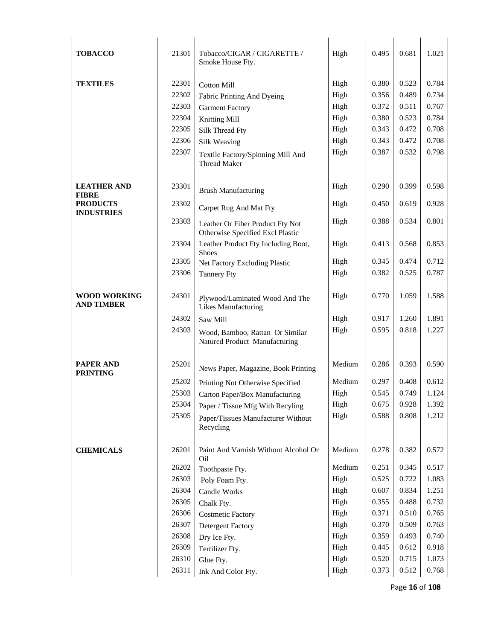| <b>TOBACCO</b>                           | 21301 | Tobacco/CIGAR / CIGARETTE /<br>Smoke House Fty.                      | High   | 0.495 | 0.681 | 1.021 |
|------------------------------------------|-------|----------------------------------------------------------------------|--------|-------|-------|-------|
| <b>TEXTILES</b>                          | 22301 | <b>Cotton Mill</b>                                                   | High   | 0.380 | 0.523 | 0.784 |
|                                          | 22302 | Fabric Printing And Dyeing                                           | High   | 0.356 | 0.489 | 0.734 |
|                                          | 22303 | <b>Garment Factory</b>                                               | High   | 0.372 | 0.511 | 0.767 |
|                                          | 22304 | Knitting Mill                                                        | High   | 0.380 | 0.523 | 0.784 |
|                                          | 22305 | Silk Thread Fty                                                      | High   | 0.343 | 0.472 | 0.708 |
|                                          | 22306 | Silk Weaving                                                         | High   | 0.343 | 0.472 | 0.708 |
|                                          | 22307 | Textile Factory/Spinning Mill And                                    | High   | 0.387 | 0.532 | 0.798 |
|                                          |       | <b>Thread Maker</b>                                                  |        |       |       |       |
| <b>LEATHER AND</b><br><b>FIBRE</b>       | 23301 | <b>Brush Manufacturing</b>                                           | High   | 0.290 | 0.399 | 0.598 |
| <b>PRODUCTS</b><br><b>INDUSTRIES</b>     | 23302 | Carpet Rug And Mat Fty                                               | High   | 0.450 | 0.619 | 0.928 |
|                                          | 23303 | Leather Or Fiber Product Fty Not<br>Otherwise Specified Excl Plastic | High   | 0.388 | 0.534 | 0.801 |
|                                          | 23304 | Leather Product Fty Including Boot,<br><b>Shoes</b>                  | High   | 0.413 | 0.568 | 0.853 |
|                                          | 23305 | Net Factory Excluding Plastic                                        | High   | 0.345 | 0.474 | 0.712 |
|                                          | 23306 | <b>Tannery Fty</b>                                                   | High   | 0.382 | 0.525 | 0.787 |
| <b>WOOD WORKING</b><br><b>AND TIMBER</b> | 24301 | Plywood/Laminated Wood And The<br><b>Likes Manufacturing</b>         | High   | 0.770 | 1.059 | 1.588 |
|                                          | 24302 | Saw Mill                                                             | High   | 0.917 | 1.260 | 1.891 |
|                                          | 24303 | Wood, Bamboo, Rattan Or Similar<br>Natured Product Manufacturing     | High   | 0.595 | 0.818 | 1.227 |
| <b>PAPER AND</b><br><b>PRINTING</b>      | 25201 | News Paper, Magazine, Book Printing                                  | Medium | 0.286 | 0.393 | 0.590 |
|                                          | 25202 | Printing Not Otherwise Specified                                     | Medium | 0.297 | 0.408 | 0.612 |
|                                          | 25303 | Carton Paper/Box Manufacturing                                       | High   | 0.545 | 0.749 | 1.124 |
|                                          | 25304 | Paper / Tissue Mfg With Recyling                                     | High   | 0.675 | 0.928 | 1.392 |
|                                          | 25305 | Paper/Tissues Manufacturer Without<br>Recycling                      | High   | 0.588 | 0.808 | 1.212 |
| <b>CHEMICALS</b>                         | 26201 | Paint And Varnish Without Alcohol Or<br>Oil                          | Medium | 0.278 | 0.382 | 0.572 |
|                                          | 26202 | Toothpaste Fty.                                                      | Medium | 0.251 | 0.345 | 0.517 |
|                                          | 26303 | Poly Foam Fty.                                                       | High   | 0.525 | 0.722 | 1.083 |
|                                          | 26304 | Candle Works                                                         | High   | 0.607 | 0.834 | 1.251 |
|                                          | 26305 | Chalk Fty.                                                           | High   | 0.355 | 0.488 | 0.732 |
|                                          | 26306 | <b>Costmetic Factory</b>                                             | High   | 0.371 | 0.510 | 0.765 |
|                                          | 26307 | <b>Detergent Factory</b>                                             | High   | 0.370 | 0.509 | 0.763 |
|                                          | 26308 | Dry Ice Fty.                                                         | High   | 0.359 | 0.493 | 0.740 |
|                                          | 26309 | Fertilizer Fty.                                                      | High   | 0.445 | 0.612 | 0.918 |
|                                          | 26310 | Glue Fty.                                                            | High   | 0.520 | 0.715 | 1.073 |
|                                          | 26311 | Ink And Color Fty.                                                   | High   | 0.373 | 0.512 | 0.768 |

Page **16** of **108**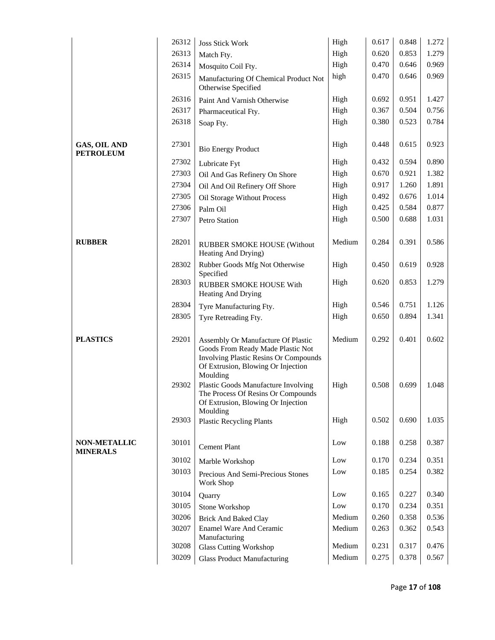|                                        | 26312 | <b>Joss Stick Work</b>                                                                                                                                                    | High   | 0.617 | 0.848 | 1.272 |
|----------------------------------------|-------|---------------------------------------------------------------------------------------------------------------------------------------------------------------------------|--------|-------|-------|-------|
|                                        | 26313 | Match Fty.                                                                                                                                                                | High   | 0.620 | 0.853 | 1.279 |
|                                        | 26314 | Mosquito Coil Fty.                                                                                                                                                        | High   | 0.470 | 0.646 | 0.969 |
|                                        | 26315 | Manufacturing Of Chemical Product Not<br>Otherwise Specified                                                                                                              | high   | 0.470 | 0.646 | 0.969 |
|                                        | 26316 | Paint And Varnish Otherwise                                                                                                                                               | High   | 0.692 | 0.951 | 1.427 |
|                                        | 26317 | Pharmaceutical Fty.                                                                                                                                                       | High   | 0.367 | 0.504 | 0.756 |
|                                        | 26318 | Soap Fty.                                                                                                                                                                 | High   | 0.380 | 0.523 | 0.784 |
| GAS, OIL AND<br><b>PETROLEUM</b>       | 27301 | <b>Bio Energy Product</b>                                                                                                                                                 | High   | 0.448 | 0.615 | 0.923 |
|                                        | 27302 | Lubricate Fyt                                                                                                                                                             | High   | 0.432 | 0.594 | 0.890 |
|                                        | 27303 | Oil And Gas Refinery On Shore                                                                                                                                             | High   | 0.670 | 0.921 | 1.382 |
|                                        | 27304 | Oil And Oil Refinery Off Shore                                                                                                                                            | High   | 0.917 | 1.260 | 1.891 |
|                                        | 27305 | Oil Storage Without Process                                                                                                                                               | High   | 0.492 | 0.676 | 1.014 |
|                                        | 27306 | Palm Oil                                                                                                                                                                  | High   | 0.425 | 0.584 | 0.877 |
|                                        | 27307 | Petro Station                                                                                                                                                             | High   | 0.500 | 0.688 | 1.031 |
| <b>RUBBER</b>                          | 28201 | <b>RUBBER SMOKE HOUSE (Without</b><br>Heating And Drying)                                                                                                                 | Medium | 0.284 | 0.391 | 0.586 |
|                                        | 28302 | Rubber Goods Mfg Not Otherwise<br>Specified                                                                                                                               | High   | 0.450 | 0.619 | 0.928 |
|                                        | 28303 | RUBBER SMOKE HOUSE With<br><b>Heating And Drying</b>                                                                                                                      | High   | 0.620 | 0.853 | 1.279 |
|                                        | 28304 | Tyre Manufacturing Fty.                                                                                                                                                   | High   | 0.546 | 0.751 | 1.126 |
|                                        | 28305 | Tyre Retreading Fty.                                                                                                                                                      | High   | 0.650 | 0.894 | 1.341 |
| <b>PLASTICS</b>                        | 29201 | Assembly Or Manufacture Of Plastic<br>Goods From Ready Made Plastic Not<br><b>Involving Plastic Resins Or Compounds</b><br>Of Extrusion, Blowing Or Injection<br>Moulding | Medium | 0.292 | 0.401 | 0.602 |
|                                        | 29302 | Plastic Goods Manufacture Involving<br>The Process Of Resins Or Compounds<br>Of Extrusion, Blowing Or Injection<br>Moulding                                               | High   | 0.508 | 0.699 | 1.048 |
|                                        | 29303 | <b>Plastic Recycling Plants</b>                                                                                                                                           | High   | 0.502 | 0.690 | 1.035 |
| <b>NON-METALLIC</b><br><b>MINERALS</b> | 30101 | Cement Plant                                                                                                                                                              | Low    | 0.188 | 0.258 | 0.387 |
|                                        | 30102 | Marble Workshop                                                                                                                                                           | Low    | 0.170 | 0.234 | 0.351 |
|                                        | 30103 | Precious And Semi-Precious Stones<br>Work Shop                                                                                                                            | Low    | 0.185 | 0.254 | 0.382 |
|                                        | 30104 | Quarry                                                                                                                                                                    | Low    | 0.165 | 0.227 | 0.340 |
|                                        | 30105 | Stone Workshop                                                                                                                                                            | Low    | 0.170 | 0.234 | 0.351 |
|                                        | 30206 | <b>Brick And Baked Clay</b>                                                                                                                                               | Medium | 0.260 | 0.358 | 0.536 |
|                                        | 30207 | <b>Enamel Ware And Ceramic</b><br>Manufacturing                                                                                                                           | Medium | 0.263 | 0.362 | 0.543 |
|                                        | 30208 | <b>Glass Cutting Workshop</b>                                                                                                                                             | Medium | 0.231 | 0.317 | 0.476 |
|                                        | 30209 | <b>Glass Product Manufacturing</b>                                                                                                                                        | Medium | 0.275 | 0.378 | 0.567 |
|                                        |       |                                                                                                                                                                           |        |       |       |       |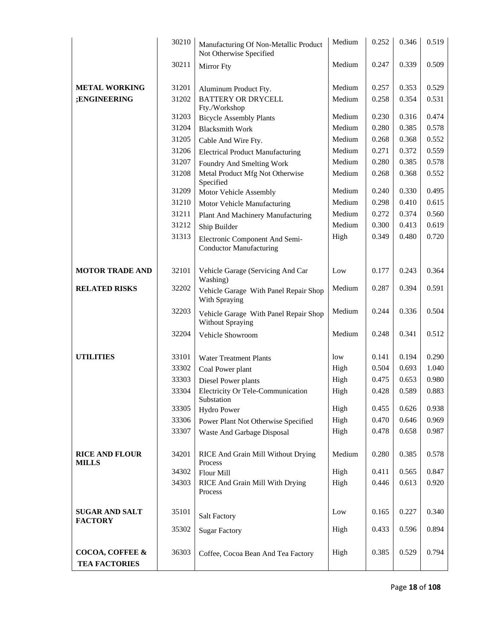|                                         | 30210 | Manufacturing Of Non-Metallic Product<br>Not Otherwise Specified | Medium | 0.252 | 0.346 | 0.519 |
|-----------------------------------------|-------|------------------------------------------------------------------|--------|-------|-------|-------|
|                                         | 30211 | <b>Mirror</b> Fty                                                | Medium | 0.247 | 0.339 | 0.509 |
| <b>METAL WORKING</b>                    | 31201 | Aluminum Product Fty.                                            | Medium | 0.257 | 0.353 | 0.529 |
| ;ENGINEERING                            | 31202 | <b>BATTERY OR DRYCELL</b><br>Fty./Workshop                       | Medium | 0.258 | 0.354 | 0.531 |
|                                         | 31203 | <b>Bicycle Assembly Plants</b>                                   | Medium | 0.230 | 0.316 | 0.474 |
|                                         | 31204 | <b>Blacksmith Work</b>                                           | Medium | 0.280 | 0.385 | 0.578 |
|                                         | 31205 | Cable And Wire Fty.                                              | Medium | 0.268 | 0.368 | 0.552 |
|                                         | 31206 | <b>Electrical Product Manufacturing</b>                          | Medium | 0.271 | 0.372 | 0.559 |
|                                         | 31207 | Foundry And Smelting Work                                        | Medium | 0.280 | 0.385 | 0.578 |
|                                         | 31208 | Metal Product Mfg Not Otherwise<br>Specified                     | Medium | 0.268 | 0.368 | 0.552 |
|                                         | 31209 | Motor Vehicle Assembly                                           | Medium | 0.240 | 0.330 | 0.495 |
|                                         | 31210 | Motor Vehicle Manufacturing                                      | Medium | 0.298 | 0.410 | 0.615 |
|                                         | 31211 | Plant And Machinery Manufacturing                                | Medium | 0.272 | 0.374 | 0.560 |
|                                         | 31212 | Ship Builder                                                     | Medium | 0.300 | 0.413 | 0.619 |
|                                         | 31313 | Electronic Component And Semi-<br><b>Conductor Manufacturing</b> | High   | 0.349 | 0.480 | 0.720 |
| <b>MOTOR TRADE AND</b>                  | 32101 | Vehicle Garage (Servicing And Car<br>Washing)                    | Low    | 0.177 | 0.243 | 0.364 |
| <b>RELATED RISKS</b>                    | 32202 | Vehicle Garage With Panel Repair Shop<br>With Spraying           | Medium | 0.287 | 0.394 | 0.591 |
|                                         | 32203 | Vehicle Garage With Panel Repair Shop<br><b>Without Spraying</b> | Medium | 0.244 | 0.336 | 0.504 |
|                                         | 32204 | Vehicle Showroom                                                 | Medium | 0.248 | 0.341 | 0.512 |
| <b>UTILITIES</b>                        | 33101 | <b>Water Treatment Plants</b>                                    | low    | 0.141 | 0.194 | 0.290 |
|                                         | 33302 | Coal Power plant                                                 | High   | 0.504 | 0.693 | 1.040 |
|                                         | 33303 | Diesel Power plants                                              | High   | 0.475 | 0.653 | 0.980 |
|                                         | 33304 | Electricity Or Tele-Communication<br>Substation                  | High   | 0.428 | 0.589 | 0.883 |
|                                         | 33305 | <b>Hydro Power</b>                                               | High   | 0.455 | 0.626 | 0.938 |
|                                         | 33306 | Power Plant Not Otherwise Specified                              | High   | 0.470 | 0.646 | 0.969 |
|                                         | 33307 | Waste And Garbage Disposal                                       | High   | 0.478 | 0.658 | 0.987 |
| <b>RICE AND FLOUR</b><br><b>MILLS</b>   | 34201 | RICE And Grain Mill Without Drying<br>Process                    | Medium | 0.280 | 0.385 | 0.578 |
|                                         | 34302 | Flour Mill                                                       | High   | 0.411 | 0.565 | 0.847 |
|                                         | 34303 | RICE And Grain Mill With Drying<br>Process                       | High   | 0.446 | 0.613 | 0.920 |
| <b>SUGAR AND SALT</b><br><b>FACTORY</b> | 35101 | <b>Salt Factory</b>                                              | Low    | 0.165 | 0.227 | 0.340 |
|                                         | 35302 | <b>Sugar Factory</b>                                             | High   | 0.433 | 0.596 | 0.894 |
| COCOA, COFFEE &<br><b>TEA FACTORIES</b> | 36303 | Coffee, Cocoa Bean And Tea Factory                               | High   | 0.385 | 0.529 | 0.794 |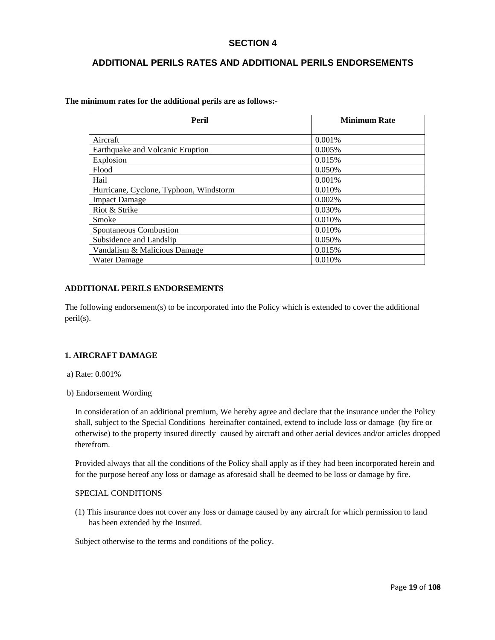# **SECTION 4**

# **ADDITIONAL PERILS RATES AND ADDITIONAL PERILS ENDORSEMENTS**

**The minimum rates for the additional perils are as follows:-** 

| Peril                                  | <b>Minimum Rate</b> |
|----------------------------------------|---------------------|
|                                        |                     |
| Aircraft                               | 0.001%              |
| Earthquake and Volcanic Eruption       | 0.005%              |
| Explosion                              | 0.015%              |
| Flood                                  | 0.050%              |
| Hail                                   | 0.001%              |
| Hurricane, Cyclone, Typhoon, Windstorm | 0.010%              |
| <b>Impact Damage</b>                   | 0.002%              |
| Riot & Strike                          | 0.030%              |
| Smoke                                  | 0.010\%             |
| Spontaneous Combustion                 | 0.010%              |
| Subsidence and Landslip                | 0.050%              |
| Vandalism & Malicious Damage           | 0.015%              |
| <b>Water Damage</b>                    | 0.010%              |

# **ADDITIONAL PERILS ENDORSEMENTS**

The following endorsement(s) to be incorporated into the Policy which is extended to cover the additional peril(s).

# **1. AIRCRAFT DAMAGE**

- a) Rate: 0.001%
- b) Endorsement Wording

In consideration of an additional premium, We hereby agree and declare that the insurance under the Policy shall, subject to the Special Conditions hereinafter contained, extend to include loss or damage (by fire or otherwise) to the property insured directly caused by aircraft and other aerial devices and/or articles dropped therefrom.

Provided always that all the conditions of the Policy shall apply as if they had been incorporated herein and for the purpose hereof any loss or damage as aforesaid shall be deemed to be loss or damage by fire.

# SPECIAL CONDITIONS

(1) This insurance does not cover any loss or damage caused by any aircraft for which permission to land has been extended by the Insured.

Subject otherwise to the terms and conditions of the policy.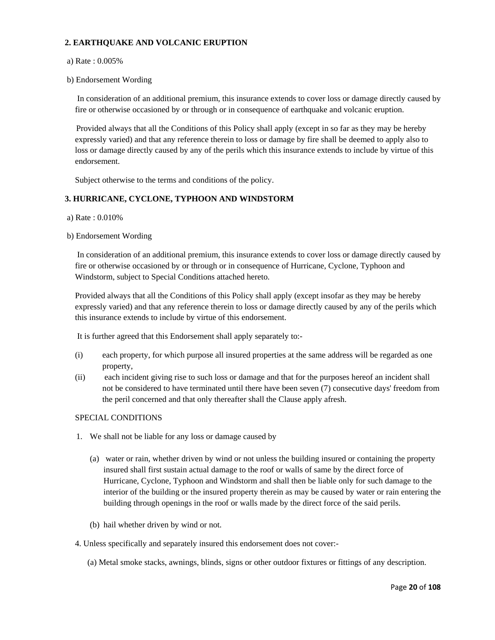# **2. EARTHQUAKE AND VOLCANIC ERUPTION**

# a) Rate : 0.005%

b) Endorsement Wording

 In consideration of an additional premium, this insurance extends to cover loss or damage directly caused by fire or otherwise occasioned by or through or in consequence of earthquake and volcanic eruption.

Provided always that all the Conditions of this Policy shall apply (except in so far as they may be hereby expressly varied) and that any reference therein to loss or damage by fire shall be deemed to apply also to loss or damage directly caused by any of the perils which this insurance extends to include by virtue of this endorsement.

Subject otherwise to the terms and conditions of the policy.

# **3. HURRICANE, CYCLONE, TYPHOON AND WINDSTORM**

- a) Rate : 0.010%
- b) Endorsement Wording

 In consideration of an additional premium, this insurance extends to cover loss or damage directly caused by fire or otherwise occasioned by or through or in consequence of Hurricane, Cyclone, Typhoon and Windstorm, subject to Special Conditions attached hereto.

Provided always that all the Conditions of this Policy shall apply (except insofar as they may be hereby expressly varied) and that any reference therein to loss or damage directly caused by any of the perils which this insurance extends to include by virtue of this endorsement.

It is further agreed that this Endorsement shall apply separately to:-

- (i) each property, for which purpose all insured properties at the same address will be regarded as one property,
- (ii) each incident giving rise to such loss or damage and that for the purposes hereof an incident shall not be considered to have terminated until there have been seven (7) consecutive days' freedom from the peril concerned and that only thereafter shall the Clause apply afresh.

# SPECIAL CONDITIONS

- 1. We shall not be liable for any loss or damage caused by
	- (a) water or rain, whether driven by wind or not unless the building insured or containing the property insured shall first sustain actual damage to the roof or walls of same by the direct force of Hurricane, Cyclone, Typhoon and Windstorm and shall then be liable only for such damage to the interior of the building or the insured property therein as may be caused by water or rain entering the building through openings in the roof or walls made by the direct force of the said perils.
	- (b) hail whether driven by wind or not.
- 4. Unless specifically and separately insured this endorsement does not cover:-
	- (a) Metal smoke stacks, awnings, blinds, signs or other outdoor fixtures or fittings of any description.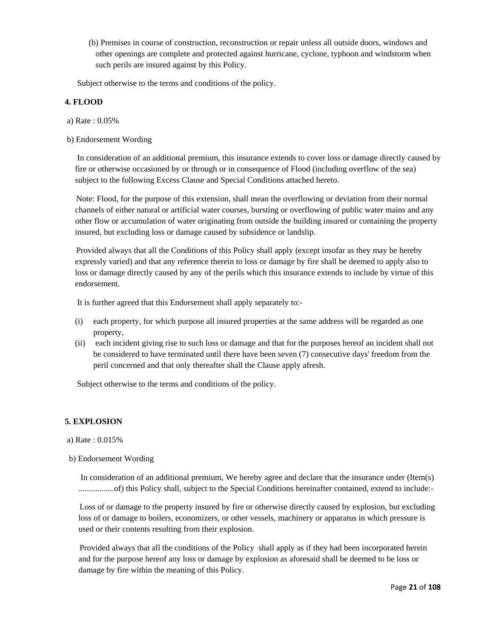(b) Premises in course of construction, reconstruction or repair unless all outside doors, windows and other openings are complete and protected against hurricane, cyclone, typhoon and windstorm when such perils are insured against by this Policy.

Subject otherwise to the terms and conditions of the policy.

# **4. FLOOD**

- a) Rate : 0.05%
- b) Endorsement Wording

 In consideration of an additional premium, this insurance extends to cover loss or damage directly caused by fire or otherwise occasioned by or through or in consequence of Flood (including overflow of the sea) subject to the following Excess Clause and Special Conditions attached hereto.

Note: Flood, for the purpose of this extension, shall mean the overflowing or deviation from their normal channels of either natural or artificial water courses, bursting or overflowing of public water mains and any other flow or accumulation of water originating from outside the building insured or containing the property insured, but excluding loss or damage caused by subsidence or landslip.

Provided always that all the Conditions of this Policy shall apply (except insofar as they may be hereby expressly varied) and that any reference therein to loss or damage by fire shall be deemed to apply also to loss or damage directly caused by any of the perils which this insurance extends to include by virtue of this endorsement.

It is further agreed that this Endorsement shall apply separately to:-

- (i) each property, for which purpose all insured properties at the same address will be regarded as one property,
- (ii) each incident giving rise to such loss or damage and that for the purposes hereof an incident shall not be considered to have terminated until there have been seven (7) consecutive days' freedom from the peril concerned and that only thereafter shall the Clause apply afresh.

Subject otherwise to the terms and conditions of the policy.

# **5. EXPLOSION**

- a) Rate : 0.015%
- b) Endorsement Wording

 In consideration of an additional premium, We hereby agree and declare that the insurance under (Item(s) .................of) this Policy shall, subject to the Special Conditions hereinafter contained, extend to include:-

Loss of or damage to the property insured by fire or otherwise directly caused by explosion, but excluding loss of or damage to boilers, economizers, or other vessels, machinery or apparatus in which pressure is used or their contents resulting from their explosion.

Provided always that all the conditions of the Policy shall apply as if they had been incorporated herein and for the purpose hereof any loss or damage by explosion as aforesaid shall be deemed to be loss or damage by fire within the meaning of this Policy.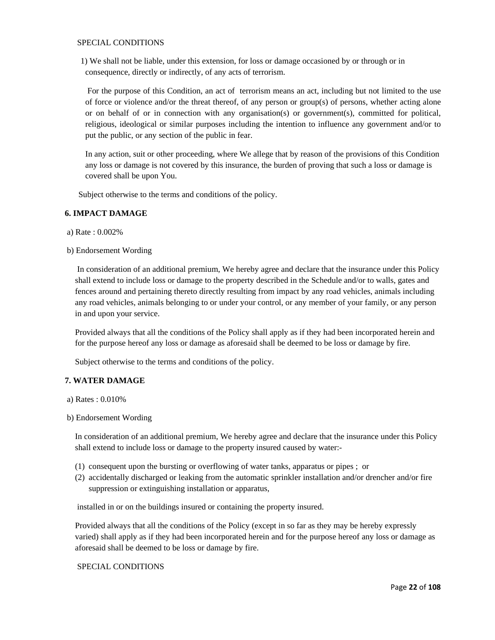# SPECIAL CONDITIONS

 1) We shall not be liable, under this extension, for loss or damage occasioned by or through or in consequence, directly or indirectly, of any acts of terrorism.

 For the purpose of this Condition, an act of terrorism means an act, including but not limited to the use of force or violence and/or the threat thereof, of any person or group(s) of persons, whether acting alone or on behalf of or in connection with any organisation(s) or government(s), committed for political, religious, ideological or similar purposes including the intention to influence any government and/or to put the public, or any section of the public in fear.

In any action, suit or other proceeding, where We allege that by reason of the provisions of this Condition any loss or damage is not covered by this insurance, the burden of proving that such a loss or damage is covered shall be upon You.

Subject otherwise to the terms and conditions of the policy.

# **6. IMPACT DAMAGE**

a) Rate : 0.002%

b) Endorsement Wording

 In consideration of an additional premium, We hereby agree and declare that the insurance under this Policy shall extend to include loss or damage to the property described in the Schedule and/or to walls, gates and fences around and pertaining thereto directly resulting from impact by any road vehicles, animals including any road vehicles, animals belonging to or under your control, or any member of your family, or any person in and upon your service.

Provided always that all the conditions of the Policy shall apply as if they had been incorporated herein and for the purpose hereof any loss or damage as aforesaid shall be deemed to be loss or damage by fire.

Subject otherwise to the terms and conditions of the policy.

# **7. WATER DAMAGE**

- a) Rates : 0.010%
- b) Endorsement Wording

 In consideration of an additional premium, We hereby agree and declare that the insurance under this Policy shall extend to include loss or damage to the property insured caused by water:-

- (1) consequent upon the bursting or overflowing of water tanks, apparatus or pipes ; or
- (2) accidentally discharged or leaking from the automatic sprinkler installation and/or drencher and/or fire suppression or extinguishing installation or apparatus,

installed in or on the buildings insured or containing the property insured.

Provided always that all the conditions of the Policy (except in so far as they may be hereby expressly varied) shall apply as if they had been incorporated herein and for the purpose hereof any loss or damage as aforesaid shall be deemed to be loss or damage by fire.

# SPECIAL CONDITIONS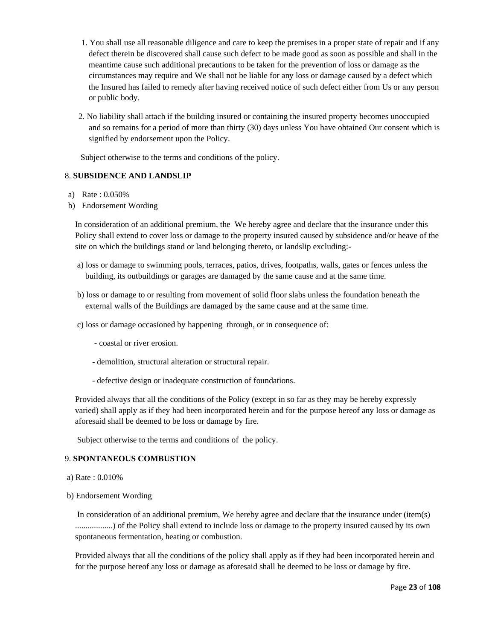- 1. You shall use all reasonable diligence and care to keep the premises in a proper state of repair and if any defect therein be discovered shall cause such defect to be made good as soon as possible and shall in the meantime cause such additional precautions to be taken for the prevention of loss or damage as the circumstances may require and We shall not be liable for any loss or damage caused by a defect which the Insured has failed to remedy after having received notice of such defect either from Us or any person or public body.
- 2. No liability shall attach if the building insured or containing the insured property becomes unoccupied and so remains for a period of more than thirty (30) days unless You have obtained Our consent which is signified by endorsement upon the Policy.

Subject otherwise to the terms and conditions of the policy.

# 8. **SUBSIDENCE AND LANDSLIP**

- a) Rate : 0.050%
- b) Endorsement Wording

In consideration of an additional premium, the We hereby agree and declare that the insurance under this Policy shall extend to cover loss or damage to the property insured caused by subsidence and/or heave of the site on which the buildings stand or land belonging thereto, or landslip excluding:-

- a) loss or damage to swimming pools, terraces, patios, drives, footpaths, walls, gates or fences unless the building, its outbuildings or garages are damaged by the same cause and at the same time.
- b) loss or damage to or resulting from movement of solid floor slabs unless the foundation beneath the external walls of the Buildings are damaged by the same cause and at the same time.
- c) loss or damage occasioned by happening through, or in consequence of:
	- coastal or river erosion.
	- demolition, structural alteration or structural repair.
	- defective design or inadequate construction of foundations.

Provided always that all the conditions of the Policy (except in so far as they may be hereby expressly varied) shall apply as if they had been incorporated herein and for the purpose hereof any loss or damage as aforesaid shall be deemed to be loss or damage by fire.

Subject otherwise to the terms and conditions of the policy.

# 9. **SPONTANEOUS COMBUSTION**

- a) Rate : 0.010%
- b) Endorsement Wording

 In consideration of an additional premium, We hereby agree and declare that the insurance under (item(s) ..................) of the Policy shall extend to include loss or damage to the property insured caused by its own spontaneous fermentation, heating or combustion.

Provided always that all the conditions of the policy shall apply as if they had been incorporated herein and for the purpose hereof any loss or damage as aforesaid shall be deemed to be loss or damage by fire.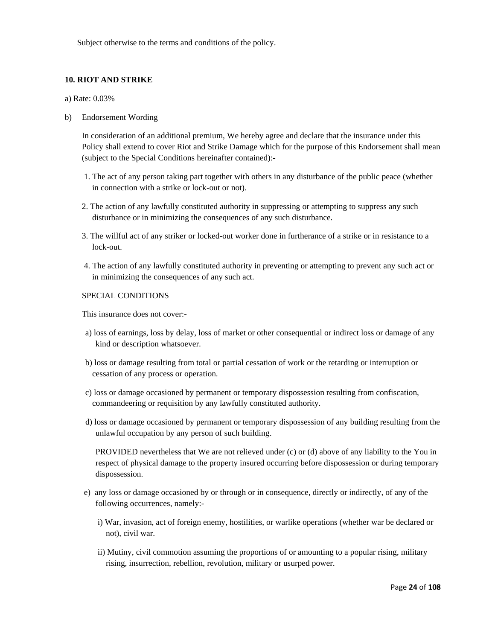Subject otherwise to the terms and conditions of the policy.

# **10. RIOT AND STRIKE**

a) Rate: 0.03%

b) Endorsement Wording

In consideration of an additional premium, We hereby agree and declare that the insurance under this Policy shall extend to cover Riot and Strike Damage which for the purpose of this Endorsement shall mean (subject to the Special Conditions hereinafter contained):-

- 1. The act of any person taking part together with others in any disturbance of the public peace (whether in connection with a strike or lock-out or not).
- 2. The action of any lawfully constituted authority in suppressing or attempting to suppress any such disturbance or in minimizing the consequences of any such disturbance.
- 3. The willful act of any striker or locked-out worker done in furtherance of a strike or in resistance to a lock-out.
- 4. The action of any lawfully constituted authority in preventing or attempting to prevent any such act or in minimizing the consequences of any such act.

# SPECIAL CONDITIONS

This insurance does not cover:-

- a) loss of earnings, loss by delay, loss of market or other consequential or indirect loss or damage of any kind or description whatsoever.
- b) loss or damage resulting from total or partial cessation of work or the retarding or interruption or cessation of any process or operation.
- c) loss or damage occasioned by permanent or temporary dispossession resulting from confiscation, commandeering or requisition by any lawfully constituted authority.
- d) loss or damage occasioned by permanent or temporary dispossession of any building resulting from the unlawful occupation by any person of such building.

PROVIDED nevertheless that We are not relieved under (c) or (d) above of any liability to the You in respect of physical damage to the property insured occurring before dispossession or during temporary dispossession.

- e) any loss or damage occasioned by or through or in consequence, directly or indirectly, of any of the following occurrences, namely:
	- i) War, invasion, act of foreign enemy, hostilities, or warlike operations (whether war be declared or not), civil war.
	- ii) Mutiny, civil commotion assuming the proportions of or amounting to a popular rising, military rising, insurrection, rebellion, revolution, military or usurped power.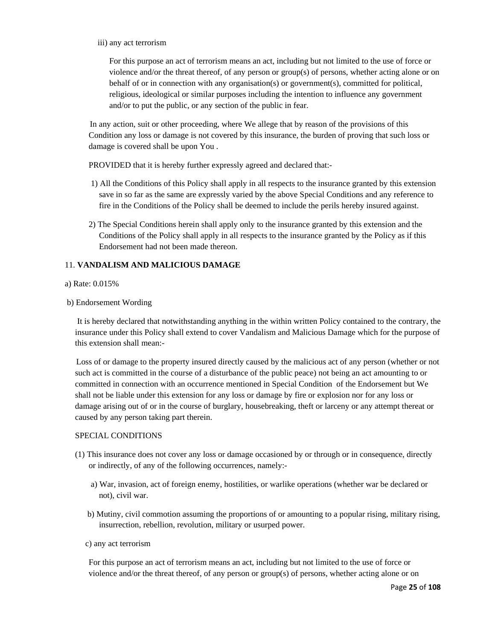iii) any act terrorism

For this purpose an act of terrorism means an act, including but not limited to the use of force or violence and/or the threat thereof, of any person or group(s) of persons, whether acting alone or on behalf of or in connection with any organisation(s) or government(s), committed for political, religious, ideological or similar purposes including the intention to influence any government and/or to put the public, or any section of the public in fear.

In any action, suit or other proceeding, where We allege that by reason of the provisions of this Condition any loss or damage is not covered by this insurance, the burden of proving that such loss or damage is covered shall be upon You .

PROVIDED that it is hereby further expressly agreed and declared that:-

- 1) All the Conditions of this Policy shall apply in all respects to the insurance granted by this extension save in so far as the same are expressly varied by the above Special Conditions and any reference to fire in the Conditions of the Policy shall be deemed to include the perils hereby insured against.
- 2) The Special Conditions herein shall apply only to the insurance granted by this extension and the Conditions of the Policy shall apply in all respects to the insurance granted by the Policy as if this Endorsement had not been made thereon.

# 11. **VANDALISM AND MALICIOUS DAMAGE**

# a) Rate: 0.015%

b) Endorsement Wording

 It is hereby declared that notwithstanding anything in the within written Policy contained to the contrary, the insurance under this Policy shall extend to cover Vandalism and Malicious Damage which for the purpose of this extension shall mean:-

Loss of or damage to the property insured directly caused by the malicious act of any person (whether or not such act is committed in the course of a disturbance of the public peace) not being an act amounting to or committed in connection with an occurrence mentioned in Special Condition of the Endorsement but We shall not be liable under this extension for any loss or damage by fire or explosion nor for any loss or damage arising out of or in the course of burglary, housebreaking, theft or larceny or any attempt thereat or caused by any person taking part therein.

# SPECIAL CONDITIONS

- (1) This insurance does not cover any loss or damage occasioned by or through or in consequence, directly or indirectly, of any of the following occurrences, namely:
	- a) War, invasion, act of foreign enemy, hostilities, or warlike operations (whether war be declared or not), civil war.
	- b) Mutiny, civil commotion assuming the proportions of or amounting to a popular rising, military rising, insurrection, rebellion, revolution, military or usurped power.
	- c) any act terrorism

For this purpose an act of terrorism means an act, including but not limited to the use of force or violence and/or the threat thereof, of any person or group(s) of persons, whether acting alone or on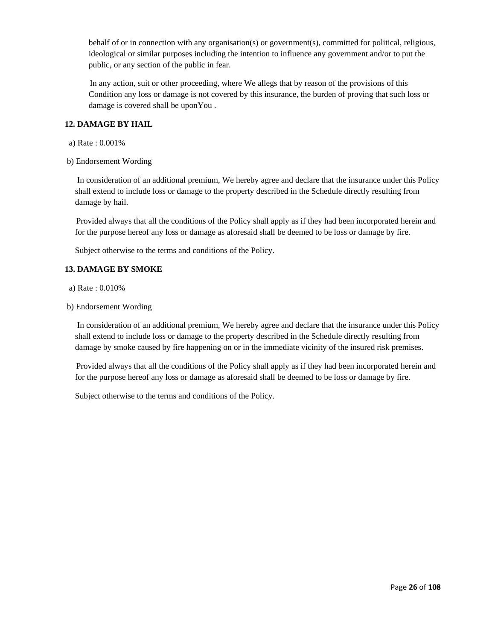behalf of or in connection with any organisation(s) or government(s), committed for political, religious, ideological or similar purposes including the intention to influence any government and/or to put the public, or any section of the public in fear.

In any action, suit or other proceeding, where We allegs that by reason of the provisions of this Condition any loss or damage is not covered by this insurance, the burden of proving that such loss or damage is covered shall be uponYou .

# **12. DAMAGE BY HAIL**

- a) Rate : 0.001%
- b) Endorsement Wording

 In consideration of an additional premium, We hereby agree and declare that the insurance under this Policy shall extend to include loss or damage to the property described in the Schedule directly resulting from damage by hail.

Provided always that all the conditions of the Policy shall apply as if they had been incorporated herein and for the purpose hereof any loss or damage as aforesaid shall be deemed to be loss or damage by fire.

Subject otherwise to the terms and conditions of the Policy.

# **13. DAMAGE BY SMOKE**

- a) Rate : 0.010%
- b) Endorsement Wording

 In consideration of an additional premium, We hereby agree and declare that the insurance under this Policy shall extend to include loss or damage to the property described in the Schedule directly resulting from damage by smoke caused by fire happening on or in the immediate vicinity of the insured risk premises.

Provided always that all the conditions of the Policy shall apply as if they had been incorporated herein and for the purpose hereof any loss or damage as aforesaid shall be deemed to be loss or damage by fire.

Subject otherwise to the terms and conditions of the Policy.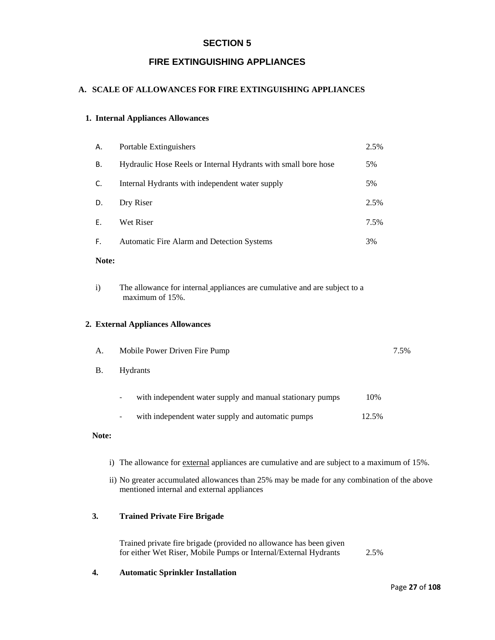# **SECTION 5**

# **FIRE EXTINGUISHING APPLIANCES**

# **A. SCALE OF ALLOWANCES FOR FIRE EXTINGUISHING APPLIANCES**

# **1. Internal Appliances Allowances**

| А.    | Portable Extinguishers                                         | 2.5% |
|-------|----------------------------------------------------------------|------|
| В.    | Hydraulic Hose Reels or Internal Hydrants with small bore hose | 5%   |
| C.    | Internal Hydrants with independent water supply                | 5%   |
| D.    | Dry Riser                                                      | 2.5% |
| F.    | Wet Riser                                                      | 7.5% |
| F.    | Automatic Fire Alarm and Detection Systems                     | 3%   |
| Note: |                                                                |      |

i) The allowance for internal appliances are cumulative and are subject to a maximum of 15%.

# **2. External Appliances Allowances**

| A.        | Mobile Power Driven Fire Pump                                   | 7.5%  |  |
|-----------|-----------------------------------------------------------------|-------|--|
| <b>B.</b> | <b>Hydrants</b>                                                 |       |  |
|           | with independent water supply and manual stationary pumps<br>Ξ. | 10%   |  |
|           | with independent water supply and automatic pumps<br>۰          | 12.5% |  |

# **Note:**

- i) The allowance for external appliances are cumulative and are subject to a maximum of 15%.
- ii) No greater accumulated allowances than 25% may be made for any combination of the above mentioned internal and external appliances

# **3. Trained Private Fire Brigade**

Trained private fire brigade (provided no allowance has been given for either Wet Riser, Mobile Pumps or Internal/External Hydrants 2.5%

# **4. Automatic Sprinkler Installation**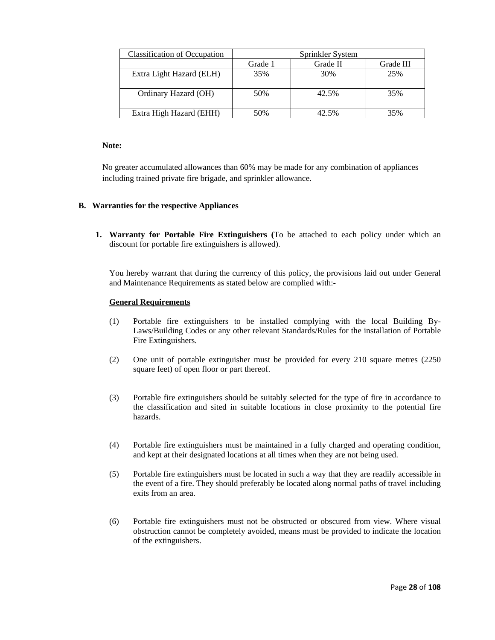| <b>Classification of Occupation</b> | Sprinkler System |          |           |  |
|-------------------------------------|------------------|----------|-----------|--|
|                                     | Grade 1          | Grade II | Grade III |  |
| Extra Light Hazard (ELH)            | 35%              | 30%      | 25%       |  |
| Ordinary Hazard (OH)                | 50%              | 42.5%    | 35%       |  |
| Extra High Hazard (EHH)             | 50%              | 42.5%    | 35%       |  |

# **Note:**

No greater accumulated allowances than 60% may be made for any combination of appliances including trained private fire brigade, and sprinkler allowance.

# **B. Warranties for the respective Appliances**

**1. Warranty for Portable Fire Extinguishers (**To be attached to each policy under which an discount for portable fire extinguishers is allowed).

You hereby warrant that during the currency of this policy, the provisions laid out under General and Maintenance Requirements as stated below are complied with:-

# **General Requirements**

- (1) Portable fire extinguishers to be installed complying with the local Building By-Laws/Building Codes or any other relevant Standards/Rules for the installation of Portable Fire Extinguishers.
- (2) One unit of portable extinguisher must be provided for every 210 square metres (2250 square feet) of open floor or part thereof.
- (3) Portable fire extinguishers should be suitably selected for the type of fire in accordance to the classification and sited in suitable locations in close proximity to the potential fire hazards.
- (4) Portable fire extinguishers must be maintained in a fully charged and operating condition, and kept at their designated locations at all times when they are not being used.
- (5) Portable fire extinguishers must be located in such a way that they are readily accessible in the event of a fire. They should preferably be located along normal paths of travel including exits from an area.
- (6) Portable fire extinguishers must not be obstructed or obscured from view. Where visual obstruction cannot be completely avoided, means must be provided to indicate the location of the extinguishers.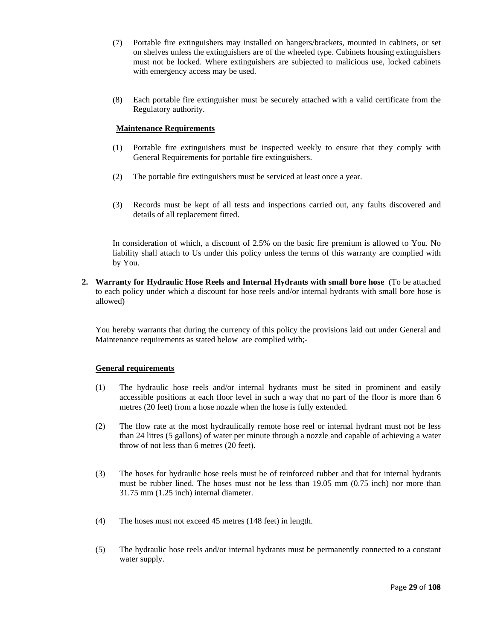- (7) Portable fire extinguishers may installed on hangers/brackets, mounted in cabinets, or set on shelves unless the extinguishers are of the wheeled type. Cabinets housing extinguishers must not be locked. Where extinguishers are subjected to malicious use, locked cabinets with emergency access may be used.
- (8) Each portable fire extinguisher must be securely attached with a valid certificate from the Regulatory authority.

# **Maintenance Requirements**

- (1) Portable fire extinguishers must be inspected weekly to ensure that they comply with General Requirements for portable fire extinguishers.
- (2) The portable fire extinguishers must be serviced at least once a year.
- (3) Records must be kept of all tests and inspections carried out, any faults discovered and details of all replacement fitted.

In consideration of which, a discount of 2.5% on the basic fire premium is allowed to You. No liability shall attach to Us under this policy unless the terms of this warranty are complied with by You.

**2. Warranty for Hydraulic Hose Reels and Internal Hydrants with small bore hose** (To be attached to each policy under which a discount for hose reels and/or internal hydrants with small bore hose is allowed)

You hereby warrants that during the currency of this policy the provisions laid out under General and Maintenance requirements as stated below are complied with;-

#### **General requirements**

- (1) The hydraulic hose reels and/or internal hydrants must be sited in prominent and easily accessible positions at each floor level in such a way that no part of the floor is more than 6 metres (20 feet) from a hose nozzle when the hose is fully extended.
- (2) The flow rate at the most hydraulically remote hose reel or internal hydrant must not be less than 24 litres (5 gallons) of water per minute through a nozzle and capable of achieving a water throw of not less than 6 metres (20 feet).
- (3) The hoses for hydraulic hose reels must be of reinforced rubber and that for internal hydrants must be rubber lined. The hoses must not be less than 19.05 mm (0.75 inch) nor more than 31.75 mm (1.25 inch) internal diameter.
- (4) The hoses must not exceed 45 metres (148 feet) in length.
- (5) The hydraulic hose reels and/or internal hydrants must be permanently connected to a constant water supply.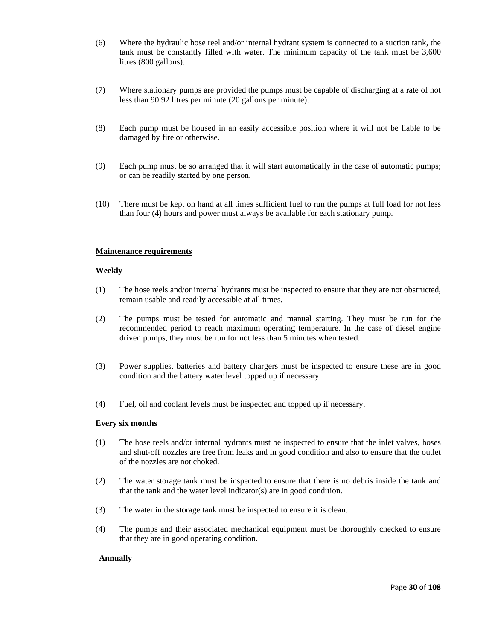- (6) Where the hydraulic hose reel and/or internal hydrant system is connected to a suction tank, the tank must be constantly filled with water. The minimum capacity of the tank must be 3,600 litres (800 gallons).
- (7) Where stationary pumps are provided the pumps must be capable of discharging at a rate of not less than 90.92 litres per minute (20 gallons per minute).
- (8) Each pump must be housed in an easily accessible position where it will not be liable to be damaged by fire or otherwise.
- (9) Each pump must be so arranged that it will start automatically in the case of automatic pumps; or can be readily started by one person.
- (10) There must be kept on hand at all times sufficient fuel to run the pumps at full load for not less than four (4) hours and power must always be available for each stationary pump.

#### **Maintenance requirements**

#### **Weekly**

- (1) The hose reels and/or internal hydrants must be inspected to ensure that they are not obstructed, remain usable and readily accessible at all times.
- (2) The pumps must be tested for automatic and manual starting. They must be run for the recommended period to reach maximum operating temperature. In the case of diesel engine driven pumps, they must be run for not less than 5 minutes when tested.
- (3) Power supplies, batteries and battery chargers must be inspected to ensure these are in good condition and the battery water level topped up if necessary.
- (4) Fuel, oil and coolant levels must be inspected and topped up if necessary.

#### **Every six months**

- (1) The hose reels and/or internal hydrants must be inspected to ensure that the inlet valves, hoses and shut-off nozzles are free from leaks and in good condition and also to ensure that the outlet of the nozzles are not choked.
- (2) The water storage tank must be inspected to ensure that there is no debris inside the tank and that the tank and the water level indicator(s) are in good condition.
- (3) The water in the storage tank must be inspected to ensure it is clean.
- (4) The pumps and their associated mechanical equipment must be thoroughly checked to ensure that they are in good operating condition.

#### **Annually**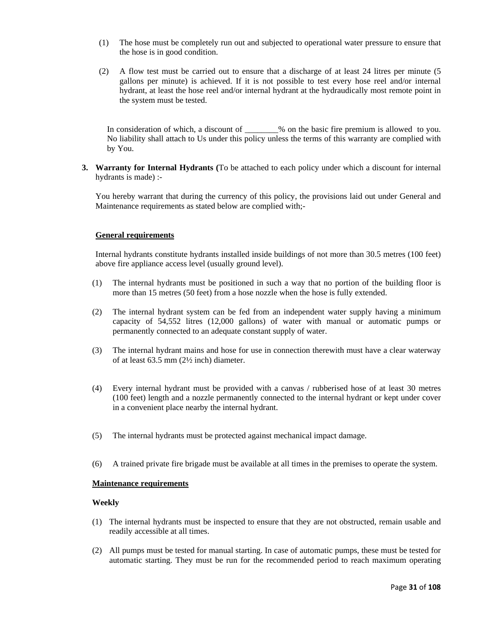- (1) The hose must be completely run out and subjected to operational water pressure to ensure that the hose is in good condition.
- (2) A flow test must be carried out to ensure that a discharge of at least 24 litres per minute (5 gallons per minute) is achieved. If it is not possible to test every hose reel and/or internal hydrant, at least the hose reel and/or internal hydrant at the hydraudically most remote point in the system must be tested.

In consideration of which, a discount of \_\_\_\_\_\_\_% on the basic fire premium is allowed to you. No liability shall attach to Us under this policy unless the terms of this warranty are complied with by You.

**3. Warranty for Internal Hydrants (**To be attached to each policy under which a discount for internal hydrants is made) :-

You hereby warrant that during the currency of this policy, the provisions laid out under General and Maintenance requirements as stated below are complied with;-

# **General requirements**

Internal hydrants constitute hydrants installed inside buildings of not more than 30.5 metres (100 feet) above fire appliance access level (usually ground level).

- (1) The internal hydrants must be positioned in such a way that no portion of the building floor is more than 15 metres (50 feet) from a hose nozzle when the hose is fully extended.
- (2) The internal hydrant system can be fed from an independent water supply having a minimum capacity of 54,552 litres (12,000 gallons) of water with manual or automatic pumps or permanently connected to an adequate constant supply of water.
- (3) The internal hydrant mains and hose for use in connection therewith must have a clear waterway of at least 63.5 mm (2½ inch) diameter.
- (4) Every internal hydrant must be provided with a canvas / rubberised hose of at least 30 metres (100 feet) length and a nozzle permanently connected to the internal hydrant or kept under cover in a convenient place nearby the internal hydrant.
- (5) The internal hydrants must be protected against mechanical impact damage.
- (6) A trained private fire brigade must be available at all times in the premises to operate the system.

#### **Maintenance requirements**

#### **Weekly**

- (1) The internal hydrants must be inspected to ensure that they are not obstructed, remain usable and readily accessible at all times.
- (2) All pumps must be tested for manual starting. In case of automatic pumps, these must be tested for automatic starting. They must be run for the recommended period to reach maximum operating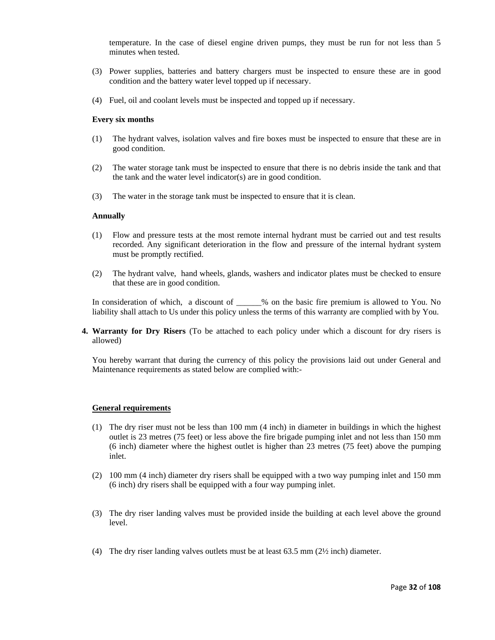temperature. In the case of diesel engine driven pumps, they must be run for not less than 5 minutes when tested.

- (3) Power supplies, batteries and battery chargers must be inspected to ensure these are in good condition and the battery water level topped up if necessary.
- (4) Fuel, oil and coolant levels must be inspected and topped up if necessary.

#### **Every six months**

- (1) The hydrant valves, isolation valves and fire boxes must be inspected to ensure that these are in good condition.
- (2) The water storage tank must be inspected to ensure that there is no debris inside the tank and that the tank and the water level indicator(s) are in good condition.
- (3) The water in the storage tank must be inspected to ensure that it is clean.

#### **Annually**

- (1) Flow and pressure tests at the most remote internal hydrant must be carried out and test results recorded. Any significant deterioration in the flow and pressure of the internal hydrant system must be promptly rectified.
- (2) The hydrant valve, hand wheels, glands, washers and indicator plates must be checked to ensure that these are in good condition.

In consideration of which, a discount of \_\_\_\_\_% on the basic fire premium is allowed to You. No liability shall attach to Us under this policy unless the terms of this warranty are complied with by You.

**4. Warranty for Dry Risers** (To be attached to each policy under which a discount for dry risers is allowed)

You hereby warrant that during the currency of this policy the provisions laid out under General and Maintenance requirements as stated below are complied with:-

#### **General requirements**

- (1) The dry riser must not be less than 100 mm (4 inch) in diameter in buildings in which the highest outlet is 23 metres (75 feet) or less above the fire brigade pumping inlet and not less than 150 mm (6 inch) diameter where the highest outlet is higher than 23 metres (75 feet) above the pumping inlet.
- (2) 100 mm (4 inch) diameter dry risers shall be equipped with a two way pumping inlet and 150 mm (6 inch) dry risers shall be equipped with a four way pumping inlet.
- (3) The dry riser landing valves must be provided inside the building at each level above the ground level.
- (4) The dry riser landing valves outlets must be at least 63.5 mm (2½ inch) diameter.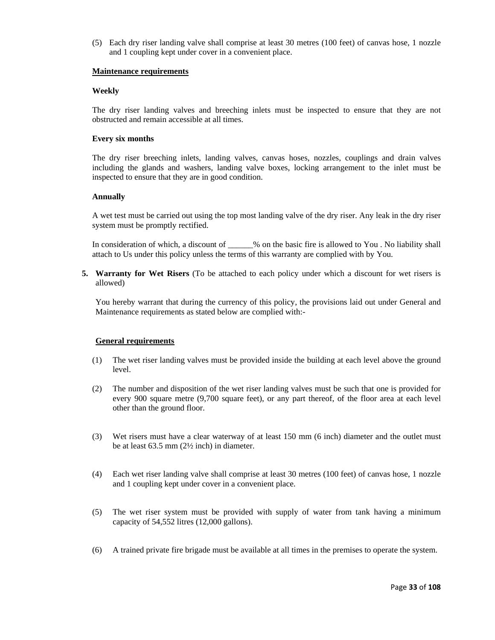(5) Each dry riser landing valve shall comprise at least 30 metres (100 feet) of canvas hose, 1 nozzle and 1 coupling kept under cover in a convenient place.

# **Maintenance requirements**

# **Weekly**

The dry riser landing valves and breeching inlets must be inspected to ensure that they are not obstructed and remain accessible at all times.

# **Every six months**

The dry riser breeching inlets, landing valves, canvas hoses, nozzles, couplings and drain valves including the glands and washers, landing valve boxes, locking arrangement to the inlet must be inspected to ensure that they are in good condition.

# **Annually**

A wet test must be carried out using the top most landing valve of the dry riser. Any leak in the dry riser system must be promptly rectified.

In consideration of which, a discount of \_\_\_\_\_\_% on the basic fire is allowed to You. No liability shall attach to Us under this policy unless the terms of this warranty are complied with by You.

**5. Warranty for Wet Risers** (To be attached to each policy under which a discount for wet risers is allowed)

You hereby warrant that during the currency of this policy, the provisions laid out under General and Maintenance requirements as stated below are complied with:-

# **General requirements**

- (1) The wet riser landing valves must be provided inside the building at each level above the ground level.
- (2) The number and disposition of the wet riser landing valves must be such that one is provided for every 900 square metre (9,700 square feet), or any part thereof, of the floor area at each level other than the ground floor.
- (3) Wet risers must have a clear waterway of at least 150 mm (6 inch) diameter and the outlet must be at least 63.5 mm (2½ inch) in diameter.
- (4) Each wet riser landing valve shall comprise at least 30 metres (100 feet) of canvas hose, 1 nozzle and 1 coupling kept under cover in a convenient place.
- (5) The wet riser system must be provided with supply of water from tank having a minimum capacity of 54,552 litres (12,000 gallons).
- (6) A trained private fire brigade must be available at all times in the premises to operate the system.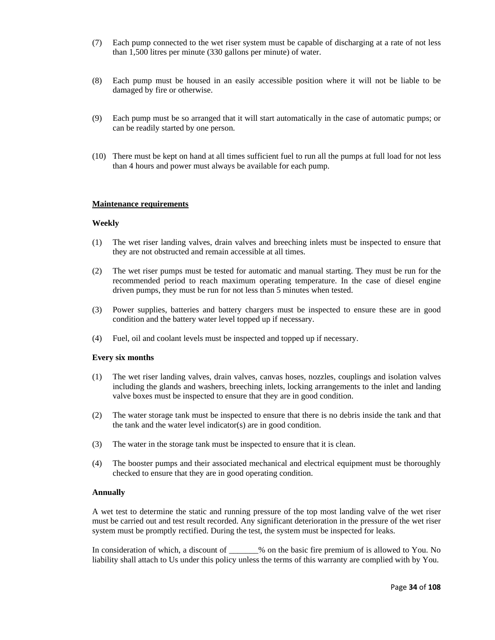- (7) Each pump connected to the wet riser system must be capable of discharging at a rate of not less than 1,500 litres per minute (330 gallons per minute) of water.
- (8) Each pump must be housed in an easily accessible position where it will not be liable to be damaged by fire or otherwise.
- (9) Each pump must be so arranged that it will start automatically in the case of automatic pumps; or can be readily started by one person.
- (10) There must be kept on hand at all times sufficient fuel to run all the pumps at full load for not less than 4 hours and power must always be available for each pump.

#### **Maintenance requirements**

#### **Weekly**

- (1) The wet riser landing valves, drain valves and breeching inlets must be inspected to ensure that they are not obstructed and remain accessible at all times.
- (2) The wet riser pumps must be tested for automatic and manual starting. They must be run for the recommended period to reach maximum operating temperature. In the case of diesel engine driven pumps, they must be run for not less than 5 minutes when tested.
- (3) Power supplies, batteries and battery chargers must be inspected to ensure these are in good condition and the battery water level topped up if necessary.
- (4) Fuel, oil and coolant levels must be inspected and topped up if necessary.

#### **Every six months**

- (1) The wet riser landing valves, drain valves, canvas hoses, nozzles, couplings and isolation valves including the glands and washers, breeching inlets, locking arrangements to the inlet and landing valve boxes must be inspected to ensure that they are in good condition.
- (2) The water storage tank must be inspected to ensure that there is no debris inside the tank and that the tank and the water level indicator(s) are in good condition.
- (3) The water in the storage tank must be inspected to ensure that it is clean.
- (4) The booster pumps and their associated mechanical and electrical equipment must be thoroughly checked to ensure that they are in good operating condition.

#### **Annually**

A wet test to determine the static and running pressure of the top most landing valve of the wet riser must be carried out and test result recorded. Any significant deterioration in the pressure of the wet riser system must be promptly rectified. During the test, the system must be inspected for leaks.

In consideration of which, a discount of \_\_\_\_\_\_% on the basic fire premium of is allowed to You. No liability shall attach to Us under this policy unless the terms of this warranty are complied with by You.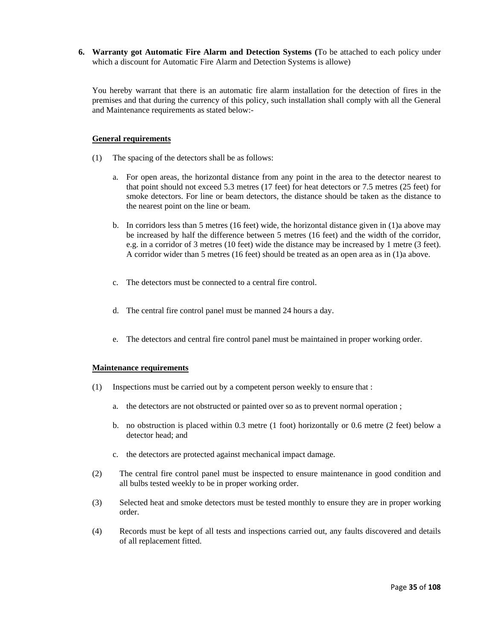**6. Warranty got Automatic Fire Alarm and Detection Systems (**To be attached to each policy under which a discount for Automatic Fire Alarm and Detection Systems is allowe)

You hereby warrant that there is an automatic fire alarm installation for the detection of fires in the premises and that during the currency of this policy, such installation shall comply with all the General and Maintenance requirements as stated below:-

# **General requirements**

- (1) The spacing of the detectors shall be as follows:
	- a. For open areas, the horizontal distance from any point in the area to the detector nearest to that point should not exceed 5.3 metres (17 feet) for heat detectors or 7.5 metres (25 feet) for smoke detectors. For line or beam detectors, the distance should be taken as the distance to the nearest point on the line or beam.
	- b. In corridors less than 5 metres (16 feet) wide, the horizontal distance given in (1)a above may be increased by half the difference between 5 metres (16 feet) and the width of the corridor, e.g. in a corridor of 3 metres (10 feet) wide the distance may be increased by 1 metre (3 feet). A corridor wider than 5 metres (16 feet) should be treated as an open area as in (1)a above.
	- c. The detectors must be connected to a central fire control.
	- d. The central fire control panel must be manned 24 hours a day.
	- e. The detectors and central fire control panel must be maintained in proper working order.

#### **Maintenance requirements**

- (1) Inspections must be carried out by a competent person weekly to ensure that :
	- a. the detectors are not obstructed or painted over so as to prevent normal operation ;
	- b. no obstruction is placed within 0.3 metre (1 foot) horizontally or 0.6 metre (2 feet) below a detector head; and
	- c. the detectors are protected against mechanical impact damage.
- (2) The central fire control panel must be inspected to ensure maintenance in good condition and all bulbs tested weekly to be in proper working order.
- (3) Selected heat and smoke detectors must be tested monthly to ensure they are in proper working order.
- (4) Records must be kept of all tests and inspections carried out, any faults discovered and details of all replacement fitted.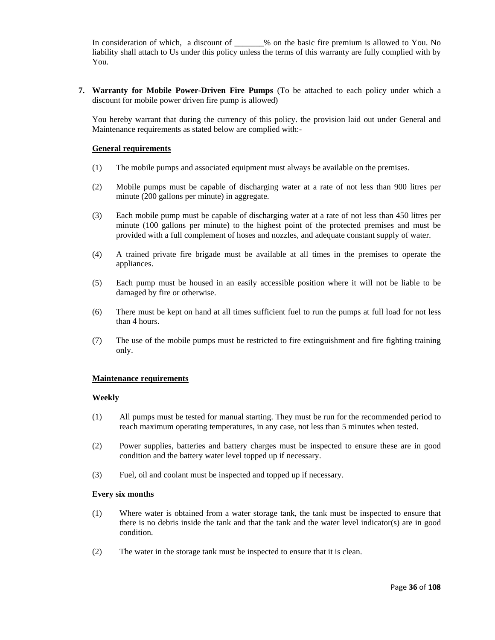In consideration of which, a discount of \_\_\_\_\_\_% on the basic fire premium is allowed to You. No liability shall attach to Us under this policy unless the terms of this warranty are fully complied with by You.

**7. Warranty for Mobile Power-Driven Fire Pumps** (To be attached to each policy under which a discount for mobile power driven fire pump is allowed)

You hereby warrant that during the currency of this policy. the provision laid out under General and Maintenance requirements as stated below are complied with:-

### **General requirements**

- (1) The mobile pumps and associated equipment must always be available on the premises.
- (2) Mobile pumps must be capable of discharging water at a rate of not less than 900 litres per minute (200 gallons per minute) in aggregate.
- (3) Each mobile pump must be capable of discharging water at a rate of not less than 450 litres per minute (100 gallons per minute) to the highest point of the protected premises and must be provided with a full complement of hoses and nozzles, and adequate constant supply of water.
- (4) A trained private fire brigade must be available at all times in the premises to operate the appliances.
- (5) Each pump must be housed in an easily accessible position where it will not be liable to be damaged by fire or otherwise.
- (6) There must be kept on hand at all times sufficient fuel to run the pumps at full load for not less than 4 hours.
- (7) The use of the mobile pumps must be restricted to fire extinguishment and fire fighting training only.

### **Maintenance requirements**

### **Weekly**

- (1) All pumps must be tested for manual starting. They must be run for the recommended period to reach maximum operating temperatures, in any case, not less than 5 minutes when tested.
- (2) Power supplies, batteries and battery charges must be inspected to ensure these are in good condition and the battery water level topped up if necessary.
- (3) Fuel, oil and coolant must be inspected and topped up if necessary.

### **Every six months**

- (1) Where water is obtained from a water storage tank, the tank must be inspected to ensure that there is no debris inside the tank and that the tank and the water level indicator(s) are in good condition.
- (2) The water in the storage tank must be inspected to ensure that it is clean.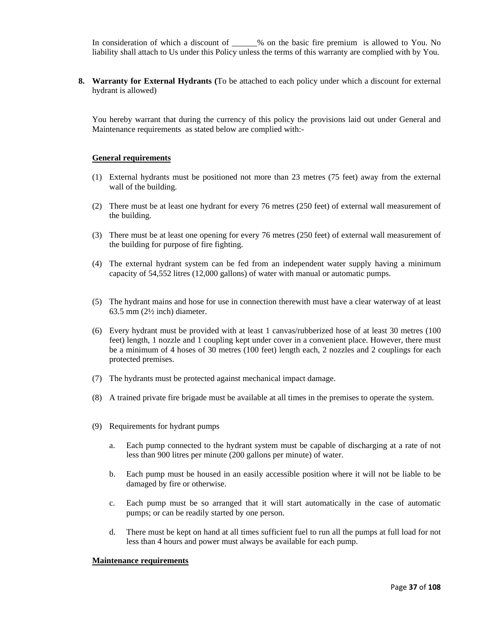In consideration of which a discount of \_\_\_\_\_% on the basic fire premium is allowed to You. No liability shall attach to Us under this Policy unless the terms of this warranty are complied with by You.

**8. Warranty for External Hydrants (**To be attached to each policy under which a discount for external hydrant is allowed)

You hereby warrant that during the currency of this policy the provisions laid out under General and Maintenance requirements as stated below are complied with:-

### **General requirements**

- (1) External hydrants must be positioned not more than 23 metres (75 feet) away from the external wall of the building.
- (2) There must be at least one hydrant for every 76 metres (250 feet) of external wall measurement of the building.
- (3) There must be at least one opening for every 76 metres (250 feet) of external wall measurement of the building for purpose of fire fighting.
- (4) The external hydrant system can be fed from an independent water supply having a minimum capacity of 54,552 litres (12,000 gallons) of water with manual or automatic pumps.
- (5) The hydrant mains and hose for use in connection therewith must have a clear waterway of at least 63.5 mm (2½ inch) diameter.
- (6) Every hydrant must be provided with at least 1 canvas/rubberized hose of at least 30 metres (100 feet) length, 1 nozzle and 1 coupling kept under cover in a convenient place. However, there must be a minimum of 4 hoses of 30 metres (100 feet) length each, 2 nozzles and 2 couplings for each protected premises.
- (7) The hydrants must be protected against mechanical impact damage.
- (8) A trained private fire brigade must be available at all times in the premises to operate the system.
- (9) Requirements for hydrant pumps
	- a. Each pump connected to the hydrant system must be capable of discharging at a rate of not less than 900 litres per minute (200 gallons per minute) of water.
	- b. Each pump must be housed in an easily accessible position where it will not be liable to be damaged by fire or otherwise.
	- c. Each pump must be so arranged that it will start automatically in the case of automatic pumps; or can be readily started by one person.
	- d. There must be kept on hand at all times sufficient fuel to run all the pumps at full load for not less than 4 hours and power must always be available for each pump.

#### **Maintenance requirements**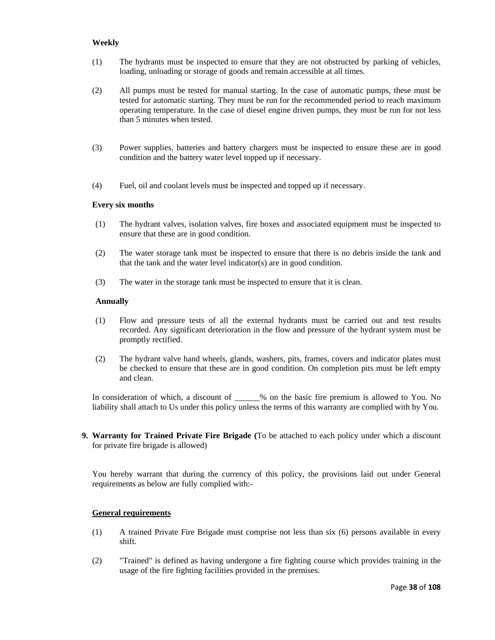# **Weekly**

- (1) The hydrants must be inspected to ensure that they are not obstructed by parking of vehicles, loading, unloading or storage of goods and remain accessible at all times.
- (2) All pumps must be tested for manual starting. In the case of automatic pumps, these must be tested for automatic starting. They must be run for the recommended period to reach maximum operating temperature. In the case of diesel engine driven pumps, they must be run for not less than 5 minutes when tested.
- (3) Power supplies, batteries and battery chargers must be inspected to ensure these are in good condition and the battery water level topped up if necessary.
- (4) Fuel, oil and coolant levels must be inspected and topped up if necessary.

## **Every six months**

- (1) The hydrant valves, isolation valves, fire boxes and associated equipment must be inspected to ensure that these are in good condition.
- (2) The water storage tank must be inspected to ensure that there is no debris inside the tank and that the tank and the water level indicator(s) are in good condition.
- (3) The water in the storage tank must be inspected to ensure that it is clean.

## **Annually**

- (1) Flow and pressure tests of all the external hydrants must be carried out and test results recorded. Any significant deterioration in the flow and pressure of the hydrant system must be promptly rectified.
- (2) The hydrant valve hand wheels, glands, washers, pits, frames, covers and indicator plates must be checked to ensure that these are in good condition. On completion pits must be left empty and clean.

In consideration of which, a discount of \_\_\_\_\_% on the basic fire premium is allowed to You. No liability shall attach to Us under this policy unless the terms of this warranty are complied with by You.

**9. Warranty for Trained Private Fire Brigade (**To be attached to each policy under which a discount for private fire brigade is allowed)

You hereby warrant that during the currency of this policy, the provisions laid out under General requirements as below are fully complied with:-

### **General requirements**

- (1) A trained Private Fire Brigade must comprise not less than six (6) persons available in every shift.
- (2) "Trained" is defined as having undergone a fire fighting course which provides training in the usage of the fire fighting facilities provided in the premises.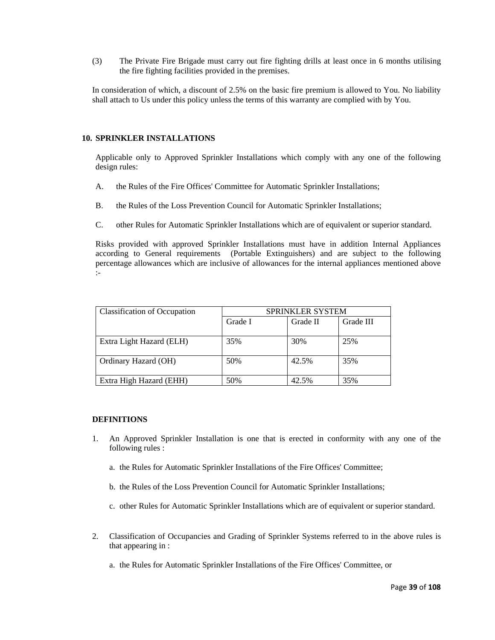(3) The Private Fire Brigade must carry out fire fighting drills at least once in 6 months utilising the fire fighting facilities provided in the premises.

In consideration of which, a discount of 2.5% on the basic fire premium is allowed to You. No liability shall attach to Us under this policy unless the terms of this warranty are complied with by You.

### **10. SPRINKLER INSTALLATIONS**

Applicable only to Approved Sprinkler Installations which comply with any one of the following design rules:

- A. the Rules of the Fire Offices' Committee for Automatic Sprinkler Installations;
- B. the Rules of the Loss Prevention Council for Automatic Sprinkler Installations;
- C. other Rules for Automatic Sprinkler Installations which are of equivalent or superior standard.

Risks provided with approved Sprinkler Installations must have in addition Internal Appliances according to General requirements (Portable Extinguishers) and are subject to the following percentage allowances which are inclusive of allowances for the internal appliances mentioned above :-

| <b>Classification of Occupation</b> | <b>SPRINKLER SYSTEM</b> |          |           |  |  |
|-------------------------------------|-------------------------|----------|-----------|--|--|
|                                     | Grade I                 | Grade II | Grade III |  |  |
| Extra Light Hazard (ELH)            | 35%                     | 30%      | 25%       |  |  |
| Ordinary Hazard (OH)                | 50%                     | 42.5%    | 35%       |  |  |
| Extra High Hazard (EHH)             | 50%                     | 42.5%    | 35%       |  |  |

### **DEFINITIONS**

- 1. An Approved Sprinkler Installation is one that is erected in conformity with any one of the following rules :
	- a. the Rules for Automatic Sprinkler Installations of the Fire Offices' Committee;
	- b. the Rules of the Loss Prevention Council for Automatic Sprinkler Installations;
	- c. other Rules for Automatic Sprinkler Installations which are of equivalent or superior standard.
- 2. Classification of Occupancies and Grading of Sprinkler Systems referred to in the above rules is that appearing in :
	- a. the Rules for Automatic Sprinkler Installations of the Fire Offices' Committee, or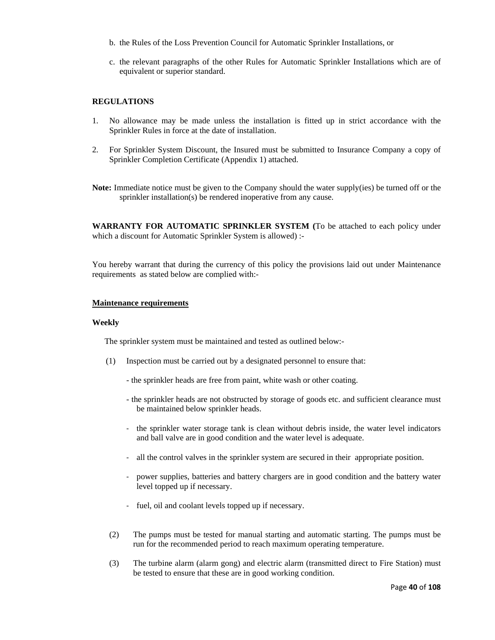- b. the Rules of the Loss Prevention Council for Automatic Sprinkler Installations, or
- c. the relevant paragraphs of the other Rules for Automatic Sprinkler Installations which are of equivalent or superior standard.

## **REGULATIONS**

- 1. No allowance may be made unless the installation is fitted up in strict accordance with the Sprinkler Rules in force at the date of installation.
- 2. For Sprinkler System Discount, the Insured must be submitted to Insurance Company a copy of Sprinkler Completion Certificate (Appendix 1) attached.
- **Note:** Immediate notice must be given to the Company should the water supply(ies) be turned off or the sprinkler installation(s) be rendered inoperative from any cause.

**WARRANTY FOR AUTOMATIC SPRINKLER SYSTEM (**To be attached to each policy under which a discount for Automatic Sprinkler System is allowed) :-

You hereby warrant that during the currency of this policy the provisions laid out under Maintenance requirements as stated below are complied with:-

### **Maintenance requirements**

### **Weekly**

The sprinkler system must be maintained and tested as outlined below:-

- (1) Inspection must be carried out by a designated personnel to ensure that:
	- the sprinkler heads are free from paint, white wash or other coating.
	- the sprinkler heads are not obstructed by storage of goods etc. and sufficient clearance must be maintained below sprinkler heads.
	- ‐ the sprinkler water storage tank is clean without debris inside, the water level indicators and ball valve are in good condition and the water level is adequate.
	- ‐ all the control valves in the sprinkler system are secured in their appropriate position.
	- ‐ power supplies, batteries and battery chargers are in good condition and the battery water level topped up if necessary.
	- ‐ fuel, oil and coolant levels topped up if necessary.
- (2) The pumps must be tested for manual starting and automatic starting. The pumps must be run for the recommended period to reach maximum operating temperature.
- (3) The turbine alarm (alarm gong) and electric alarm (transmitted direct to Fire Station) must be tested to ensure that these are in good working condition.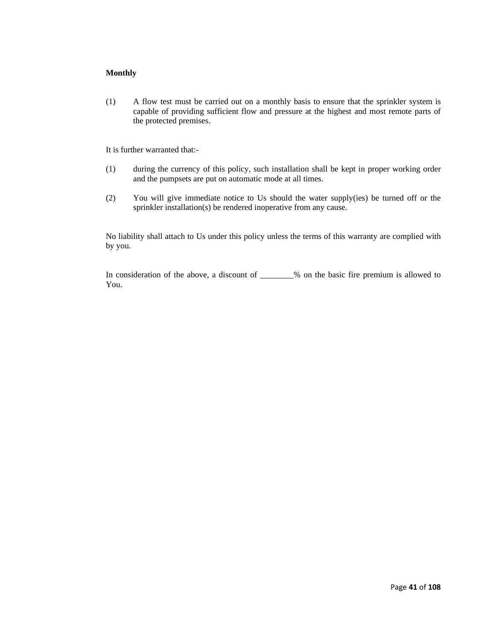# **Monthly**

(1) A flow test must be carried out on a monthly basis to ensure that the sprinkler system is capable of providing sufficient flow and pressure at the highest and most remote parts of the protected premises.

It is further warranted that:-

- (1) during the currency of this policy, such installation shall be kept in proper working order and the pumpsets are put on automatic mode at all times.
- (2) You will give immediate notice to Us should the water supply(ies) be turned off or the sprinkler installation(s) be rendered inoperative from any cause.

No liability shall attach to Us under this policy unless the terms of this warranty are complied with by you.

In consideration of the above, a discount of \_\_\_\_\_\_\_\_% on the basic fire premium is allowed to You.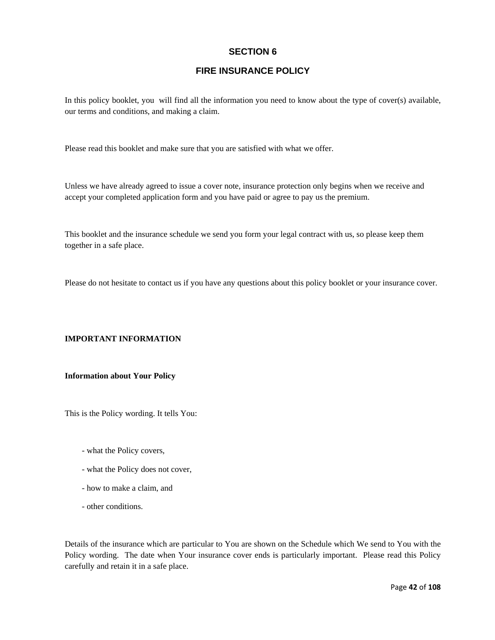# **SECTION 6**

# **FIRE INSURANCE POLICY**

In this policy booklet, you will find all the information you need to know about the type of cover(s) available, our terms and conditions, and making a claim.

Please read this booklet and make sure that you are satisfied with what we offer.

Unless we have already agreed to issue a cover note, insurance protection only begins when we receive and accept your completed application form and you have paid or agree to pay us the premium.

This booklet and the insurance schedule we send you form your legal contract with us, so please keep them together in a safe place.

Please do not hesitate to contact us if you have any questions about this policy booklet or your insurance cover.

# **IMPORTANT INFORMATION**

## **Information about Your Policy**

This is the Policy wording. It tells You:

- what the Policy covers,
- what the Policy does not cover,
- how to make a claim, and
- other conditions.

Details of the insurance which are particular to You are shown on the Schedule which We send to You with the Policy wording. The date when Your insurance cover ends is particularly important. Please read this Policy carefully and retain it in a safe place.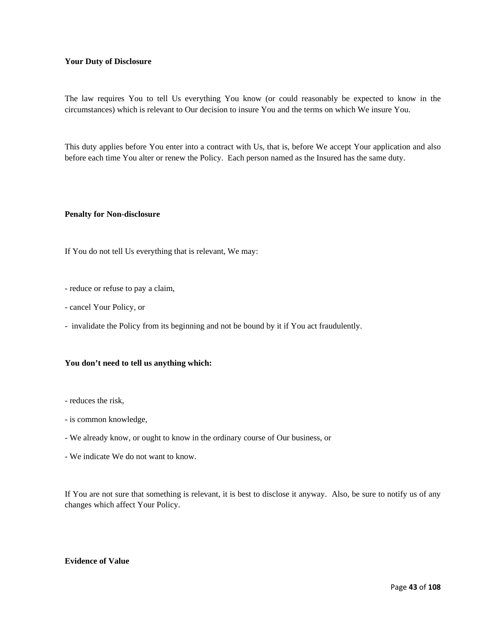### **Your Duty of Disclosure**

The law requires You to tell Us everything You know (or could reasonably be expected to know in the circumstances) which is relevant to Our decision to insure You and the terms on which We insure You.

This duty applies before You enter into a contract with Us, that is, before We accept Your application and also before each time You alter or renew the Policy. Each person named as the Insured has the same duty.

### **Penalty for Non-disclosure**

If You do not tell Us everything that is relevant, We may:

- reduce or refuse to pay a claim,
- cancel Your Policy, or
- invalidate the Policy from its beginning and not be bound by it if You act fraudulently.

# **You don't need to tell us anything which:**

- reduces the risk,
- is common knowledge,
- We already know, or ought to know in the ordinary course of Our business, or
- We indicate We do not want to know.

If You are not sure that something is relevant, it is best to disclose it anyway. Also, be sure to notify us of any changes which affect Your Policy.

# **Evidence of Value**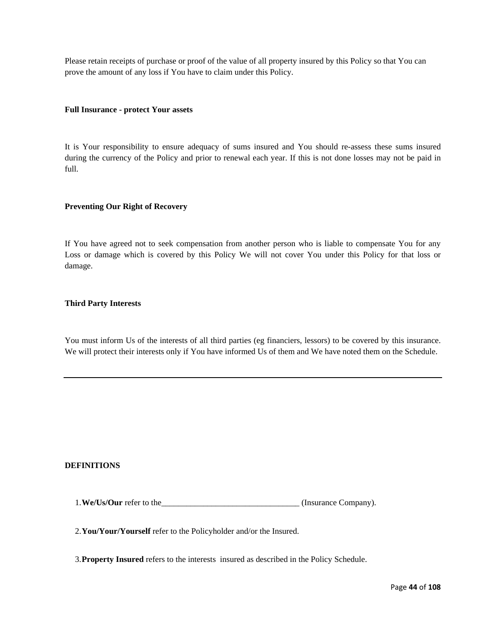Please retain receipts of purchase or proof of the value of all property insured by this Policy so that You can prove the amount of any loss if You have to claim under this Policy.

### **Full Insurance - protect Your assets**

It is Your responsibility to ensure adequacy of sums insured and You should re-assess these sums insured during the currency of the Policy and prior to renewal each year. If this is not done losses may not be paid in full.

## **Preventing Our Right of Recovery**

If You have agreed not to seek compensation from another person who is liable to compensate You for any Loss or damage which is covered by this Policy We will not cover You under this Policy for that loss or damage.

## **Third Party Interests**

You must inform Us of the interests of all third parties (eg financiers, lessors) to be covered by this insurance. We will protect their interests only if You have informed Us of them and We have noted them on the Schedule.

### **DEFINITIONS**

1.**We/Us/Our** refer to the\_\_\_\_\_\_\_\_\_\_\_\_\_\_\_\_\_\_\_\_\_\_\_\_\_\_\_\_\_\_\_\_\_ (Insurance Company).

2.**You/Your/Yourself** refer to the Policyholder and/or the Insured.

3.**Property Insured** refers to the interests insured as described in the Policy Schedule.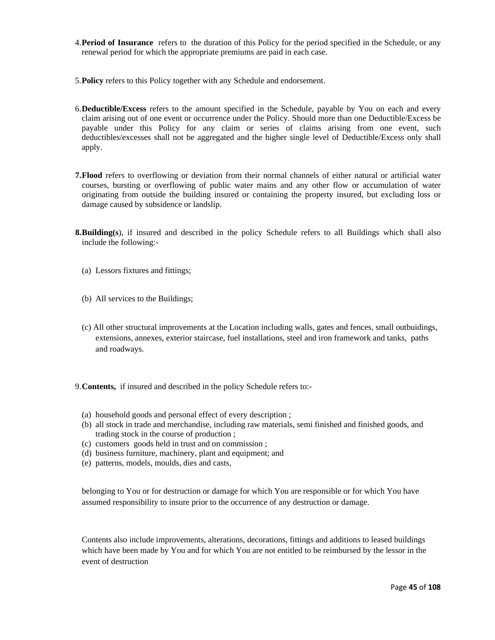- 4.**Period of Insurance** refers to the duration of this Policy for the period specified in the Schedule, or any renewal period for which the appropriate premiums are paid in each case.
- 5.**Policy** refers to this Policy together with any Schedule and endorsement.
- 6.**Deductible/Excess** refers to the amount specified in the Schedule, payable by You on each and every claim arising out of one event or occurrence under the Policy. Should more than one Deductible/Excess be payable under this Policy for any claim or series of claims arising from one event, such deductibles/excesses shall not be aggregated and the higher single level of Deductible/Excess only shall apply.
- **7.Flood** refers to overflowing or deviation from their normal channels of either natural or artificial water courses, bursting or overflowing of public water mains and any other flow or accumulation of water originating from outside the building insured or containing the property insured, but excluding loss or damage caused by subsidence or landslip.
- **8.Building(s**), if insured and described in the policy Schedule refers to all Buildings which shall also include the following:-
	- (a) Lessors fixtures and fittings;
	- (b) All services to the Buildings;
	- (c) All other structural improvements at the Location including walls, gates and fences, small outbuidings, extensions, annexes, exterior staircase, fuel installations, steel and iron framework and tanks, paths and roadways.
- 9.**Contents,** if insured and described in the policy Schedule refers to:-
	- (a) household goods and personal effect of every description ;
	- (b) all stock in trade and merchandise, including raw materials, semi finished and finished goods, and trading stock in the course of production ;
	- (c) customers goods held in trust and on commission ;
	- (d) business furniture, machinery, plant and equipment; and
	- (e) patterns, models, moulds, dies and casts,

belonging to You or for destruction or damage for which You are responsible or for which You have assumed responsibility to insure prior to the occurrence of any destruction or damage.

 Contents also include improvements, alterations, decorations, fittings and additions to leased buildings which have been made by You and for which You are not entitled to be reimbursed by the lessor in the event of destruction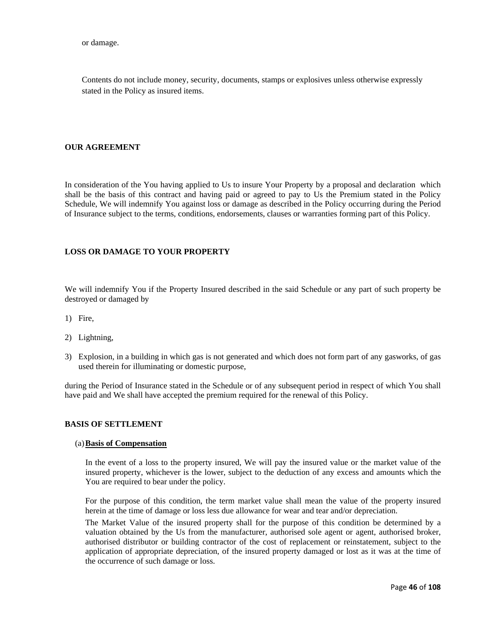or damage.

Contents do not include money, security, documents, stamps or explosives unless otherwise expressly stated in the Policy as insured items.

## **OUR AGREEMENT**

In consideration of the You having applied to Us to insure Your Property by a proposal and declaration which shall be the basis of this contract and having paid or agreed to pay to Us the Premium stated in the Policy Schedule, We will indemnify You against loss or damage as described in the Policy occurring during the Period of Insurance subject to the terms, conditions, endorsements, clauses or warranties forming part of this Policy.

# **LOSS OR DAMAGE TO YOUR PROPERTY**

We will indemnify You if the Property Insured described in the said Schedule or any part of such property be destroyed or damaged by

- 1) Fire,
- 2) Lightning,
- 3) Explosion, in a building in which gas is not generated and which does not form part of any gasworks, of gas used therein for illuminating or domestic purpose,

during the Period of Insurance stated in the Schedule or of any subsequent period in respect of which You shall have paid and We shall have accepted the premium required for the renewal of this Policy.

## **BASIS OF SETTLEMENT**

#### (a)**Basis of Compensation**

In the event of a loss to the property insured, We will pay the insured value or the market value of the insured property, whichever is the lower, subject to the deduction of any excess and amounts which the You are required to bear under the policy.

 For the purpose of this condition, the term market value shall mean the value of the property insured herein at the time of damage or loss less due allowance for wear and tear and/or depreciation.

 The Market Value of the insured property shall for the purpose of this condition be determined by a valuation obtained by the Us from the manufacturer, authorised sole agent or agent, authorised broker, authorised distributor or building contractor of the cost of replacement or reinstatement, subject to the application of appropriate depreciation, of the insured property damaged or lost as it was at the time of the occurrence of such damage or loss.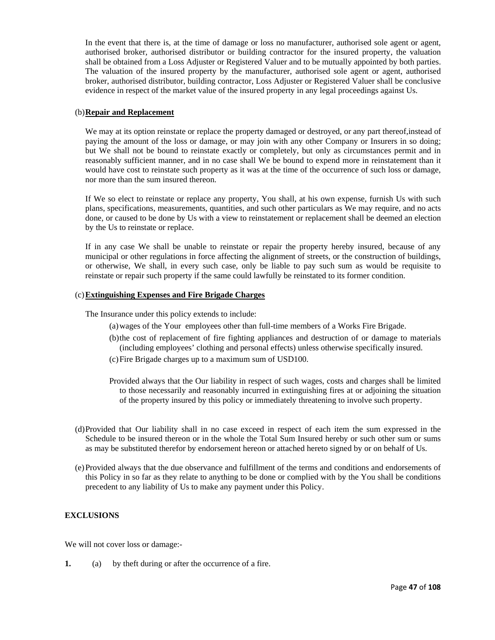In the event that there is, at the time of damage or loss no manufacturer, authorised sole agent or agent, authorised broker, authorised distributor or building contractor for the insured property, the valuation shall be obtained from a Loss Adjuster or Registered Valuer and to be mutually appointed by both parties. The valuation of the insured property by the manufacturer, authorised sole agent or agent, authorised broker, authorised distributor, building contractor, Loss Adjuster or Registered Valuer shall be conclusive evidence in respect of the market value of the insured property in any legal proceedings against Us.

### (b)**Repair and Replacement**

We may at its option reinstate or replace the property damaged or destroyed, or any part thereof, instead of paying the amount of the loss or damage, or may join with any other Company or Insurers in so doing; but We shall not be bound to reinstate exactly or completely, but only as circumstances permit and in reasonably sufficient manner, and in no case shall We be bound to expend more in reinstatement than it would have cost to reinstate such property as it was at the time of the occurrence of such loss or damage, nor more than the sum insured thereon.

 If We so elect to reinstate or replace any property, You shall, at his own expense, furnish Us with such plans, specifications, measurements, quantities, and such other particulars as We may require, and no acts done, or caused to be done by Us with a view to reinstatement or replacement shall be deemed an election by the Us to reinstate or replace.

If in any case We shall be unable to reinstate or repair the property hereby insured, because of any municipal or other regulations in force affecting the alignment of streets, or the construction of buildings, or otherwise, We shall, in every such case, only be liable to pay such sum as would be requisite to reinstate or repair such property if the same could lawfully be reinstated to its former condition.

## (c)**Extinguishing Expenses and Fire Brigade Charges**

The Insurance under this policy extends to include:

- (a)wages of the Your employees other than full-time members of a Works Fire Brigade.
- (b)the cost of replacement of fire fighting appliances and destruction of or damage to materials (including employees' clothing and personal effects) unless otherwise specifically insured.
- (c)Fire Brigade charges up to a maximum sum of USD100.
- Provided always that the Our liability in respect of such wages, costs and charges shall be limited to those necessarily and reasonably incurred in extinguishing fires at or adjoining the situation of the property insured by this policy or immediately threatening to involve such property.
- (d)Provided that Our liability shall in no case exceed in respect of each item the sum expressed in the Schedule to be insured thereon or in the whole the Total Sum Insured hereby or such other sum or sums as may be substituted therefor by endorsement hereon or attached hereto signed by or on behalf of Us.
- (e)Provided always that the due observance and fulfillment of the terms and conditions and endorsements of this Policy in so far as they relate to anything to be done or complied with by the You shall be conditions precedent to any liability of Us to make any payment under this Policy.

# **EXCLUSIONS**

We will not cover loss or damage:-

**1.** (a) by theft during or after the occurrence of a fire.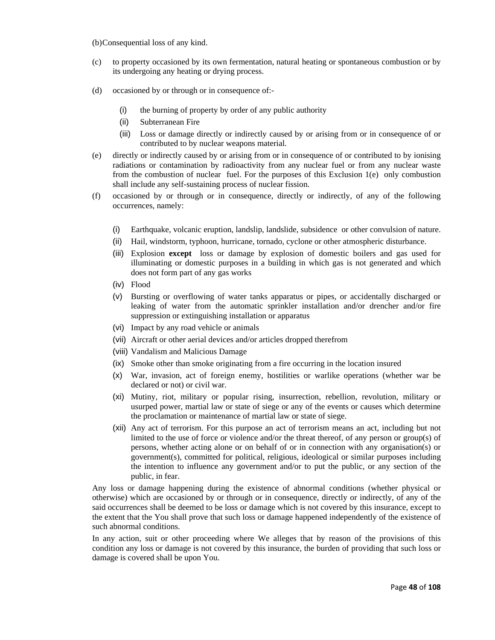(b)Consequential loss of any kind.

- (c) to property occasioned by its own fermentation, natural heating or spontaneous combustion or by its undergoing any heating or drying process.
- (d) occasioned by or through or in consequence of:-
	- (i) the burning of property by order of any public authority
	- (ii) Subterranean Fire
	- (iii) Loss or damage directly or indirectly caused by or arising from or in consequence of or contributed to by nuclear weapons material.
- (e) directly or indirectly caused by or arising from or in consequence of or contributed to by ionising radiations or contamination by radioactivity from any nuclear fuel or from any nuclear waste from the combustion of nuclear fuel. For the purposes of this Exclusion 1(e) only combustion shall include any self-sustaining process of nuclear fission.
- (f) occasioned by or through or in consequence, directly or indirectly, of any of the following occurrences, namely:
	- (i) Earthquake, volcanic eruption, landslip, landslide, subsidence or other convulsion of nature.
	- (ii) Hail, windstorm, typhoon, hurricane, tornado, cyclone or other atmospheric disturbance.
	- (iii) Explosion **except** loss or damage by explosion of domestic boilers and gas used for illuminating or domestic purposes in a building in which gas is not generated and which does not form part of any gas works
	- (iv) Flood
	- (v) Bursting or overflowing of water tanks apparatus or pipes, or accidentally discharged or leaking of water from the automatic sprinkler installation and/or drencher and/or fire suppression or extinguishing installation or apparatus
	- (vi) Impact by any road vehicle or animals
	- (vii) Aircraft or other aerial devices and/or articles dropped therefrom
	- (viii) Vandalism and Malicious Damage
	- (ix) Smoke other than smoke originating from a fire occurring in the location insured
	- (x) War, invasion, act of foreign enemy, hostilities or warlike operations (whether war be declared or not) or civil war.
	- (xi) Mutiny, riot, military or popular rising, insurrection, rebellion, revolution, military or usurped power, martial law or state of siege or any of the events or causes which determine the proclamation or maintenance of martial law or state of siege.
	- (xii) Any act of terrorism. For this purpose an act of terrorism means an act, including but not limited to the use of force or violence and/or the threat thereof, of any person or group(s) of persons, whether acting alone or on behalf of or in connection with any organisation(s) or government(s), committed for political, religious, ideological or similar purposes including the intention to influence any government and/or to put the public, or any section of the public, in fear.

Any loss or damage happening during the existence of abnormal conditions (whether physical or otherwise) which are occasioned by or through or in consequence, directly or indirectly, of any of the said occurrences shall be deemed to be loss or damage which is not covered by this insurance, except to the extent that the You shall prove that such loss or damage happened independently of the existence of such abnormal conditions.

In any action, suit or other proceeding where We alleges that by reason of the provisions of this condition any loss or damage is not covered by this insurance, the burden of providing that such loss or damage is covered shall be upon You.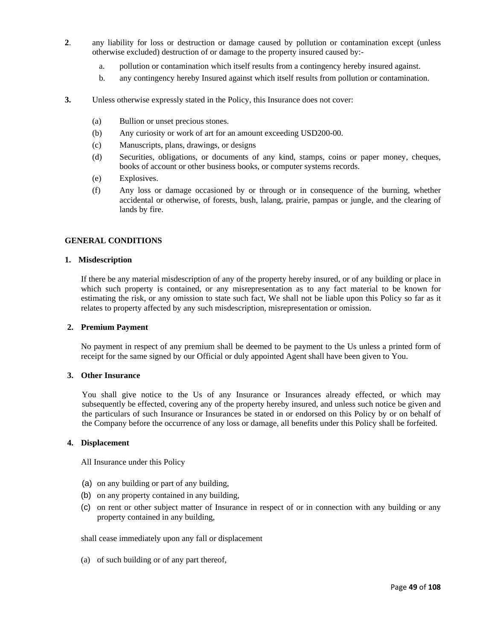- **2**. any liability for loss or destruction or damage caused by pollution or contamination except (unless otherwise excluded) destruction of or damage to the property insured caused by:
	- a. pollution or contamination which itself results from a contingency hereby insured against.
	- b. any contingency hereby Insured against which itself results from pollution or contamination.
- **3.** Unless otherwise expressly stated in the Policy, this Insurance does not cover:
	- (a) Bullion or unset precious stones.
	- (b) Any curiosity or work of art for an amount exceeding USD200-00.
	- (c) Manuscripts, plans, drawings, or designs
	- (d) Securities, obligations, or documents of any kind, stamps, coins or paper money, cheques, books of account or other business books, or computer systems records.
	- (e) Explosives.
	- (f) Any loss or damage occasioned by or through or in consequence of the burning, whether accidental or otherwise, of forests, bush, lalang, prairie, pampas or jungle, and the clearing of lands by fire.

#### **GENERAL CONDITIONS**

#### **1. Misdescription**

If there be any material misdescription of any of the property hereby insured, or of any building or place in which such property is contained, or any misrepresentation as to any fact material to be known for estimating the risk, or any omission to state such fact, We shall not be liable upon this Policy so far as it relates to property affected by any such misdescription, misrepresentation or omission.

#### **2. Premium Payment**

No payment in respect of any premium shall be deemed to be payment to the Us unless a printed form of receipt for the same signed by our Official or duly appointed Agent shall have been given to You.

## **3. Other Insurance**

You shall give notice to the Us of any Insurance or Insurances already effected, or which may subsequently be effected, covering any of the property hereby insured, and unless such notice be given and the particulars of such Insurance or Insurances be stated in or endorsed on this Policy by or on behalf of the Company before the occurrence of any loss or damage, all benefits under this Policy shall be forfeited.

#### **4. Displacement**

All Insurance under this Policy

- (a) on any building or part of any building,
- (b) on any property contained in any building,
- (c) on rent or other subject matter of Insurance in respect of or in connection with any building or any property contained in any building,

shall cease immediately upon any fall or displacement

(a) of such building or of any part thereof,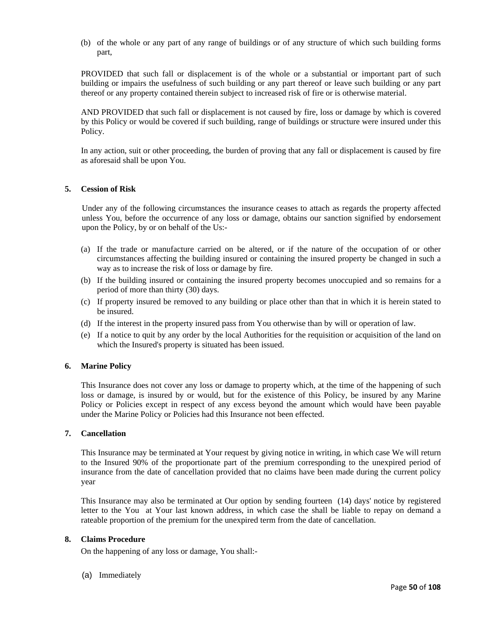(b) of the whole or any part of any range of buildings or of any structure of which such building forms part,

PROVIDED that such fall or displacement is of the whole or a substantial or important part of such building or impairs the usefulness of such building or any part thereof or leave such building or any part thereof or any property contained therein subject to increased risk of fire or is otherwise material.

AND PROVIDED that such fall or displacement is not caused by fire, loss or damage by which is covered by this Policy or would be covered if such building, range of buildings or structure were insured under this Policy.

In any action, suit or other proceeding, the burden of proving that any fall or displacement is caused by fire as aforesaid shall be upon You.

## **5. Cession of Risk**

Under any of the following circumstances the insurance ceases to attach as regards the property affected unless You, before the occurrence of any loss or damage, obtains our sanction signified by endorsement upon the Policy, by or on behalf of the Us:-

- (a) If the trade or manufacture carried on be altered, or if the nature of the occupation of or other circumstances affecting the building insured or containing the insured property be changed in such a way as to increase the risk of loss or damage by fire.
- (b) If the building insured or containing the insured property becomes unoccupied and so remains for a period of more than thirty (30) days.
- (c) If property insured be removed to any building or place other than that in which it is herein stated to be insured.
- (d) If the interest in the property insured pass from You otherwise than by will or operation of law.
- (e) If a notice to quit by any order by the local Authorities for the requisition or acquisition of the land on which the Insured's property is situated has been issued.

### **6. Marine Policy**

This Insurance does not cover any loss or damage to property which, at the time of the happening of such loss or damage, is insured by or would, but for the existence of this Policy, be insured by any Marine Policy or Policies except in respect of any excess beyond the amount which would have been payable under the Marine Policy or Policies had this Insurance not been effected.

### **7. Cancellation**

This Insurance may be terminated at Your request by giving notice in writing, in which case We will return to the Insured 90% of the proportionate part of the premium corresponding to the unexpired period of insurance from the date of cancellation provided that no claims have been made during the current policy year

This Insurance may also be terminated at Our option by sending fourteen (14) days' notice by registered letter to the You at Your last known address, in which case the shall be liable to repay on demand a rateable proportion of the premium for the unexpired term from the date of cancellation.

### **8. Claims Procedure**

On the happening of any loss or damage, You shall:-

(a) Immediately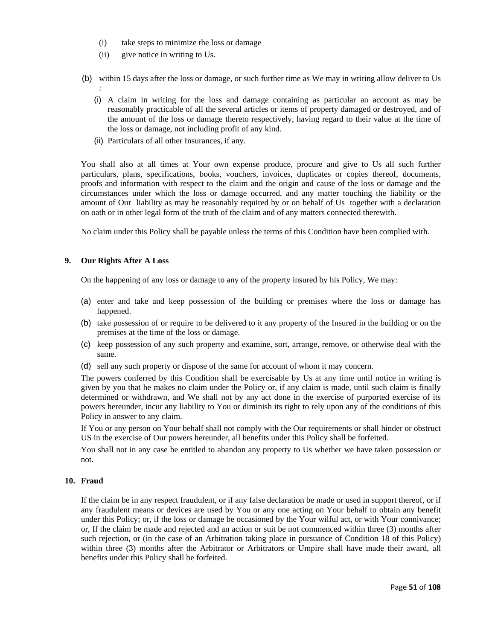- (i) take steps to minimize the loss or damage
- (ii) give notice in writing to Us.
- (b) within 15 days after the loss or damage, or such further time as We may in writing allow deliver to Us :
	- (i) A claim in writing for the loss and damage containing as particular an account as may be reasonably practicable of all the several articles or items of property damaged or destroyed, and of the amount of the loss or damage thereto respectively, having regard to their value at the time of the loss or damage, not including profit of any kind.
	- (ii) Particulars of all other Insurances, if any.

You shall also at all times at Your own expense produce, procure and give to Us all such further particulars, plans, specifications, books, vouchers, invoices, duplicates or copies thereof, documents, proofs and information with respect to the claim and the origin and cause of the loss or damage and the circumstances under which the loss or damage occurred, and any matter touching the liability or the amount of Our liability as may be reasonably required by or on behalf of Us together with a declaration on oath or in other legal form of the truth of the claim and of any matters connected therewith.

No claim under this Policy shall be payable unless the terms of this Condition have been complied with.

## **9. Our Rights After A Loss**

On the happening of any loss or damage to any of the property insured by his Policy, We may:

- (a) enter and take and keep possession of the building or premises where the loss or damage has happened.
- (b) take possession of or require to be delivered to it any property of the Insured in the building or on the premises at the time of the loss or damage.
- (c) keep possession of any such property and examine, sort, arrange, remove, or otherwise deal with the same.
- (d) sell any such property or dispose of the same for account of whom it may concern.

The powers conferred by this Condition shall be exercisable by Us at any time until notice in writing is given by you that he makes no claim under the Policy or, if any claim is made, until such claim is finally determined or withdrawn, and We shall not by any act done in the exercise of purported exercise of its powers hereunder, incur any liability to You or diminish its right to rely upon any of the conditions of this Policy in answer to any claim.

If You or any person on Your behalf shall not comply with the Our requirements or shall hinder or obstruct US in the exercise of Our powers hereunder, all benefits under this Policy shall be forfeited.

You shall not in any case be entitled to abandon any property to Us whether we have taken possession or not.

### **10. Fraud**

If the claim be in any respect fraudulent, or if any false declaration be made or used in support thereof, or if any fraudulent means or devices are used by You or any one acting on Your behalf to obtain any benefit under this Policy; or, if the loss or damage be occasioned by the Your wilful act, or with Your connivance; or, If the claim be made and rejected and an action or suit be not commenced within three (3) months after such rejection, or (in the case of an Arbitration taking place in pursuance of Condition 18 of this Policy) within three (3) months after the Arbitrator or Arbitrators or Umpire shall have made their award, all benefits under this Policy shall be forfeited.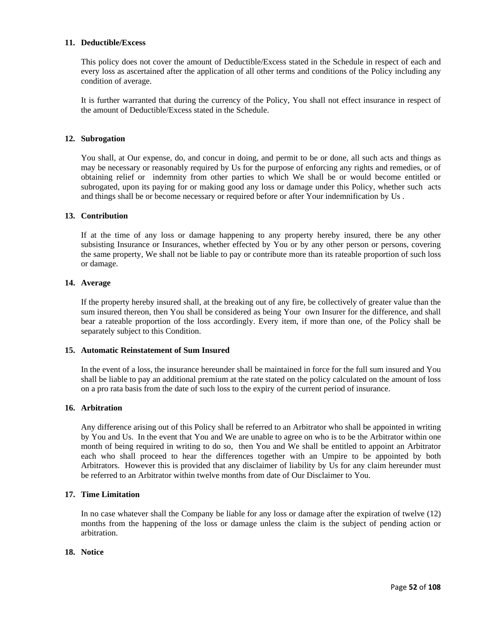# **11. Deductible/Excess**

This policy does not cover the amount of Deductible/Excess stated in the Schedule in respect of each and every loss as ascertained after the application of all other terms and conditions of the Policy including any condition of average.

It is further warranted that during the currency of the Policy, You shall not effect insurance in respect of the amount of Deductible/Excess stated in the Schedule.

### **12. Subrogation**

You shall, at Our expense, do, and concur in doing, and permit to be or done, all such acts and things as may be necessary or reasonably required by Us for the purpose of enforcing any rights and remedies, or of obtaining relief or indemnity from other parties to which We shall be or would become entitled or subrogated, upon its paying for or making good any loss or damage under this Policy, whether such acts and things shall be or become necessary or required before or after Your indemnification by Us .

### **13. Contribution**

If at the time of any loss or damage happening to any property hereby insured, there be any other subsisting Insurance or Insurances, whether effected by You or by any other person or persons, covering the same property, We shall not be liable to pay or contribute more than its rateable proportion of such loss or damage.

### **14. Average**

If the property hereby insured shall, at the breaking out of any fire, be collectively of greater value than the sum insured thereon, then You shall be considered as being Your own Insurer for the difference, and shall bear a rateable proportion of the loss accordingly. Every item, if more than one, of the Policy shall be separately subject to this Condition.

### **15. Automatic Reinstatement of Sum Insured**

In the event of a loss, the insurance hereunder shall be maintained in force for the full sum insured and You shall be liable to pay an additional premium at the rate stated on the policy calculated on the amount of loss on a pro rata basis from the date of such loss to the expiry of the current period of insurance.

### **16. Arbitration**

Any difference arising out of this Policy shall be referred to an Arbitrator who shall be appointed in writing by You and Us. In the event that You and We are unable to agree on who is to be the Arbitrator within one month of being required in writing to do so, then You and We shall be entitled to appoint an Arbitrator each who shall proceed to hear the differences together with an Umpire to be appointed by both Arbitrators. However this is provided that any disclaimer of liability by Us for any claim hereunder must be referred to an Arbitrator within twelve months from date of Our Disclaimer to You.

### **17. Time Limitation**

In no case whatever shall the Company be liable for any loss or damage after the expiration of twelve (12) months from the happening of the loss or damage unless the claim is the subject of pending action or arbitration.

# **18. Notice**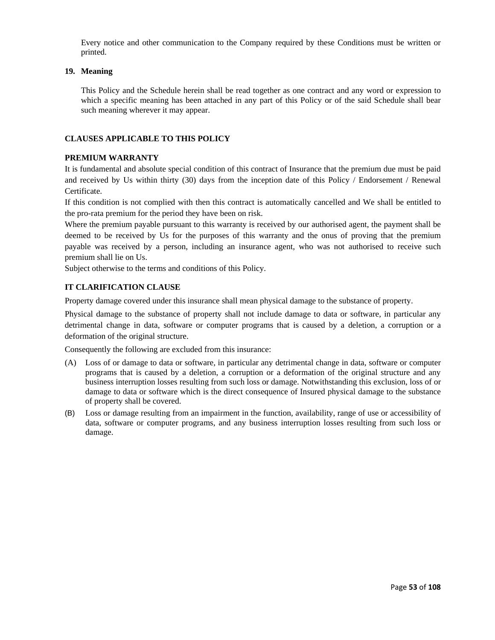Every notice and other communication to the Company required by these Conditions must be written or printed.

# **19. Meaning**

This Policy and the Schedule herein shall be read together as one contract and any word or expression to which a specific meaning has been attached in any part of this Policy or of the said Schedule shall bear such meaning wherever it may appear.

# **CLAUSES APPLICABLE TO THIS POLICY**

# **PREMIUM WARRANTY**

It is fundamental and absolute special condition of this contract of Insurance that the premium due must be paid and received by Us within thirty (30) days from the inception date of this Policy / Endorsement / Renewal Certificate.

If this condition is not complied with then this contract is automatically cancelled and We shall be entitled to the pro-rata premium for the period they have been on risk.

Where the premium payable pursuant to this warranty is received by our authorised agent, the payment shall be deemed to be received by Us for the purposes of this warranty and the onus of proving that the premium payable was received by a person, including an insurance agent, who was not authorised to receive such premium shall lie on Us.

Subject otherwise to the terms and conditions of this Policy.

# **IT CLARIFICATION CLAUSE**

Property damage covered under this insurance shall mean physical damage to the substance of property.

Physical damage to the substance of property shall not include damage to data or software, in particular any detrimental change in data, software or computer programs that is caused by a deletion, a corruption or a deformation of the original structure.

Consequently the following are excluded from this insurance:

- (A) Loss of or damage to data or software, in particular any detrimental change in data, software or computer programs that is caused by a deletion, a corruption or a deformation of the original structure and any business interruption losses resulting from such loss or damage. Notwithstanding this exclusion, loss of or damage to data or software which is the direct consequence of Insured physical damage to the substance of property shall be covered.
- (B) Loss or damage resulting from an impairment in the function, availability, range of use or accessibility of data, software or computer programs, and any business interruption losses resulting from such loss or damage.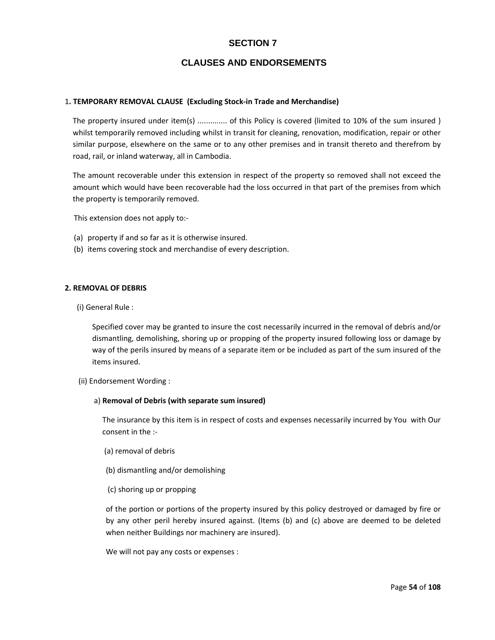# **SECTION 7**

# **CLAUSES AND ENDORSEMENTS**

### 1**. TEMPORARY REMOVAL CLAUSE (Excluding Stock‐in Trade and Merchandise)**

The property insured under item(s) .............. of this Policy is covered (limited to 10% of the sum insured ) whilst temporarily removed including whilst in transit for cleaning, renovation, modification, repair or other similar purpose, elsewhere on the same or to any other premises and in transit thereto and therefrom by road, rail, or inland waterway, all in Cambodia.

The amount recoverable under this extension in respect of the property so removed shall not exceed the amount which would have been recoverable had the loss occurred in that part of the premises from which the property is temporarily removed.

This extension does not apply to:‐

- (a) property if and so far as it is otherwise insured.
- (b) items covering stock and merchandise of every description.

## **2. REMOVAL OF DEBRIS**

(i) General Rule :

Specified cover may be granted to insure the cost necessarily incurred in the removal of debris and/or dismantling, demolishing, shoring up or propping of the property insured following loss or damage by way of the perils insured by means of a separate item or be included as part of the sum insured of the items insured.

#### (ii) Endorsement Wording :

#### a) **Removal of Debris (with separate sum insured)**

The insurance by this item is in respect of costs and expenses necessarily incurred by You with Our consent in the :‐

- (a) removal of debris
- (b) dismantling and/or demolishing
- (c) shoring up or propping

of the portion or portions of the property insured by this policy destroyed or damaged by fire or by any other peril hereby insured against. (Items (b) and (c) above are deemed to be deleted when neither Buildings nor machinery are insured).

We will not pay any costs or expenses :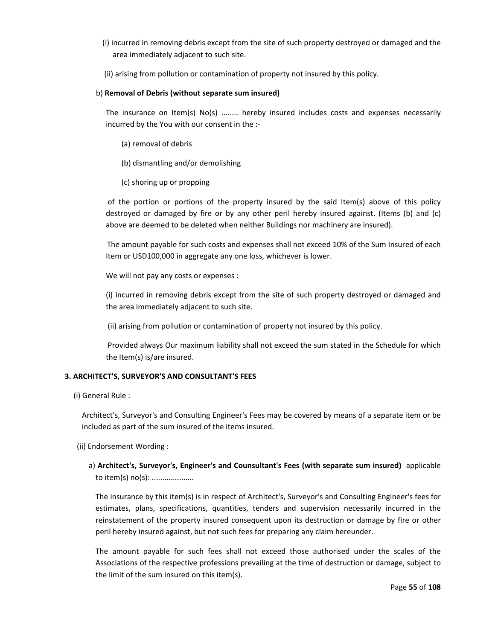- (i) incurred in removing debris except from the site of such property destroyed or damaged and the area immediately adjacent to such site.
- (ii) arising from pollution or contamination of property not insured by this policy.

# b) **Removal of Debris (without separate sum insured)**

The insurance on Item(s) No(s) ........ hereby insured includes costs and expenses necessarily incurred by the You with our consent in the :‐

- (a) removal of debris
- (b) dismantling and/or demolishing
- (c) shoring up or propping

of the portion or portions of the property insured by the said Item(s) above of this policy destroyed or damaged by fire or by any other peril hereby insured against. (Items (b) and (c) above are deemed to be deleted when neither Buildings nor machinery are insured).

The amount payable for such costs and expenses shall not exceed 10% of the Sum Insured of each Item or USD100,000 in aggregate any one loss, whichever is lower.

We will not pay any costs or expenses :

(i) incurred in removing debris except from the site of such property destroyed or damaged and the area immediately adjacent to such site.

(ii) arising from pollution or contamination of property not insured by this policy.

Provided always Our maximum liability shall not exceed the sum stated in the Schedule for which the Item(s) is/are insured.

# **3. ARCHITECT'S, SURVEYOR'S AND CONSULTANT'S FEES**

(i) General Rule :

Architect's, Surveyor's and Consulting Engineer's Fees may be covered by means of a separate item or be included as part of the sum insured of the items insured.

- (ii) Endorsement Wording :
	- a) **Architect's, Surveyor's, Engineer's and Counsultant's Fees (with separate sum insured)** applicable to item(s) no(s): ....................

The insurance by this item(s) is in respect of Architect's, Surveyor's and Consulting Engineer's fees for estimates, plans, specifications, quantities, tenders and supervision necessarily incurred in the reinstatement of the property insured consequent upon its destruction or damage by fire or other peril hereby insured against, but not such fees for preparing any claim hereunder.

The amount payable for such fees shall not exceed those authorised under the scales of the Associations of the respective professions prevailing at the time of destruction or damage, subject to the limit of the sum insured on this item(s).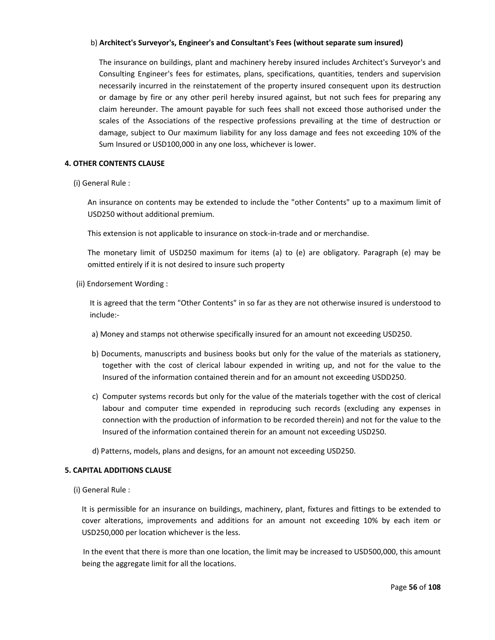# b) **Architect's Surveyor's, Engineer's and Consultant's Fees (without separate sum insured)**

The insurance on buildings, plant and machinery hereby insured includes Architect's Surveyor's and Consulting Engineer's fees for estimates, plans, specifications, quantities, tenders and supervision necessarily incurred in the reinstatement of the property insured consequent upon its destruction or damage by fire or any other peril hereby insured against, but not such fees for preparing any claim hereunder. The amount payable for such fees shall not exceed those authorised under the scales of the Associations of the respective professions prevailing at the time of destruction or damage, subject to Our maximum liability for any loss damage and fees not exceeding 10% of the Sum Insured or USD100,000 in any one loss, whichever is lower.

## **4. OTHER CONTENTS CLAUSE**

(i) General Rule :

An insurance on contents may be extended to include the "other Contents" up to a maximum limit of USD250 without additional premium.

This extension is not applicable to insurance on stock‐in‐trade and or merchandise.

The monetary limit of USD250 maximum for items (a) to (e) are obligatory. Paragraph (e) may be omitted entirely if it is not desired to insure such property

(ii) Endorsement Wording :

It is agreed that the term "Other Contents" in so far as they are not otherwise insured is understood to include:‐

- a) Money and stamps not otherwise specifically insured for an amount not exceeding USD250.
- b) Documents, manuscripts and business books but only for the value of the materials as stationery, together with the cost of clerical labour expended in writing up, and not for the value to the Insured of the information contained therein and for an amount not exceeding USDD250.
- c) Computer systems records but only for the value of the materials together with the cost of clerical labour and computer time expended in reproducing such records (excluding any expenses in connection with the production of information to be recorded therein) and not for the value to the Insured of the information contained therein for an amount not exceeding USD250.
- d) Patterns, models, plans and designs, for an amount not exceeding USD250.

# **5. CAPITAL ADDITIONS CLAUSE**

(i) General Rule :

It is permissible for an insurance on buildings, machinery, plant, fixtures and fittings to be extended to cover alterations, improvements and additions for an amount not exceeding 10% by each item or USD250,000 per location whichever is the less.

In the event that there is more than one location, the limit may be increased to USD500,000, this amount being the aggregate limit for all the locations.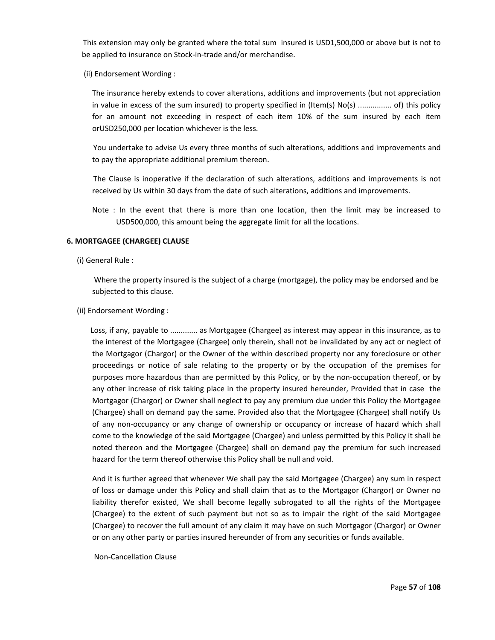This extension may only be granted where the total sum insured is USD1,500,000 or above but is not to be applied to insurance on Stock‐in‐trade and/or merchandise.

(ii) Endorsement Wording :

The insurance hereby extends to cover alterations, additions and improvements (but not appreciation in value in excess of the sum insured) to property specified in (Item(s) No(s) ................ of) this policy for an amount not exceeding in respect of each item 10% of the sum insured by each item orUSD250,000 per location whichever is the less.

You undertake to advise Us every three months of such alterations, additions and improvements and to pay the appropriate additional premium thereon.

The Clause is inoperative if the declaration of such alterations, additions and improvements is not received by Us within 30 days from the date of such alterations, additions and improvements.

Note : In the event that there is more than one location, then the limit may be increased to USD500,000, this amount being the aggregate limit for all the locations.

## **6. MORTGAGEE (CHARGEE) CLAUSE**

(i) General Rule :

Where the property insured is the subject of a charge (mortgage), the policy may be endorsed and be subjected to this clause.

### (ii) Endorsement Wording :

Loss, if any, payable to ............. as Mortgagee (Chargee) as interest may appear in this insurance, as to the interest of the Mortgagee (Chargee) only therein, shall not be invalidated by any act or neglect of the Mortgagor (Chargor) or the Owner of the within described property nor any foreclosure or other proceedings or notice of sale relating to the property or by the occupation of the premises for purposes more hazardous than are permitted by this Policy, or by the non‐occupation thereof, or by any other increase of risk taking place in the property insured hereunder, Provided that in case the Mortgagor (Chargor) or Owner shall neglect to pay any premium due under this Policy the Mortgagee (Chargee) shall on demand pay the same. Provided also that the Mortgagee (Chargee) shall notify Us of any non‐occupancy or any change of ownership or occupancy or increase of hazard which shall come to the knowledge of the said Mortgagee (Chargee) and unless permitted by this Policy it shall be noted thereon and the Mortgagee (Chargee) shall on demand pay the premium for such increased hazard for the term thereof otherwise this Policy shall be null and void.

And it is further agreed that whenever We shall pay the said Mortgagee (Chargee) any sum in respect of loss or damage under this Policy and shall claim that as to the Mortgagor (Chargor) or Owner no liability therefor existed, We shall become legally subrogated to all the rights of the Mortgagee (Chargee) to the extent of such payment but not so as to impair the right of the said Mortgagee (Chargee) to recover the full amount of any claim it may have on such Mortgagor (Chargor) or Owner or on any other party or parties insured hereunder of from any securities or funds available.

Non‐Cancellation Clause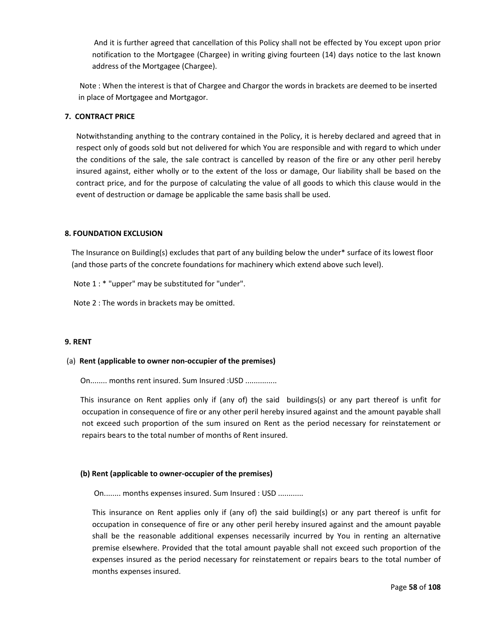And it is further agreed that cancellation of this Policy shall not be effected by You except upon prior notification to the Mortgagee (Chargee) in writing giving fourteen (14) days notice to the last known address of the Mortgagee (Chargee).

Note : When the interest is that of Chargee and Chargor the words in brackets are deemed to be inserted in place of Mortgagee and Mortgagor.

## **7. CONTRACT PRICE**

Notwithstanding anything to the contrary contained in the Policy, it is hereby declared and agreed that in respect only of goods sold but not delivered for which You are responsible and with regard to which under the conditions of the sale, the sale contract is cancelled by reason of the fire or any other peril hereby insured against, either wholly or to the extent of the loss or damage, Our liability shall be based on the contract price, and for the purpose of calculating the value of all goods to which this clause would in the event of destruction or damage be applicable the same basis shall be used.

## **8. FOUNDATION EXCLUSION**

The Insurance on Building(s) excludes that part of any building below the under\* surface of its lowest floor (and those parts of the concrete foundations for machinery which extend above such level).

Note 1 : \* "upper" may be substituted for "under".

Note 2 : The words in brackets may be omitted.

### **9. RENT**

### (a) **Rent (applicable to owner non‐occupier of the premises)**

On........ months rent insured. Sum Insured :USD ...............

This insurance on Rent applies only if (any of) the said buildings(s) or any part thereof is unfit for occupation in consequence of fire or any other peril hereby insured against and the amount payable shall not exceed such proportion of the sum insured on Rent as the period necessary for reinstatement or repairs bears to the total number of months of Rent insured.

### **(b) Rent (applicable to owner‐occupier of the premises)**

On........ months expenses insured. Sum Insured : USD ............

This insurance on Rent applies only if (any of) the said building(s) or any part thereof is unfit for occupation in consequence of fire or any other peril hereby insured against and the amount payable shall be the reasonable additional expenses necessarily incurred by You in renting an alternative premise elsewhere. Provided that the total amount payable shall not exceed such proportion of the expenses insured as the period necessary for reinstatement or repairs bears to the total number of months expenses insured.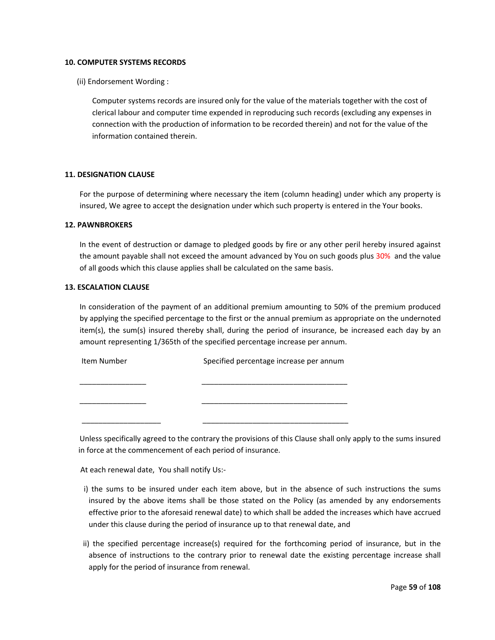### **10. COMPUTER SYSTEMS RECORDS**

(ii) Endorsement Wording :

Computer systems records are insured only for the value of the materials together with the cost of clerical labour and computer time expended in reproducing such records (excluding any expenses in connection with the production of information to be recorded therein) and not for the value of the information contained therein.

## **11. DESIGNATION CLAUSE**

For the purpose of determining where necessary the item (column heading) under which any property is insured, We agree to accept the designation under which such property is entered in the Your books.

### **12. PAWNBROKERS**

In the event of destruction or damage to pledged goods by fire or any other peril hereby insured against the amount payable shall not exceed the amount advanced by You on such goods plus 30% and the value of all goods which this clause applies shall be calculated on the same basis.

## **13. ESCALATION CLAUSE**

In consideration of the payment of an additional premium amounting to 50% of the premium produced by applying the specified percentage to the first or the annual premium as appropriate on the undernoted item(s), the sum(s) insured thereby shall, during the period of insurance, be increased each day by an amount representing 1/365th of the specified percentage increase per annum.

Item Number **Specified percentage increase per annum** \_\_\_\_\_\_\_\_\_\_\_\_\_\_\_\_ \_\_\_\_\_\_\_\_\_\_\_\_\_\_\_\_\_\_\_\_\_\_\_\_\_\_\_\_\_\_\_\_\_\_\_ \_\_\_\_\_\_\_\_\_\_\_\_\_\_\_\_ \_\_\_\_\_\_\_\_\_\_\_\_\_\_\_\_\_\_\_\_\_\_\_\_\_\_\_\_\_\_\_\_\_\_\_ \_\_\_\_\_\_\_\_\_\_\_\_\_\_\_\_\_\_\_ \_\_\_\_\_\_\_\_\_\_\_\_\_\_\_\_\_\_\_\_\_\_\_\_\_\_\_\_\_\_\_\_\_\_\_

Unless specifically agreed to the contrary the provisions of this Clause shall only apply to the sums insured in force at the commencement of each period of insurance.

At each renewal date, You shall notify Us:‐

- i) the sums to be insured under each item above, but in the absence of such instructions the sums insured by the above items shall be those stated on the Policy (as amended by any endorsements effective prior to the aforesaid renewal date) to which shall be added the increases which have accrued under this clause during the period of insurance up to that renewal date, and
- ii) the specified percentage increase(s) required for the forthcoming period of insurance, but in the absence of instructions to the contrary prior to renewal date the existing percentage increase shall apply for the period of insurance from renewal.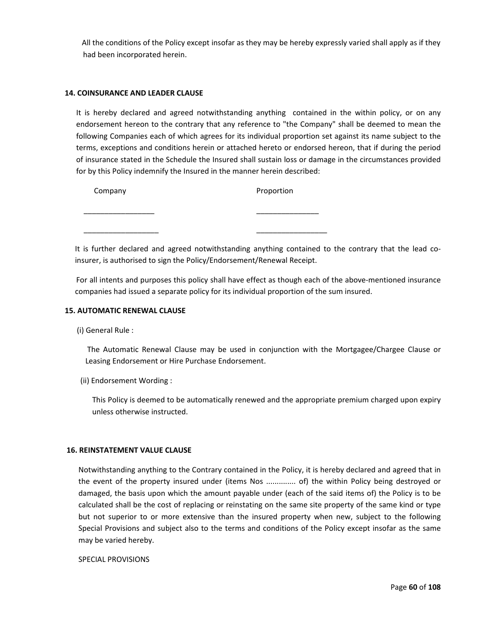All the conditions of the Policy except insofar as they may be hereby expressly varied shall apply as if they had been incorporated herein.

### **14. COINSURANCE AND LEADER CLAUSE**

It is hereby declared and agreed notwithstanding anything contained in the within policy, or on any endorsement hereon to the contrary that any reference to "the Company" shall be deemed to mean the following Companies each of which agrees for its individual proportion set against its name subject to the terms, exceptions and conditions herein or attached hereto or endorsed hereon, that if during the period of insurance stated in the Schedule the Insured shall sustain loss or damage in the circumstances provided for by this Policy indemnify the Insured in the manner herein described:

| Company | Proportion |  |  |  |  |
|---------|------------|--|--|--|--|
|         |            |  |  |  |  |
|         |            |  |  |  |  |

It is further declared and agreed notwithstanding anything contained to the contrary that the lead coinsurer, is authorised to sign the Policy/Endorsement/Renewal Receipt.

For all intents and purposes this policy shall have effect as though each of the above-mentioned insurance companies had issued a separate policy for its individual proportion of the sum insured.

# **15. AUTOMATIC RENEWAL CLAUSE**

(i) General Rule :

The Automatic Renewal Clause may be used in conjunction with the Mortgagee/Chargee Clause or Leasing Endorsement or Hire Purchase Endorsement.

(ii) Endorsement Wording :

This Policy is deemed to be automatically renewed and the appropriate premium charged upon expiry unless otherwise instructed.

### **16. REINSTATEMENT VALUE CLAUSE**

Notwithstanding anything to the Contrary contained in the Policy, it is hereby declared and agreed that in the event of the property insured under (items Nos .............. of) the within Policy being destroyed or damaged, the basis upon which the amount payable under (each of the said items of) the Policy is to be calculated shall be the cost of replacing or reinstating on the same site property of the same kind or type but not superior to or more extensive than the insured property when new, subject to the following Special Provisions and subject also to the terms and conditions of the Policy except insofar as the same may be varied hereby.

SPECIAL PROVISIONS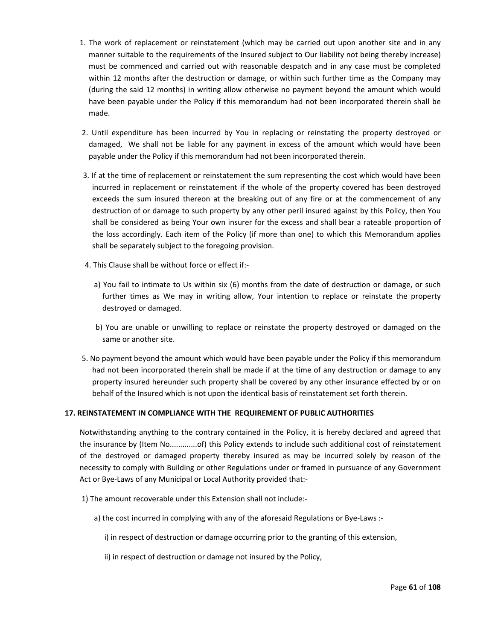- 1. The work of replacement or reinstatement (which may be carried out upon another site and in any manner suitable to the requirements of the Insured subject to Our liability not being thereby increase) must be commenced and carried out with reasonable despatch and in any case must be completed within 12 months after the destruction or damage, or within such further time as the Company may (during the said 12 months) in writing allow otherwise no payment beyond the amount which would have been payable under the Policy if this memorandum had not been incorporated therein shall be made.
- 2. Until expenditure has been incurred by You in replacing or reinstating the property destroyed or damaged, We shall not be liable for any payment in excess of the amount which would have been payable under the Policy if this memorandum had not been incorporated therein.
- 3. If at the time of replacement or reinstatement the sum representing the cost which would have been incurred in replacement or reinstatement if the whole of the property covered has been destroyed exceeds the sum insured thereon at the breaking out of any fire or at the commencement of any destruction of or damage to such property by any other peril insured against by this Policy, then You shall be considered as being Your own insurer for the excess and shall bear a rateable proportion of the loss accordingly. Each item of the Policy (if more than one) to which this Memorandum applies shall be separately subject to the foregoing provision.
- 4. This Clause shall be without force or effect if:‐
	- a) You fail to intimate to Us within six (6) months from the date of destruction or damage, or such further times as We may in writing allow, Your intention to replace or reinstate the property destroyed or damaged.
	- b) You are unable or unwilling to replace or reinstate the property destroyed or damaged on the same or another site.
- 5. No payment beyond the amount which would have been payable under the Policy if this memorandum had not been incorporated therein shall be made if at the time of any destruction or damage to any property insured hereunder such property shall be covered by any other insurance effected by or on behalf of the Insured which is not upon the identical basis of reinstatement set forth therein.

# **17. REINSTATEMENT IN COMPLIANCE WITH THE REQUIREMENT OF PUBLIC AUTHORITIES**

Notwithstanding anything to the contrary contained in the Policy, it is hereby declared and agreed that the insurance by (Item No.............of) this Policy extends to include such additional cost of reinstatement of the destroyed or damaged property thereby insured as may be incurred solely by reason of the necessity to comply with Building or other Regulations under or framed in pursuance of any Government Act or Bye‐Laws of any Municipal or Local Authority provided that:‐

- 1) The amount recoverable under this Extension shall not include:‐
	- a) the cost incurred in complying with any of the aforesaid Regulations or Bye‐Laws :‐
		- i) in respect of destruction or damage occurring prior to the granting of this extension,
		- ii) in respect of destruction or damage not insured by the Policy,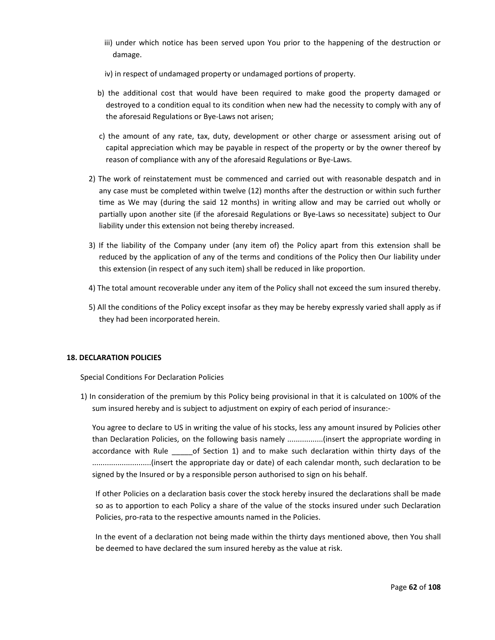- iii) under which notice has been served upon You prior to the happening of the destruction or damage.
- iv) in respect of undamaged property or undamaged portions of property.
- b) the additional cost that would have been required to make good the property damaged or destroyed to a condition equal to its condition when new had the necessity to comply with any of the aforesaid Regulations or Bye‐Laws not arisen;
- c) the amount of any rate, tax, duty, development or other charge or assessment arising out of capital appreciation which may be payable in respect of the property or by the owner thereof by reason of compliance with any of the aforesaid Regulations or Bye‐Laws.
- 2) The work of reinstatement must be commenced and carried out with reasonable despatch and in any case must be completed within twelve (12) months after the destruction or within such further time as We may (during the said 12 months) in writing allow and may be carried out wholly or partially upon another site (if the aforesaid Regulations or Bye‐Laws so necessitate) subject to Our liability under this extension not being thereby increased.
- 3) If the liability of the Company under (any item of) the Policy apart from this extension shall be reduced by the application of any of the terms and conditions of the Policy then Our liability under this extension (in respect of any such item) shall be reduced in like proportion.
- 4) The total amount recoverable under any item of the Policy shall not exceed the sum insured thereby.
- 5) All the conditions of the Policy except insofar as they may be hereby expressly varied shall apply as if they had been incorporated herein.

# **18. DECLARATION POLICIES**

Special Conditions For Declaration Policies

1) In consideration of the premium by this Policy being provisional in that it is calculated on 100% of the sum insured hereby and is subject to adjustment on expiry of each period of insurance:‐

You agree to declare to US in writing the value of his stocks, less any amount insured by Policies other than Declaration Policies, on the following basis namely .................(insert the appropriate wording in accordance with Rule of Section 1) and to make such declaration within thirty days of the ............................(insert the appropriate day or date) of each calendar month, such declaration to be signed by the Insured or by a responsible person authorised to sign on his behalf.

If other Policies on a declaration basis cover the stock hereby insured the declarations shall be made so as to apportion to each Policy a share of the value of the stocks insured under such Declaration Policies, pro‐rata to the respective amounts named in the Policies.

In the event of a declaration not being made within the thirty days mentioned above, then You shall be deemed to have declared the sum insured hereby as the value at risk.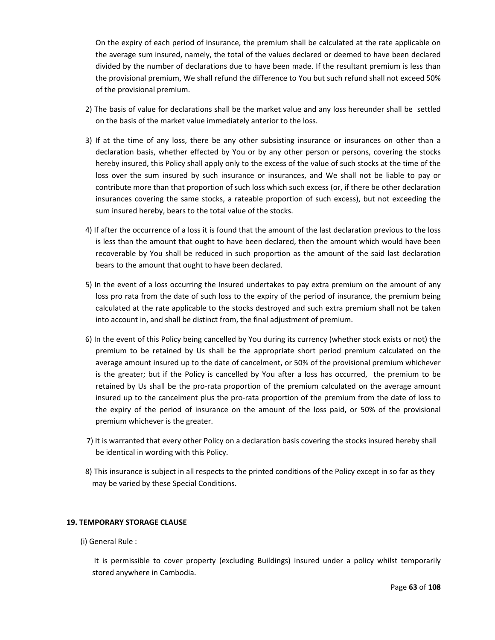On the expiry of each period of insurance, the premium shall be calculated at the rate applicable on the average sum insured, namely, the total of the values declared or deemed to have been declared divided by the number of declarations due to have been made. If the resultant premium is less than the provisional premium, We shall refund the difference to You but such refund shall not exceed 50% of the provisional premium.

- 2) The basis of value for declarations shall be the market value and any loss hereunder shall be settled on the basis of the market value immediately anterior to the loss.
- 3) If at the time of any loss, there be any other subsisting insurance or insurances on other than a declaration basis, whether effected by You or by any other person or persons, covering the stocks hereby insured, this Policy shall apply only to the excess of the value of such stocks at the time of the loss over the sum insured by such insurance or insurances, and We shall not be liable to pay or contribute more than that proportion of such loss which such excess (or, if there be other declaration insurances covering the same stocks, a rateable proportion of such excess), but not exceeding the sum insured hereby, bears to the total value of the stocks.
- 4) If after the occurrence of a loss it is found that the amount of the last declaration previous to the loss is less than the amount that ought to have been declared, then the amount which would have been recoverable by You shall be reduced in such proportion as the amount of the said last declaration bears to the amount that ought to have been declared.
- 5) In the event of a loss occurring the Insured undertakes to pay extra premium on the amount of any loss pro rata from the date of such loss to the expiry of the period of insurance, the premium being calculated at the rate applicable to the stocks destroyed and such extra premium shall not be taken into account in, and shall be distinct from, the final adjustment of premium.
- 6) In the event of this Policy being cancelled by You during its currency (whether stock exists or not) the premium to be retained by Us shall be the appropriate short period premium calculated on the average amount insured up to the date of cancelment, or 50% of the provisional premium whichever is the greater; but if the Policy is cancelled by You after a loss has occurred, the premium to be retained by Us shall be the pro-rata proportion of the premium calculated on the average amount insured up to the cancelment plus the pro‐rata proportion of the premium from the date of loss to the expiry of the period of insurance on the amount of the loss paid, or 50% of the provisional premium whichever is the greater.
- 7) It is warranted that every other Policy on a declaration basis covering the stocks insured hereby shall be identical in wording with this Policy.
- 8) This insurance is subject in all respects to the printed conditions of the Policy except in so far as they may be varied by these Special Conditions.

# **19. TEMPORARY STORAGE CLAUSE**

(i) General Rule :

It is permissible to cover property (excluding Buildings) insured under a policy whilst temporarily stored anywhere in Cambodia.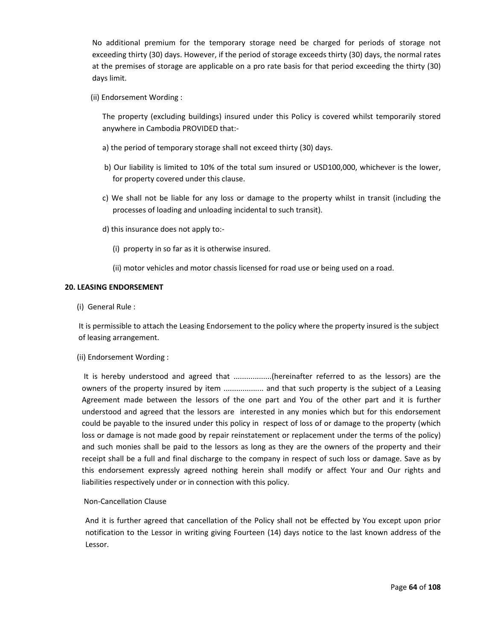No additional premium for the temporary storage need be charged for periods of storage not exceeding thirty (30) days. However, if the period of storage exceeds thirty (30) days, the normal rates at the premises of storage are applicable on a pro rate basis for that period exceeding the thirty (30) days limit.

(ii) Endorsement Wording :

The property (excluding buildings) insured under this Policy is covered whilst temporarily stored anywhere in Cambodia PROVIDED that:‐

- a) the period of temporary storage shall not exceed thirty (30) days.
- b) Our liability is limited to 10% of the total sum insured or USD100,000, whichever is the lower, for property covered under this clause.
- c) We shall not be liable for any loss or damage to the property whilst in transit (including the processes of loading and unloading incidental to such transit).
- d) this insurance does not apply to:‐
	- (i) property in so far as it is otherwise insured.
	- (ii) motor vehicles and motor chassis licensed for road use or being used on a road.

# **20. LEASING ENDORSEMENT**

(i) General Rule :

 It is permissible to attach the Leasing Endorsement to the policy where the property insured is the subject of leasing arrangement.

# (ii) Endorsement Wording :

It is hereby understood and agreed that ..................(hereinafter referred to as the lessors) are the owners of the property insured by item ................... and that such property is the subject of a Leasing Agreement made between the lessors of the one part and You of the other part and it is further understood and agreed that the lessors are interested in any monies which but for this endorsement could be payable to the insured under this policy in respect of loss of or damage to the property (which loss or damage is not made good by repair reinstatement or replacement under the terms of the policy) and such monies shall be paid to the lessors as long as they are the owners of the property and their receipt shall be a full and final discharge to the company in respect of such loss or damage. Save as by this endorsement expressly agreed nothing herein shall modify or affect Your and Our rights and liabilities respectively under or in connection with this policy.

# Non‐Cancellation Clause

And it is further agreed that cancellation of the Policy shall not be effected by You except upon prior notification to the Lessor in writing giving Fourteen (14) days notice to the last known address of the Lessor.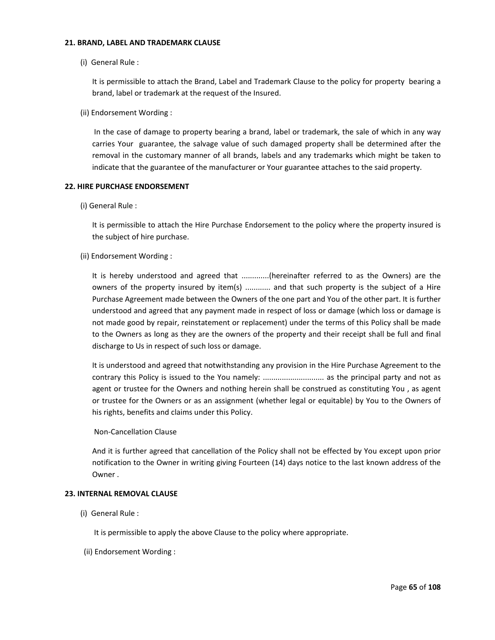### **21. BRAND, LABEL AND TRADEMARK CLAUSE**

(i) General Rule :

It is permissible to attach the Brand, Label and Trademark Clause to the policy for property bearing a brand, label or trademark at the request of the Insured.

(ii) Endorsement Wording :

In the case of damage to property bearing a brand, label or trademark, the sale of which in any way carries Your guarantee, the salvage value of such damaged property shall be determined after the removal in the customary manner of all brands, labels and any trademarks which might be taken to indicate that the guarantee of the manufacturer or Your guarantee attaches to the said property.

# **22. HIRE PURCHASE ENDORSEMENT**

(i) General Rule :

It is permissible to attach the Hire Purchase Endorsement to the policy where the property insured is the subject of hire purchase.

(ii) Endorsement Wording :

It is hereby understood and agreed that .............(hereinafter referred to as the Owners) are the owners of the property insured by item(s) ............ and that such property is the subject of a Hire Purchase Agreement made between the Owners of the one part and You of the other part. It is further understood and agreed that any payment made in respect of loss or damage (which loss or damage is not made good by repair, reinstatement or replacement) under the terms of this Policy shall be made to the Owners as long as they are the owners of the property and their receipt shall be full and final discharge to Us in respect of such loss or damage.

It is understood and agreed that notwithstanding any provision in the Hire Purchase Agreement to the contrary this Policy is issued to the You namely: ................................. as the principal party and not as agent or trustee for the Owners and nothing herein shall be construed as constituting You , as agent or trustee for the Owners or as an assignment (whether legal or equitable) by You to the Owners of his rights, benefits and claims under this Policy.

# Non‐Cancellation Clause

And it is further agreed that cancellation of the Policy shall not be effected by You except upon prior notification to the Owner in writing giving Fourteen (14) days notice to the last known address of the Owner .

# **23. INTERNAL REMOVAL CLAUSE**

(i) General Rule :

It is permissible to apply the above Clause to the policy where appropriate.

(ii) Endorsement Wording :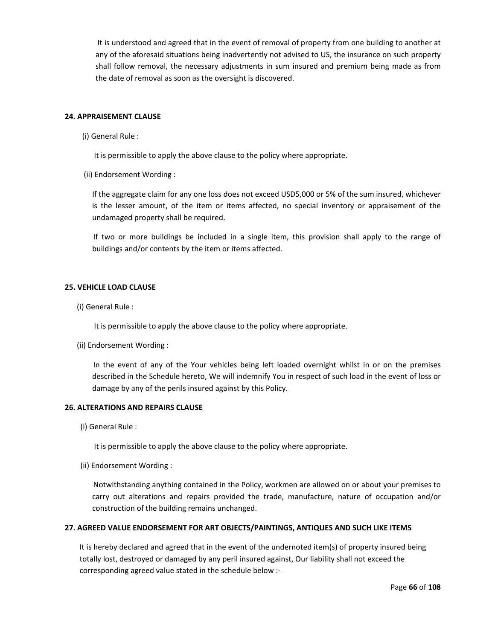It is understood and agreed that in the event of removal of property from one building to another at any of the aforesaid situations being inadvertently not advised to US, the insurance on such property shall follow removal, the necessary adjustments in sum insured and premium being made as from the date of removal as soon as the oversight is discovered.

# **24. APPRAISEMENT CLAUSE**

(i) General Rule :

It is permissible to apply the above clause to the policy where appropriate.

(ii) Endorsement Wording :

If the aggregate claim for any one loss does not exceed USD5,000 or 5% of the sum insured, whichever is the lesser amount, of the item or items affected, no special inventory or appraisement of the undamaged property shall be required.

If two or more buildings be included in a single item, this provision shall apply to the range of buildings and/or contents by the item or items affected.

## **25. VEHICLE LOAD CLAUSE**

(i) General Rule :

It is permissible to apply the above clause to the policy where appropriate.

(ii) Endorsement Wording :

In the event of any of the Your vehicles being left loaded overnight whilst in or on the premises described in the Schedule hereto, We will indemnify You in respect of such load in the event of loss or damage by any of the perils insured against by this Policy.

### **26. ALTERATIONS AND REPAIRS CLAUSE**

(i) General Rule :

It is permissible to apply the above clause to the policy where appropriate.

(ii) Endorsement Wording :

Notwithstanding anything contained in the Policy, workmen are allowed on or about your premises to carry out alterations and repairs provided the trade, manufacture, nature of occupation and/or construction of the building remains unchanged.

### **27. AGREED VALUE ENDORSEMENT FOR ART OBJECTS/PAINTINGS, ANTIQUES AND SUCH LIKE ITEMS**

It is hereby declared and agreed that in the event of the undernoted item(s) of property insured being totally lost, destroyed or damaged by any peril insured against, Our liability shall not exceed the corresponding agreed value stated in the schedule below :‐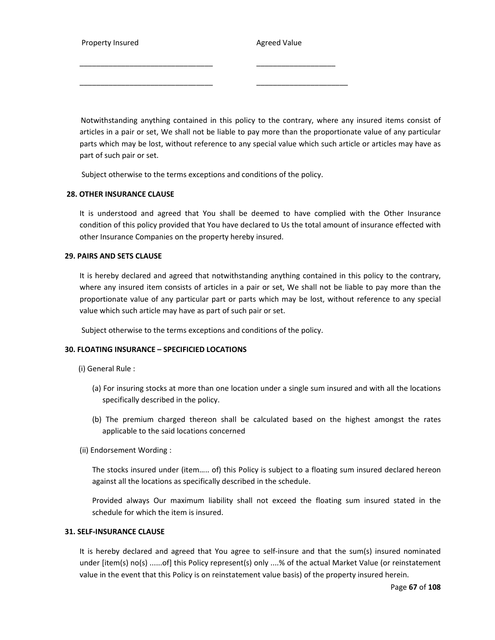Property Insured **Broad Contract Agreed Value** 

Notwithstanding anything contained in this policy to the contrary, where any insured items consist of articles in a pair or set, We shall not be liable to pay more than the proportionate value of any particular parts which may be lost, without reference to any special value which such article or articles may have as part of such pair or set.

Subject otherwise to the terms exceptions and conditions of the policy.

\_\_\_\_\_\_\_\_\_\_\_\_\_\_\_\_\_\_\_\_\_\_\_\_\_\_\_\_\_\_\_\_ \_\_\_\_\_\_\_\_\_\_\_\_\_\_\_\_\_\_\_

\_\_\_\_\_\_\_\_\_\_\_\_\_\_\_\_\_\_\_\_\_\_\_\_\_\_\_\_\_\_\_\_ \_\_\_\_\_\_\_\_\_\_\_\_\_\_\_\_\_\_\_\_\_\_

## **28. OTHER INSURANCE CLAUSE**

It is understood and agreed that You shall be deemed to have complied with the Other Insurance condition of this policy provided that You have declared to Us the total amount of insurance effected with other Insurance Companies on the property hereby insured.

### **29. PAIRS AND SETS CLAUSE**

It is hereby declared and agreed that notwithstanding anything contained in this policy to the contrary, where any insured item consists of articles in a pair or set, We shall not be liable to pay more than the proportionate value of any particular part or parts which may be lost, without reference to any special value which such article may have as part of such pair or set.

Subject otherwise to the terms exceptions and conditions of the policy.

### **30. FLOATING INSURANCE – SPECIFICIED LOCATIONS**

- (i) General Rule :
	- (a) For insuring stocks at more than one location under a single sum insured and with all the locations specifically described in the policy.
	- (b) The premium charged thereon shall be calculated based on the highest amongst the rates applicable to the said locations concerned
- (ii) Endorsement Wording :

The stocks insured under (item….. of) this Policy is subject to a floating sum insured declared hereon against all the locations as specifically described in the schedule.

Provided always Our maximum liability shall not exceed the floating sum insured stated in the schedule for which the item is insured.

# **31. SELF‐INSURANCE CLAUSE**

It is hereby declared and agreed that You agree to self-insure and that the sum(s) insured nominated under [item(s) no(s) ......of] this Policy represent(s) only ....% of the actual Market Value (or reinstatement value in the event that this Policy is on reinstatement value basis) of the property insured herein.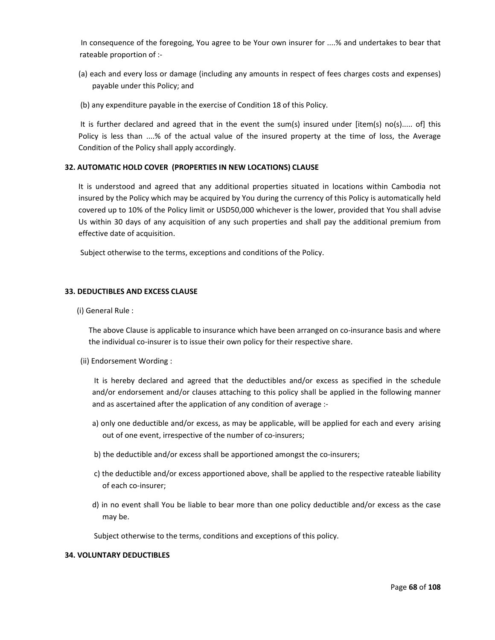In consequence of the foregoing, You agree to be Your own insurer for ....% and undertakes to bear that rateable proportion of :‐

- (a) each and every loss or damage (including any amounts in respect of fees charges costs and expenses) payable under this Policy; and
- (b) any expenditure payable in the exercise of Condition 18 of this Policy.

It is further declared and agreed that in the event the sum(s) insured under [item(s) no(s)..... of] this Policy is less than ....% of the actual value of the insured property at the time of loss, the Average Condition of the Policy shall apply accordingly.

## **32. AUTOMATIC HOLD COVER (PROPERTIES IN NEW LOCATIONS) CLAUSE**

It is understood and agreed that any additional properties situated in locations within Cambodia not insured by the Policy which may be acquired by You during the currency of this Policy is automatically held covered up to 10% of the Policy limit or USD50,000 whichever is the lower, provided that You shall advise Us within 30 days of any acquisition of any such properties and shall pay the additional premium from effective date of acquisition.

Subject otherwise to the terms, exceptions and conditions of the Policy.

## **33. DEDUCTIBLES AND EXCESS CLAUSE**

(i) General Rule :

The above Clause is applicable to insurance which have been arranged on co-insurance basis and where the individual co-insurer is to issue their own policy for their respective share.

(ii) Endorsement Wording :

It is hereby declared and agreed that the deductibles and/or excess as specified in the schedule and/or endorsement and/or clauses attaching to this policy shall be applied in the following manner and as ascertained after the application of any condition of average :‐

- a) only one deductible and/or excess, as may be applicable, will be applied for each and every arising out of one event, irrespective of the number of co-insurers;
- b) the deductible and/or excess shall be apportioned amongst the co-insurers;
- c) the deductible and/or excess apportioned above, shall be applied to the respective rateable liability of each co‐insurer;
- d) in no event shall You be liable to bear more than one policy deductible and/or excess as the case may be.

Subject otherwise to the terms, conditions and exceptions of this policy.

# **34. VOLUNTARY DEDUCTIBLES**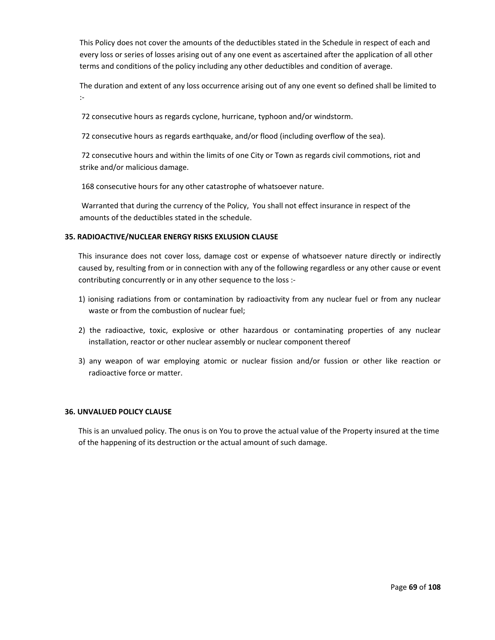This Policy does not cover the amounts of the deductibles stated in the Schedule in respect of each and every loss or series of losses arising out of any one event as ascertained after the application of all other terms and conditions of the policy including any other deductibles and condition of average.

The duration and extent of any loss occurrence arising out of any one event so defined shall be limited to :‐

72 consecutive hours as regards cyclone, hurricane, typhoon and/or windstorm.

72 consecutive hours as regards earthquake, and/or flood (including overflow of the sea).

72 consecutive hours and within the limits of one City or Town as regards civil commotions, riot and strike and/or malicious damage.

168 consecutive hours for any other catastrophe of whatsoever nature.

Warranted that during the currency of the Policy, You shall not effect insurance in respect of the amounts of the deductibles stated in the schedule.

# **35. RADIOACTIVE/NUCLEAR ENERGY RISKS EXLUSION CLAUSE**

This insurance does not cover loss, damage cost or expense of whatsoever nature directly or indirectly caused by, resulting from or in connection with any of the following regardless or any other cause or event contributing concurrently or in any other sequence to the loss :‐

- 1) ionising radiations from or contamination by radioactivity from any nuclear fuel or from any nuclear waste or from the combustion of nuclear fuel;
- 2) the radioactive, toxic, explosive or other hazardous or contaminating properties of any nuclear installation, reactor or other nuclear assembly or nuclear component thereof
- 3) any weapon of war employing atomic or nuclear fission and/or fussion or other like reaction or radioactive force or matter.

# **36. UNVALUED POLICY CLAUSE**

This is an unvalued policy. The onus is on You to prove the actual value of the Property insured at the time of the happening of its destruction or the actual amount of such damage.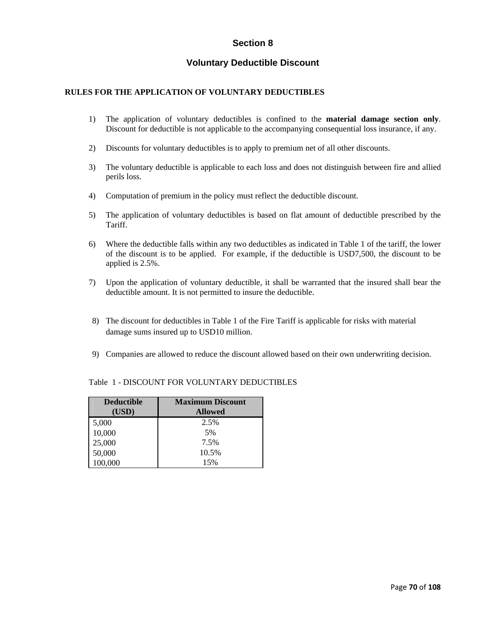# **Section 8**

# **Voluntary Deductible Discount**

# **RULES FOR THE APPLICATION OF VOLUNTARY DEDUCTIBLES**

- 1) The application of voluntary deductibles is confined to the **material damage section only**. Discount for deductible is not applicable to the accompanying consequential loss insurance, if any.
- 2) Discounts for voluntary deductibles is to apply to premium net of all other discounts.
- 3) The voluntary deductible is applicable to each loss and does not distinguish between fire and allied perils loss.
- 4) Computation of premium in the policy must reflect the deductible discount.
- 5) The application of voluntary deductibles is based on flat amount of deductible prescribed by the Tariff.
- 6) Where the deductible falls within any two deductibles as indicated in Table 1 of the tariff, the lower of the discount is to be applied. For example, if the deductible is USD7,500, the discount to be applied is 2.5%.
- 7) Upon the application of voluntary deductible, it shall be warranted that the insured shall bear the deductible amount. It is not permitted to insure the deductible.
- 8) The discount for deductibles in Table 1 of the Fire Tariff is applicable for risks with material damage sums insured up to USD10 million.
- 9) Companies are allowed to reduce the discount allowed based on their own underwriting decision.

| <b>Deductible</b> | <b>Maximum Discount</b> |  |  |
|-------------------|-------------------------|--|--|
| (USD)             | <b>Allowed</b>          |  |  |
| 5,000             | 2.5%                    |  |  |
| 10,000            | 5%                      |  |  |
| 25,000            | 7.5%                    |  |  |
| 50,000            | 10.5%                   |  |  |
| 100,000           | 15%                     |  |  |

# Table 1 - DISCOUNT FOR VOLUNTARY DEDUCTIBLES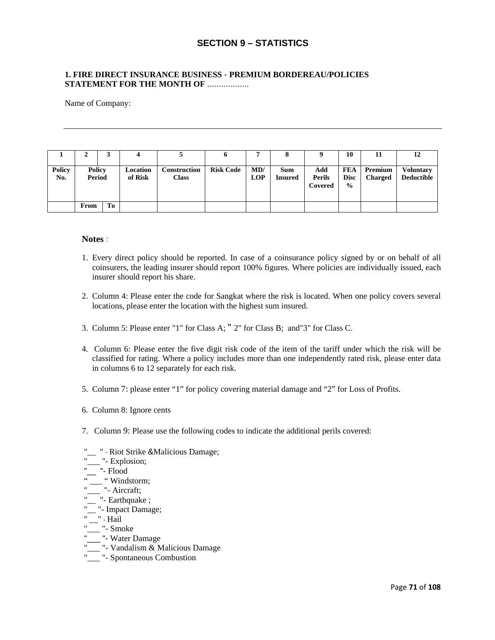# **SECTION 9 – STATISTICS**

# **1. FIRE DIRECT INSURANCE BUSINESS** - **PREMIUM BORDEREAU/POLICIES STATEMENT FOR THE MONTH OF** ..................

Name of Company:

|                      | ◢                       | J  | 4                   |                              | v                |                   |                       |                                 | 10                                         | 11                        | 12                             |
|----------------------|-------------------------|----|---------------------|------------------------------|------------------|-------------------|-----------------------|---------------------------------|--------------------------------------------|---------------------------|--------------------------------|
| <b>Policy</b><br>No. | <b>Policy</b><br>Period |    | Location<br>of Risk | Construction<br><b>Class</b> | <b>Risk Code</b> | MD/<br><b>LOP</b> | Sum<br><b>Insured</b> | Add<br><b>Perils</b><br>Covered | <b>FEA</b><br><b>Disc</b><br>$\frac{6}{6}$ | Premium<br><b>Charged</b> | <b>Voluntary</b><br>Deductible |
|                      | From                    | To |                     |                              |                  |                   |                       |                                 |                                            |                           |                                |

## **Notes** :

- 1. Every direct policy should be reported. In case of a coinsurance policy signed by or on behalf of all coinsurers, the leading insurer should report 100% figures. Where policies are individually issued, each insurer should report his share.
- 2. Column 4: Please enter the code for Sangkat where the risk is located. When one policy covers several locations, please enter the location with the highest sum insured.
- 3. Column 5: Please enter "1" for Class A; " 2" for Class B; and"3" for Class C.
- 4. Column 6: Please enter the five digit risk code of the item of the tariff under which the risk will be classified for rating. Where a policy includes more than one independently rated risk, please enter data in columns 6 to 12 separately for each risk.
- 5. Column 7: please enter "1" for policy covering material damage and "2" for Loss of Profits.
- 6. Column 8: Ignore cents
- 7. Column 9: Please use the following codes to indicate the additional perils covered:
- "\_\_ " Riot Strike &Malicious Damage;
- "<sup>-</sup>Explosion;
- $\frac{1}{\cdot}$  =  $\frac{1}{\cdot}$  Flood
- " Windstorm;
- " $\frac{1}{\sqrt{2}}$ " Aircraft;
- "<sup>1</sup> Earthquake ;
- "\_\_ "- Impact Damage;
- " \_\_" Hail
- "\_\_\_ "- Smoke
- "\_\_\_ "- Water Damage
- "\_\_\_ "- Vandalism & Malicious Damage
- "<sup>11</sup> Spontaneous Combustion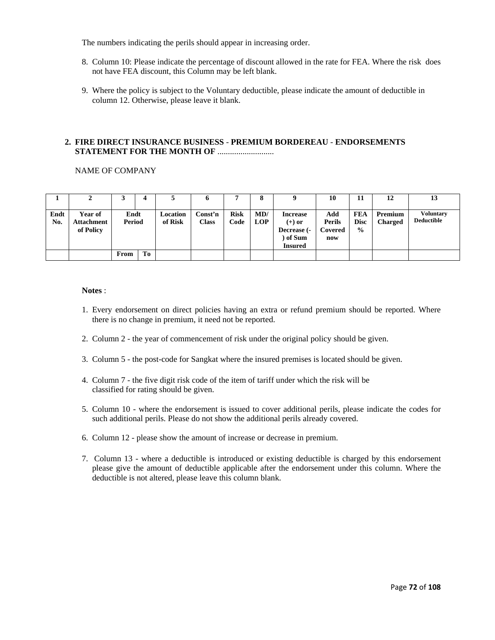The numbers indicating the perils should appear in increasing order.

- 8. Column 10: Please indicate the percentage of discount allowed in the rate for FEA. Where the risk does not have FEA discount, this Column may be left blank.
- 9. Where the policy is subject to the Voluntary deductible, please indicate the amount of deductible in column 12. Otherwise, please leave it blank.

# **2. FIRE DIRECT INSURANCE BUSINESS** - **PREMIUM BORDEREAU** - **ENDORSEMENTS STATEMENT FOR THE MONTH OF .........................**

#### NAME OF COMPANY

|             |                                           |                |    |                     |                         |                     |                   |                                                                          | 10                                     | 11                                  | 12                               | 13                                    |
|-------------|-------------------------------------------|----------------|----|---------------------|-------------------------|---------------------|-------------------|--------------------------------------------------------------------------|----------------------------------------|-------------------------------------|----------------------------------|---------------------------------------|
| Endt<br>No. | Year of<br><b>Attachment</b><br>of Policy | Endt<br>Period |    | Location<br>of Risk | Const'n<br><b>Class</b> | <b>Risk</b><br>Code | MD/<br><b>LOP</b> | <b>Increase</b><br>$(+)$ or<br>Decrease (-<br>) of Sum<br><b>Insured</b> | Add<br><b>Perils</b><br>Covered<br>now | FEA<br><b>Disc</b><br>$\frac{0}{0}$ | <b>Premium</b><br><b>Charged</b> | <b>Voluntary</b><br><b>Deductible</b> |
|             |                                           | From           | To |                     |                         |                     |                   |                                                                          |                                        |                                     |                                  |                                       |

#### **Notes** :

- 1. Every endorsement on direct policies having an extra or refund premium should be reported. Where there is no change in premium, it need not be reported.
- 2. Column 2 the year of commencement of risk under the original policy should be given.
- 3. Column 5 the post-code for Sangkat where the insured premises is located should be given.
- 4. Column 7 the five digit risk code of the item of tariff under which the risk will be classified for rating should be given.
- 5. Column 10 where the endorsement is issued to cover additional perils, please indicate the codes for such additional perils. Please do not show the additional perils already covered.
- 6. Column 12 please show the amount of increase or decrease in premium.
- 7. Column 13 where a deductible is introduced or existing deductible is charged by this endorsement please give the amount of deductible applicable after the endorsement under this column. Where the deductible is not altered, please leave this column blank.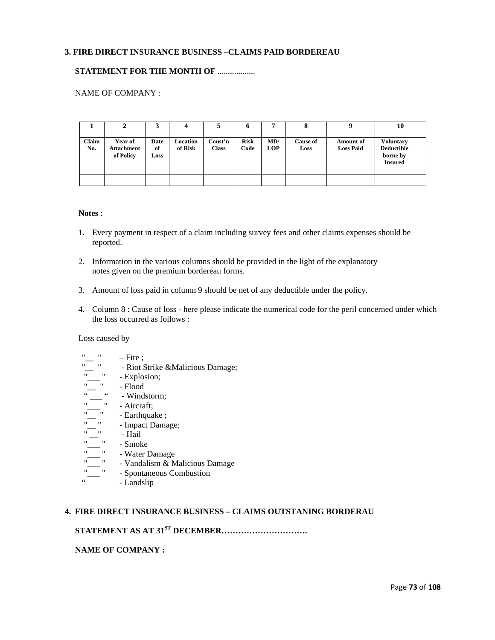# **3. FIRE DIRECT INSURANCE BUSINESS** –**CLAIMS PAID BORDEREAU**

# **STATEMENT FOR THE MONTH OF .................**

# NAME OF COMPANY :

|              | 2                                         |                    | 4                   |                         | o                   | -                 | 8                       |                               | 10                                                                  |
|--------------|-------------------------------------------|--------------------|---------------------|-------------------------|---------------------|-------------------|-------------------------|-------------------------------|---------------------------------------------------------------------|
| Claim<br>No. | Year of<br><b>Attachment</b><br>of Policy | Date<br>of<br>Loss | Location<br>of Risk | Const'n<br><b>Class</b> | <b>Risk</b><br>Code | MD/<br><b>LOP</b> | <b>Cause of</b><br>Loss | Amount of<br><b>Loss Paid</b> | <b>Voluntary</b><br><b>Deductible</b><br>borne by<br><b>Insured</b> |
|              |                                           |                    |                     |                         |                     |                   |                         |                               |                                                                     |

#### **Notes** :

- 1. Every payment in respect of a claim including survey fees and other claims expenses should be reported.
- 2. Information in the various columns should be provided in the light of the explanatory notes given on the premium bordereau forms.
- 3. Amount of loss paid in column 9 should be net of any deductible under the policy.
- 4. Column 8 : Cause of loss here please indicate the numerical code for the peril concerned under which the loss occurred as follows :

# Loss caused by

- $"$  Fire ;
- "<br>" Riot Strike &Malicious Damage;<br>"
	- Explosion;<br>- Flood
- $\frac{m}{\alpha}$  =  $\frac{n}{\alpha}$
- "  $\frac{1}{\cdot}$  Windstorm;
	- Aircraft:
- " $\frac{1}{1}$ " Earthquake ;<br>" Impact Dama
	- Impact Damage;
	- Hail
- " $\frac{1}{\cdot}$ " Smoke
	- Water Damage
	- Vandalism & Malicious Damage
	- Spontaneous Combustion
		- Landslip

# **4. FIRE DIRECT INSURANCE BUSINESS – CLAIMS OUTSTANING BORDERAU**

# **STATEMENT AS AT 31<sup>ST</sup> DECEMBER.............................**

### **NAME OF COMPANY :**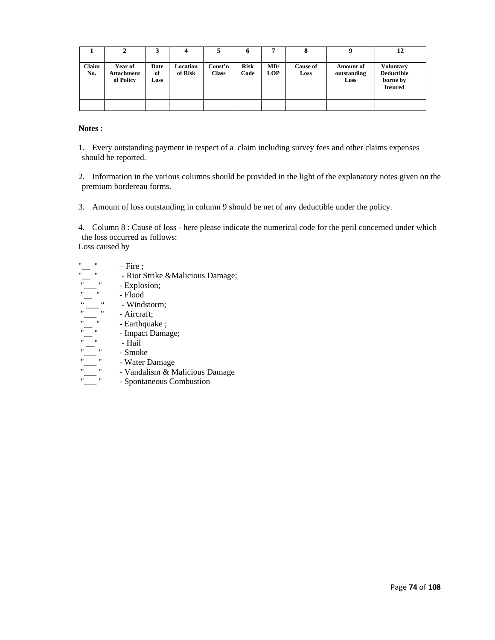|              | ▵                                         | 3                  |                     |                         | o                   | 7                 | o                       | Q                                       | 12                                                           |
|--------------|-------------------------------------------|--------------------|---------------------|-------------------------|---------------------|-------------------|-------------------------|-----------------------------------------|--------------------------------------------------------------|
| Claim<br>No. | Year of<br><b>Attachment</b><br>of Policy | Date<br>of<br>Loss | Location<br>of Risk | Const'n<br><b>Class</b> | <b>Risk</b><br>Code | MD/<br><b>LOP</b> | <b>Cause of</b><br>Loss | <b>Amount of</b><br>outstanding<br>Loss | <b>Voluntary</b><br>Deductible<br>borne by<br><b>Insured</b> |
|              |                                           |                    |                     |                         |                     |                   |                         |                                         |                                                              |

**Notes** :

1. Every outstanding payment in respect of a claim including survey fees and other claims expenses should be reported.

2. Information in the various columns should be provided in the light of the explanatory notes given on the premium bordereau forms.

3. Amount of loss outstanding in column 9 should be net of any deductible under the policy.

4. Column 8 : Cause of loss - here please indicate the numerical code for the peril concerned under which the loss occurred as follows: Loss caused by

- 
- $\frac{m}{m}$   $\frac{m}{m}$   $\frac{m}{m}$  Fire ;<br> $\frac{m}{m}$  Riot S - Riot Strike &Malicious Damage;
- $\frac{1}{n}$   $\frac{1}{n}$   $\frac{1}{n}$   $\frac{1}{n}$   $\frac{1}{n}$   $\frac{1}{n}$   $\frac{1}{n}$   $\frac{1}{n}$   $\frac{1}{n}$   $\frac{1}{n}$   $\frac{1}{n}$   $\frac{1}{n}$   $\frac{1}{n}$   $\frac{1}{n}$   $\frac{1}{n}$   $\frac{1}{n}$   $\frac{1}{n}$   $\frac{1}{n}$   $\frac{1}{n}$   $\frac{1}{n}$   $\frac{1}{n}$   $\frac{1}{n}$
- "\_\_ " Flood
	- Windstorm;
	- Aircraft;
	- Earthquake;
	- Impact Damage;<br>- Hail
- $" \_\_"$  Hail
- "
" Smoke
	-
- " $\frac{1}{\sqrt{2}}$ " Water Damage<br>" Vandalism & M<br>" Spontaneous Co - Vandalism & Malicious Damage
	- Spontaneous Combustion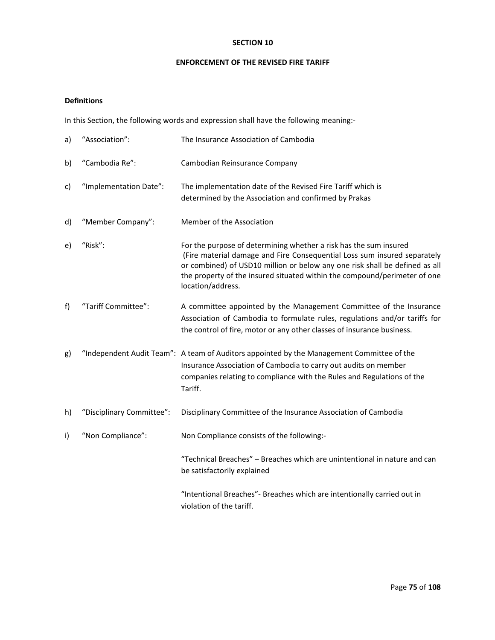## **SECTION 10**

#### **ENFORCEMENT OF THE REVISED FIRE TARIFF**

# **Definitions**

In this Section, the following words and expression shall have the following meaning:‐

| a) | "Association":            | The Insurance Association of Cambodia                                                                                                                                                                                                                                                                                          |
|----|---------------------------|--------------------------------------------------------------------------------------------------------------------------------------------------------------------------------------------------------------------------------------------------------------------------------------------------------------------------------|
| b) | "Cambodia Re":            | Cambodian Reinsurance Company                                                                                                                                                                                                                                                                                                  |
| c) | "Implementation Date":    | The implementation date of the Revised Fire Tariff which is<br>determined by the Association and confirmed by Prakas                                                                                                                                                                                                           |
| d) | "Member Company":         | Member of the Association                                                                                                                                                                                                                                                                                                      |
| e) | "Risk":                   | For the purpose of determining whether a risk has the sum insured<br>(Fire material damage and Fire Consequential Loss sum insured separately<br>or combined) of USD10 million or below any one risk shall be defined as all<br>the property of the insured situated within the compound/perimeter of one<br>location/address. |
| f) | "Tariff Committee":       | A committee appointed by the Management Committee of the Insurance<br>Association of Cambodia to formulate rules, regulations and/or tariffs for<br>the control of fire, motor or any other classes of insurance business.                                                                                                     |
| g) |                           | "Independent Audit Team": A team of Auditors appointed by the Management Committee of the<br>Insurance Association of Cambodia to carry out audits on member<br>companies relating to compliance with the Rules and Regulations of the<br>Tariff.                                                                              |
| h) | "Disciplinary Committee": | Disciplinary Committee of the Insurance Association of Cambodia                                                                                                                                                                                                                                                                |
| i) | "Non Compliance":         | Non Compliance consists of the following:-                                                                                                                                                                                                                                                                                     |
|    |                           | "Technical Breaches" - Breaches which are unintentional in nature and can<br>be satisfactorily explained                                                                                                                                                                                                                       |
|    |                           | "Intentional Breaches"- Breaches which are intentionally carried out in<br>violation of the tariff.                                                                                                                                                                                                                            |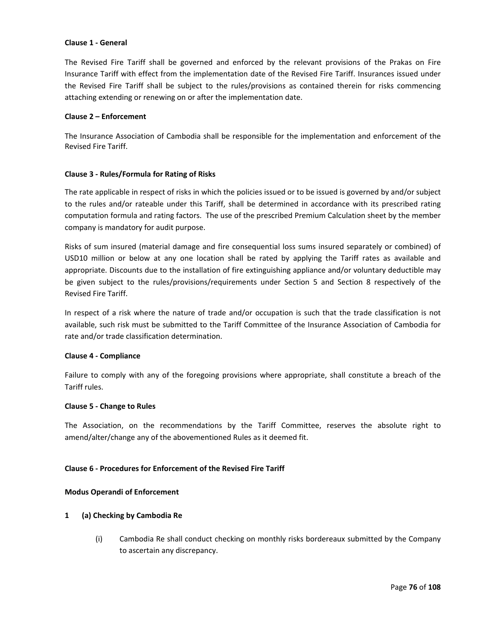#### **Clause 1 ‐ General**

The Revised Fire Tariff shall be governed and enforced by the relevant provisions of the Prakas on Fire Insurance Tariff with effect from the implementation date of the Revised Fire Tariff. Insurances issued under the Revised Fire Tariff shall be subject to the rules/provisions as contained therein for risks commencing attaching extending or renewing on or after the implementation date.

#### **Clause 2 – Enforcement**

The Insurance Association of Cambodia shall be responsible for the implementation and enforcement of the Revised Fire Tariff.

## **Clause 3 ‐ Rules/Formula for Rating of Risks**

The rate applicable in respect of risks in which the policies issued or to be issued is governed by and/or subject to the rules and/or rateable under this Tariff, shall be determined in accordance with its prescribed rating computation formula and rating factors. The use of the prescribed Premium Calculation sheet by the member company is mandatory for audit purpose.

Risks of sum insured (material damage and fire consequential loss sums insured separately or combined) of USD10 million or below at any one location shall be rated by applying the Tariff rates as available and appropriate. Discounts due to the installation of fire extinguishing appliance and/or voluntary deductible may be given subject to the rules/provisions/requirements under Section 5 and Section 8 respectively of the Revised Fire Tariff.

In respect of a risk where the nature of trade and/or occupation is such that the trade classification is not available, such risk must be submitted to the Tariff Committee of the Insurance Association of Cambodia for rate and/or trade classification determination.

## **Clause 4 ‐ Compliance**

Failure to comply with any of the foregoing provisions where appropriate, shall constitute a breach of the Tariff rules.

## **Clause 5 ‐ Change to Rules**

The Association, on the recommendations by the Tariff Committee, reserves the absolute right to amend/alter/change any of the abovementioned Rules as it deemed fit.

## **Clause 6 ‐ Procedures for Enforcement of the Revised Fire Tariff**

## **Modus Operandi of Enforcement**

## **1 (a) Checking by Cambodia Re**

(i) Cambodia Re shall conduct checking on monthly risks bordereaux submitted by the Company to ascertain any discrepancy.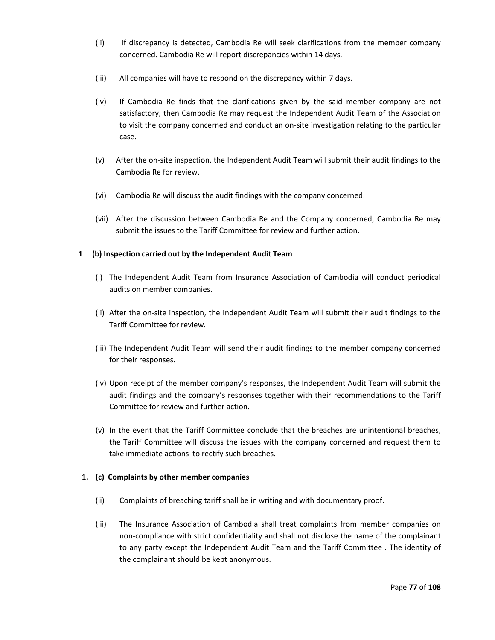- (ii) If discrepancy is detected, Cambodia Re will seek clarifications from the member company concerned. Cambodia Re will report discrepancies within 14 days.
- (iii) All companies will have to respond on the discrepancy within 7 days.
- (iv) If Cambodia Re finds that the clarifications given by the said member company are not satisfactory, then Cambodia Re may request the Independent Audit Team of the Association to visit the company concerned and conduct an on‐site investigation relating to the particular case.
- (v) After the on‐site inspection, the Independent Audit Team will submit their audit findings to the Cambodia Re for review.
- (vi) Cambodia Re will discuss the audit findings with the company concerned.
- (vii) After the discussion between Cambodia Re and the Company concerned, Cambodia Re may submit the issues to the Tariff Committee for review and further action.

## **1 (b) Inspection carried out by the Independent Audit Team**

- (i) The Independent Audit Team from Insurance Association of Cambodia will conduct periodical audits on member companies.
- (ii) After the on‐site inspection, the Independent Audit Team will submit their audit findings to the Tariff Committee for review.
- (iii) The Independent Audit Team will send their audit findings to the member company concerned for their responses.
- (iv) Upon receipt of the member company's responses, the Independent Audit Team will submit the audit findings and the company's responses together with their recommendations to the Tariff Committee for review and further action.
- (v) In the event that the Tariff Committee conclude that the breaches are unintentional breaches, the Tariff Committee will discuss the issues with the company concerned and request them to take immediate actions to rectify such breaches.

## **1. (c) Complaints by other member companies**

- (ii) Complaints of breaching tariff shall be in writing and with documentary proof.
- (iii) The Insurance Association of Cambodia shall treat complaints from member companies on non‐compliance with strict confidentiality and shall not disclose the name of the complainant to any party except the Independent Audit Team and the Tariff Committee . The identity of the complainant should be kept anonymous.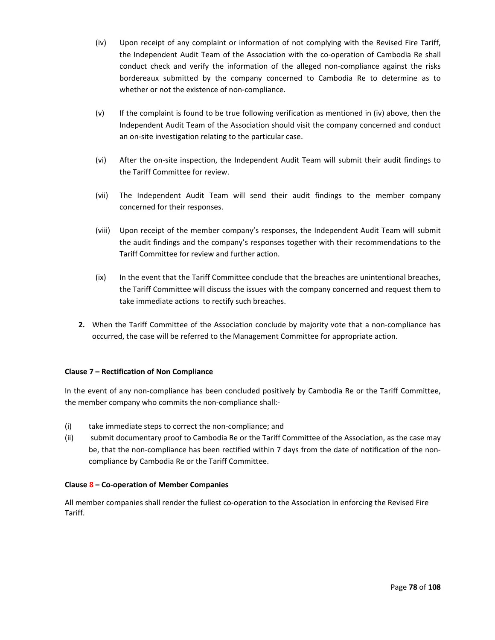- (iv) Upon receipt of any complaint or information of not complying with the Revised Fire Tariff, the Independent Audit Team of the Association with the co-operation of Cambodia Re shall conduct check and verify the information of the alleged non-compliance against the risks bordereaux submitted by the company concerned to Cambodia Re to determine as to whether or not the existence of non-compliance.
- (v) If the complaint is found to be true following verification as mentioned in (iv) above, then the Independent Audit Team of the Association should visit the company concerned and conduct an on-site investigation relating to the particular case.
- (vi) After the on‐site inspection, the Independent Audit Team will submit their audit findings to the Tariff Committee for review.
- (vii) The Independent Audit Team will send their audit findings to the member company concerned for their responses.
- (viii) Upon receipt of the member company's responses, the Independent Audit Team will submit the audit findings and the company's responses together with their recommendations to the Tariff Committee for review and further action.
- (ix) In the event that the Tariff Committee conclude that the breaches are unintentional breaches, the Tariff Committee will discuss the issues with the company concerned and request them to take immediate actions to rectify such breaches.
- **2.** When the Tariff Committee of the Association conclude by majority vote that a non-compliance has occurred, the case will be referred to the Management Committee for appropriate action.

## **Clause 7 – Rectification of Non Compliance**

In the event of any non-compliance has been concluded positively by Cambodia Re or the Tariff Committee, the member company who commits the non‐compliance shall:‐

- (i) take immediate steps to correct the non‐compliance; and
- (ii) submit documentary proof to Cambodia Re or the Tariff Committee of the Association, as the case may be, that the non-compliance has been rectified within 7 days from the date of notification of the noncompliance by Cambodia Re or the Tariff Committee.

## **Clause 8 – Co‐operation of Member Companies**

All member companies shall render the fullest co-operation to the Association in enforcing the Revised Fire Tariff.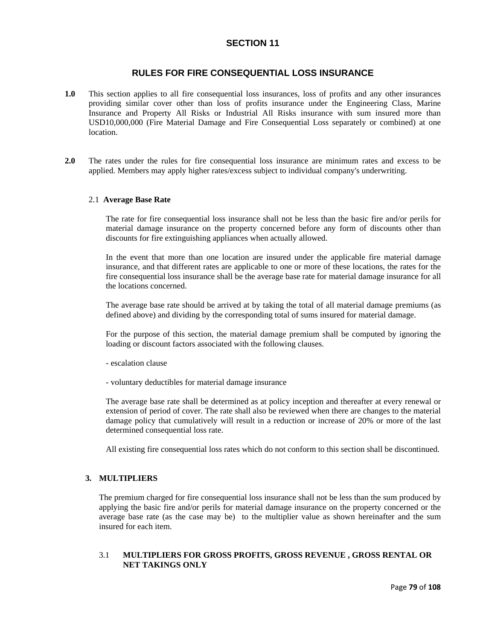# **SECTION 11**

# **RULES FOR FIRE CONSEQUENTIAL LOSS INSURANCE**

- **1.0** This section applies to all fire consequential loss insurances, loss of profits and any other insurances providing similar cover other than loss of profits insurance under the Engineering Class, Marine Insurance and Property All Risks or Industrial All Risks insurance with sum insured more than USD10,000,000 (Fire Material Damage and Fire Consequential Loss separately or combined) at one location.
- **2.0** The rates under the rules for fire consequential loss insurance are minimum rates and excess to be applied. Members may apply higher rates/excess subject to individual company's underwriting.

#### 2.1 **Average Base Rate**

The rate for fire consequential loss insurance shall not be less than the basic fire and/or perils for material damage insurance on the property concerned before any form of discounts other than discounts for fire extinguishing appliances when actually allowed.

In the event that more than one location are insured under the applicable fire material damage insurance, and that different rates are applicable to one or more of these locations, the rates for the fire consequential loss insurance shall be the average base rate for material damage insurance for all the locations concerned.

The average base rate should be arrived at by taking the total of all material damage premiums (as defined above) and dividing by the corresponding total of sums insured for material damage.

For the purpose of this section, the material damage premium shall be computed by ignoring the loading or discount factors associated with the following clauses.

- escalation clause

- voluntary deductibles for material damage insurance

The average base rate shall be determined as at policy inception and thereafter at every renewal or extension of period of cover. The rate shall also be reviewed when there are changes to the material damage policy that cumulatively will result in a reduction or increase of 20% or more of the last determined consequential loss rate.

All existing fire consequential loss rates which do not conform to this section shall be discontinued.

# **3. MULTIPLIERS**

The premium charged for fire consequential loss insurance shall not be less than the sum produced by applying the basic fire and/or perils for material damage insurance on the property concerned or the average base rate (as the case may be) to the multiplier value as shown hereinafter and the sum insured for each item.

# 3.1 **MULTIPLIERS FOR GROSS PROFITS, GROSS REVENUE , GROSS RENTAL OR NET TAKINGS ONLY**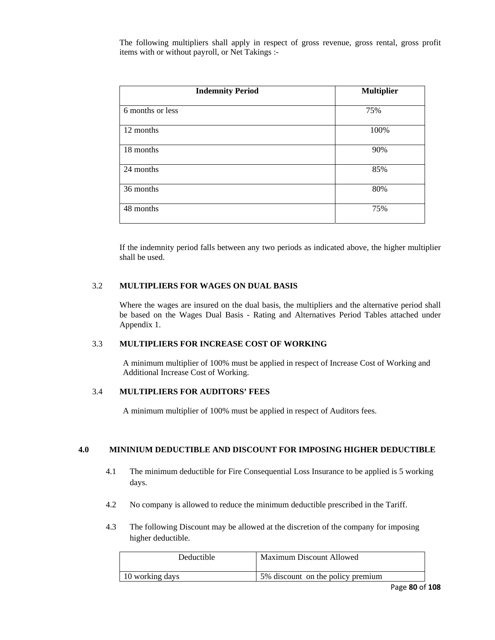The following multipliers shall apply in respect of gross revenue, gross rental, gross profit items with or without payroll, or Net Takings :-

| <b>Indemnity Period</b> | <b>Multiplier</b> |
|-------------------------|-------------------|
| 6 months or less        | 75%               |
| 12 months               | 100%              |
| 18 months               | 90%               |
| 24 months               | 85%               |
| 36 months               | 80%               |
| 48 months               | 75%               |

If the indemnity period falls between any two periods as indicated above, the higher multiplier shall be used.

## 3.2 **MULTIPLIERS FOR WAGES ON DUAL BASIS**

Where the wages are insured on the dual basis, the multipliers and the alternative period shall be based on the Wages Dual Basis - Rating and Alternatives Period Tables attached under Appendix 1.

#### 3.3 **MULTIPLIERS FOR INCREASE COST OF WORKING**

A minimum multiplier of 100% must be applied in respect of Increase Cost of Working and Additional Increase Cost of Working.

# 3.4 **MULTIPLIERS FOR AUDITORS' FEES**

A minimum multiplier of 100% must be applied in respect of Auditors fees.

#### **4.0 MININIUM DEDUCTIBLE AND DISCOUNT FOR IMPOSING HIGHER DEDUCTIBLE**

- 4.1 The minimum deductible for Fire Consequential Loss Insurance to be applied is 5 working days.
- 4.2 No company is allowed to reduce the minimum deductible prescribed in the Tariff.
- 4.3 The following Discount may be allowed at the discretion of the company for imposing higher deductible.

| Deductible      | <b>Maximum Discount Allowed</b>   |
|-----------------|-----------------------------------|
| 10 working days | 5% discount on the policy premium |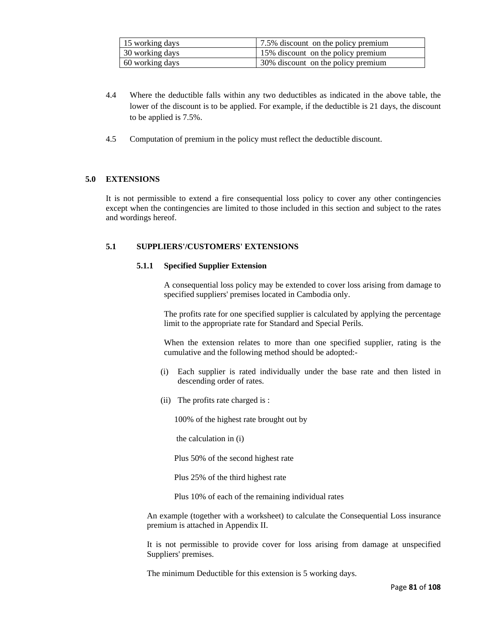| 15 working days | 1.5% discount on the policy premium |
|-----------------|-------------------------------------|
| 30 working days | 15% discount on the policy premium  |
| 60 working days | 30% discount on the policy premium  |

- 4.4 Where the deductible falls within any two deductibles as indicated in the above table, the lower of the discount is to be applied. For example, if the deductible is 21 days, the discount to be applied is 7.5%.
- 4.5 Computation of premium in the policy must reflect the deductible discount.

## **5.0 EXTENSIONS**

It is not permissible to extend a fire consequential loss policy to cover any other contingencies except when the contingencies are limited to those included in this section and subject to the rates and wordings hereof.

# **5.1 SUPPLIERS'/CUSTOMERS' EXTENSIONS**

## **5.1.1 Specified Supplier Extension**

A consequential loss policy may be extended to cover loss arising from damage to specified suppliers' premises located in Cambodia only.

The profits rate for one specified supplier is calculated by applying the percentage limit to the appropriate rate for Standard and Special Perils.

When the extension relates to more than one specified supplier, rating is the cumulative and the following method should be adopted:-

- (i) Each supplier is rated individually under the base rate and then listed in descending order of rates.
- (ii) The profits rate charged is :

100% of the highest rate brought out by

the calculation in (i)

Plus 50% of the second highest rate

Plus 25% of the third highest rate

Plus 10% of each of the remaining individual rates

An example (together with a worksheet) to calculate the Consequential Loss insurance premium is attached in Appendix II.

It is not permissible to provide cover for loss arising from damage at unspecified Suppliers' premises.

The minimum Deductible for this extension is 5 working days.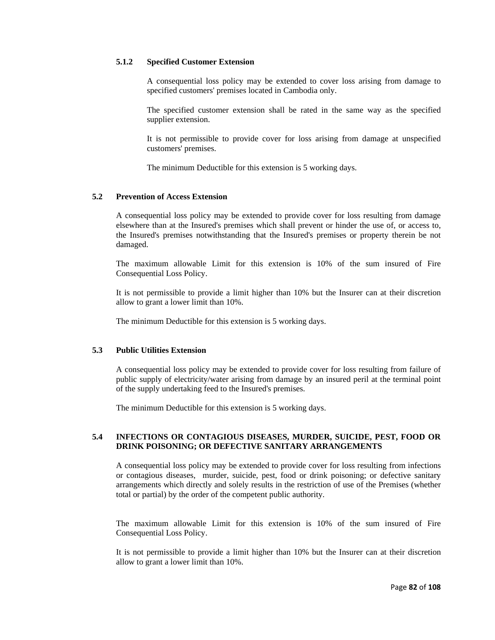### **5.1.2 Specified Customer Extension**

A consequential loss policy may be extended to cover loss arising from damage to specified customers' premises located in Cambodia only.

The specified customer extension shall be rated in the same way as the specified supplier extension.

It is not permissible to provide cover for loss arising from damage at unspecified customers' premises.

The minimum Deductible for this extension is 5 working days.

#### **5.2 Prevention of Access Extension**

A consequential loss policy may be extended to provide cover for loss resulting from damage elsewhere than at the Insured's premises which shall prevent or hinder the use of, or access to, the Insured's premises notwithstanding that the Insured's premises or property therein be not damaged.

The maximum allowable Limit for this extension is 10% of the sum insured of Fire Consequential Loss Policy.

It is not permissible to provide a limit higher than 10% but the Insurer can at their discretion allow to grant a lower limit than 10%.

The minimum Deductible for this extension is 5 working days.

#### **5.3 Public Utilities Extension**

A consequential loss policy may be extended to provide cover for loss resulting from failure of public supply of electricity/water arising from damage by an insured peril at the terminal point of the supply undertaking feed to the Insured's premises.

The minimum Deductible for this extension is 5 working days.

## **5.4 INFECTIONS OR CONTAGIOUS DISEASES, MURDER, SUICIDE, PEST, FOOD OR DRINK POISONING; OR DEFECTIVE SANITARY ARRANGEMENTS**

A consequential loss policy may be extended to provide cover for loss resulting from infections or contagious diseases, murder, suicide, pest, food or drink poisoning; or defective sanitary arrangements which directly and solely results in the restriction of use of the Premises (whether total or partial) by the order of the competent public authority.

The maximum allowable Limit for this extension is 10% of the sum insured of Fire Consequential Loss Policy.

It is not permissible to provide a limit higher than 10% but the Insurer can at their discretion allow to grant a lower limit than 10%.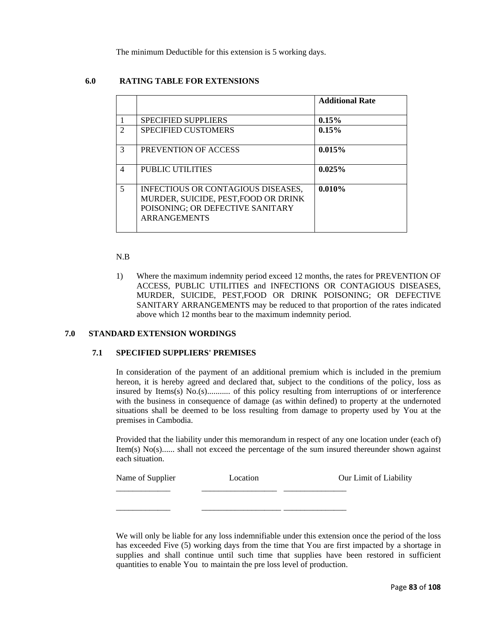The minimum Deductible for this extension is 5 working days.

# **6.0 RATING TABLE FOR EXTENSIONS**

|                |                                                                                                                                       | <b>Additional Rate</b> |
|----------------|---------------------------------------------------------------------------------------------------------------------------------------|------------------------|
| $\overline{1}$ | <b>SPECIFIED SUPPLIERS</b>                                                                                                            | 0.15%                  |
| $\overline{2}$ | <b>SPECIFIED CUSTOMERS</b>                                                                                                            | 0.15%                  |
| 3              | PREVENTION OF ACCESS                                                                                                                  | 0.015%                 |
| $\overline{4}$ | PUBLIC UTILITIES                                                                                                                      | 0.025%                 |
| 5              | INFECTIOUS OR CONTAGIOUS DISEASES,<br>MURDER, SUICIDE, PEST, FOOD OR DRINK<br>POISONING; OR DEFECTIVE SANITARY<br><b>ARRANGEMENTS</b> | 0.010%                 |

#### N.B

1) Where the maximum indemnity period exceed 12 months, the rates for PREVENTION OF ACCESS, PUBLIC UTILITIES and INFECTIONS OR CONTAGIOUS DISEASES, MURDER, SUICIDE, PEST,FOOD OR DRINK POISONING; OR DEFECTIVE SANITARY ARRANGEMENTS may be reduced to that proportion of the rates indicated above which 12 months bear to the maximum indemnity period.

# **7.0 STANDARD EXTENSION WORDINGS**

#### **7.1 SPECIFIED SUPPLIERS' PREMISES**

In consideration of the payment of an additional premium which is included in the premium hereon, it is hereby agreed and declared that, subject to the conditions of the policy, loss as insured by Items(s) No.(s)........... of this policy resulting from interruptions of or interference with the business in consequence of damage (as within defined) to property at the undernoted situations shall be deemed to be loss resulting from damage to property used by You at the premises in Cambodia.

Provided that the liability under this memorandum in respect of any one location under (each of) Item(s) No(s)...... shall not exceed the percentage of the sum insured thereunder shown against each situation.

| Name of Supplier | Location | Our Limit of Liability |
|------------------|----------|------------------------|
|                  |          |                        |
|                  |          |                        |

We will only be liable for any loss indemnifiable under this extension once the period of the loss has exceeded Five (5) working days from the time that You are first impacted by a shortage in supplies and shall continue until such time that supplies have been restored in sufficient quantities to enable You to maintain the pre loss level of production.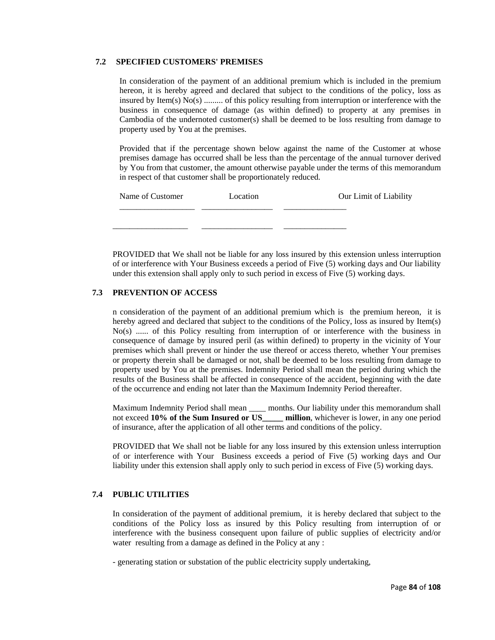## **7.2 SPECIFIED CUSTOMERS' PREMISES**

In consideration of the payment of an additional premium which is included in the premium hereon, it is hereby agreed and declared that subject to the conditions of the policy, loss as insured by Item(s) No(s) ......... of this policy resulting from interruption or interference with the business in consequence of damage (as within defined) to property at any premises in Cambodia of the undernoted customer(s) shall be deemed to be loss resulting from damage to property used by You at the premises.

Provided that if the percentage shown below against the name of the Customer at whose premises damage has occurred shall be less than the percentage of the annual turnover derived by You from that customer, the amount otherwise payable under the terms of this memorandum in respect of that customer shall be proportionately reduced.

| Name of Customer | Location | Our Limit of Liability |
|------------------|----------|------------------------|
|                  |          |                        |
|                  |          |                        |

PROVIDED that We shall not be liable for any loss insured by this extension unless interruption of or interference with Your Business exceeds a period of Five (5) working days and Our liability under this extension shall apply only to such period in excess of Five (5) working days.

## **7.3 PREVENTION OF ACCESS**

n consideration of the payment of an additional premium which is the premium hereon, it is hereby agreed and declared that subject to the conditions of the Policy, loss as insured by Item(s) No(s) ...... of this Policy resulting from interruption of or interference with the business in consequence of damage by insured peril (as within defined) to property in the vicinity of Your premises which shall prevent or hinder the use thereof or access thereto, whether Your premises or property therein shall be damaged or not, shall be deemed to be loss resulting from damage to property used by You at the premises. Indemnity Period shall mean the period during which the results of the Business shall be affected in consequence of the accident, beginning with the date of the occurrence and ending not later than the Maximum Indemnity Period thereafter.

Maximum Indemnity Period shall mean \_\_\_\_ months. Our liability under this memorandum shall not exceed **10% of the Sum Insured or US\_\_\_\_\_ million**, whichever is lower, in any one period of insurance, after the application of all other terms and conditions of the policy.

PROVIDED that We shall not be liable for any loss insured by this extension unless interruption of or interference with Your Business exceeds a period of Five (5) working days and Our liability under this extension shall apply only to such period in excess of Five (5) working days.

## **7.4 PUBLIC UTILITIES**

In consideration of the payment of additional premium, it is hereby declared that subject to the conditions of the Policy loss as insured by this Policy resulting from interruption of or interference with the business consequent upon failure of public supplies of electricity and/or water resulting from a damage as defined in the Policy at any :

- generating station or substation of the public electricity supply undertaking,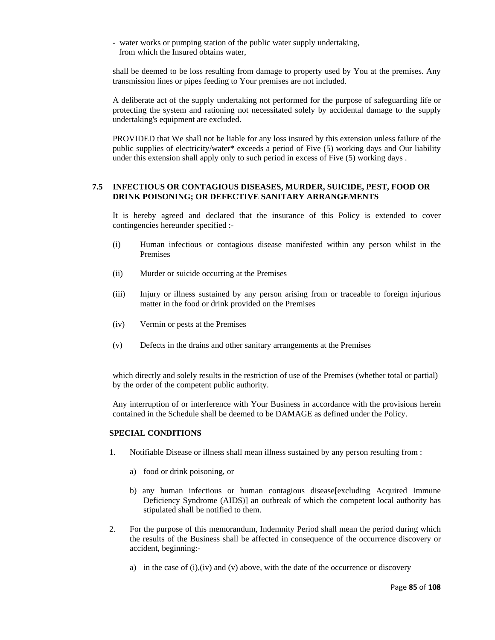- water works or pumping station of the public water supply undertaking, from which the Insured obtains water,

shall be deemed to be loss resulting from damage to property used by You at the premises. Any transmission lines or pipes feeding to Your premises are not included.

A deliberate act of the supply undertaking not performed for the purpose of safeguarding life or protecting the system and rationing not necessitated solely by accidental damage to the supply undertaking's equipment are excluded.

PROVIDED that We shall not be liable for any loss insured by this extension unless failure of the public supplies of electricity/water\* exceeds a period of Five (5) working days and Our liability under this extension shall apply only to such period in excess of Five (5) working days .

## **7.5 INFECTIOUS OR CONTAGIOUS DISEASES, MURDER, SUICIDE, PEST, FOOD OR DRINK POISONING; OR DEFECTIVE SANITARY ARRANGEMENTS**

It is hereby agreed and declared that the insurance of this Policy is extended to cover contingencies hereunder specified :-

- (i) Human infectious or contagious disease manifested within any person whilst in the Premises
- (ii) Murder or suicide occurring at the Premises
- (iii) Injury or illness sustained by any person arising from or traceable to foreign injurious matter in the food or drink provided on the Premises
- (iv) Vermin or pests at the Premises
- (v) Defects in the drains and other sanitary arrangements at the Premises

which directly and solely results in the restriction of use of the Premises (whether total or partial) by the order of the competent public authority.

Any interruption of or interference with Your Business in accordance with the provisions herein contained in the Schedule shall be deemed to be DAMAGE as defined under the Policy.

## **SPECIAL CONDITIONS**

- 1. Notifiable Disease or illness shall mean illness sustained by any person resulting from :
	- a) food or drink poisoning, or
	- b) any human infectious or human contagious disease[excluding Acquired Immune Deficiency Syndrome (AIDS)] an outbreak of which the competent local authority has stipulated shall be notified to them.
- 2. For the purpose of this memorandum, Indemnity Period shall mean the period during which the results of the Business shall be affected in consequence of the occurrence discovery or accident, beginning:
	- a) in the case of  $(i)$ , $(iv)$  and  $(v)$  above, with the date of the occurrence or discovery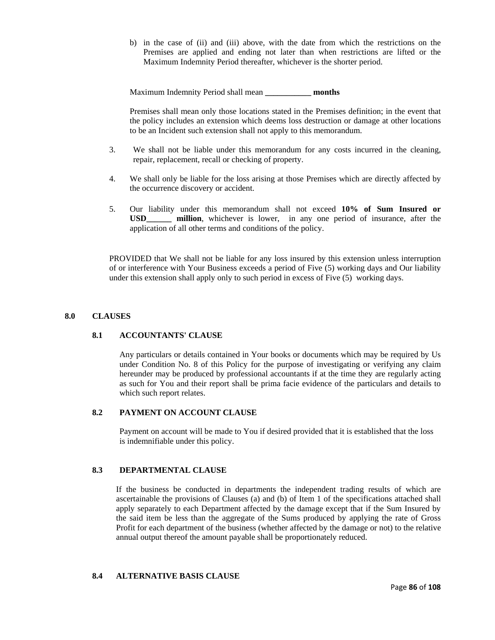b) in the case of (ii) and (iii) above, with the date from which the restrictions on the Premises are applied and ending not later than when restrictions are lifted or the Maximum Indemnity Period thereafter, whichever is the shorter period.

Maximum Indemnity Period shall mean **\_\_\_\_\_\_\_\_\_\_\_ months**

Premises shall mean only those locations stated in the Premises definition; in the event that the policy includes an extension which deems loss destruction or damage at other locations to be an Incident such extension shall not apply to this memorandum.

- 3. We shall not be liable under this memorandum for any costs incurred in the cleaning, repair, replacement, recall or checking of property.
- 4. We shall only be liable for the loss arising at those Premises which are directly affected by the occurrence discovery or accident.
- 5. Our liability under this memorandum shall not exceed **10% of Sum Insured or USD\_\_\_\_\_\_ million**, whichever is lower, in any one period of insurance, after the application of all other terms and conditions of the policy.

PROVIDED that We shall not be liable for any loss insured by this extension unless interruption of or interference with Your Business exceeds a period of Five (5) working days and Our liability under this extension shall apply only to such period in excess of Five (5) working days.

#### **8.0 CLAUSES**

#### **8.1 ACCOUNTANTS' CLAUSE**

Any particulars or details contained in Your books or documents which may be required by Us under Condition No. 8 of this Policy for the purpose of investigating or verifying any claim hereunder may be produced by professional accountants if at the time they are regularly acting as such for You and their report shall be prima facie evidence of the particulars and details to which such report relates.

#### **8.2 PAYMENT ON ACCOUNT CLAUSE**

Payment on account will be made to You if desired provided that it is established that the loss is indemnifiable under this policy.

#### **8.3 DEPARTMENTAL CLAUSE**

If the business be conducted in departments the independent trading results of which are ascertainable the provisions of Clauses (a) and (b) of Item 1 of the specifications attached shall apply separately to each Department affected by the damage except that if the Sum Insured by the said item be less than the aggregate of the Sums produced by applying the rate of Gross Profit for each department of the business (whether affected by the damage or not) to the relative annual output thereof the amount payable shall be proportionately reduced.

#### **8.4 ALTERNATIVE BASIS CLAUSE**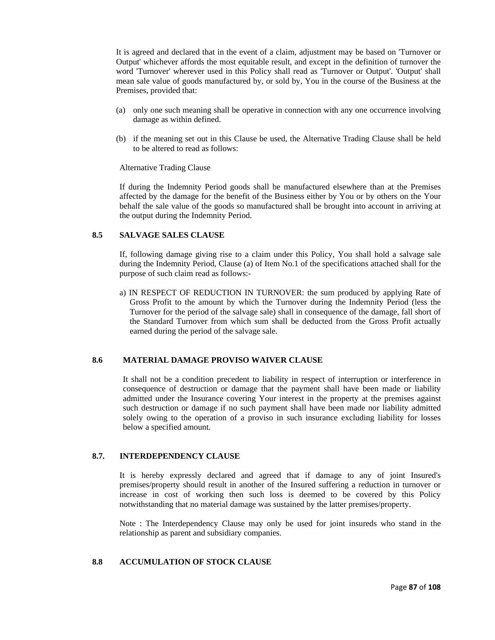It is agreed and declared that in the event of a claim, adjustment may be based on 'Turnover or Output' whichever affords the most equitable result, and except in the definition of turnover the word 'Turnover' wherever used in this Policy shall read as 'Turnover or Output'. 'Output' shall mean sale value of goods manufactured by, or sold by, You in the course of the Business at the Premises, provided that:

- (a) only one such meaning shall be operative in connection with any one occurrence involving damage as within defined.
- (b) if the meaning set out in this Clause be used, the Alternative Trading Clause shall be held to be altered to read as follows:

Alternative Trading Clause

If during the Indemnity Period goods shall be manufactured elsewhere than at the Premises affected by the damage for the benefit of the Business either by You or by others on the Your behalf the sale value of the goods so manufactured shall be brought into account in arriving at the output during the Indemnity Period.

#### **8.5 SALVAGE SALES CLAUSE**

If, following damage giving rise to a claim under this Policy, You shall hold a salvage sale during the Indemnity Period, Clause (a) of Item No.1 of the specifications attached shall for the purpose of such claim read as follows:-

a) IN RESPECT OF REDUCTION IN TURNOVER: the sum produced by applying Rate of Gross Profit to the amount by which the Turnover during the Indemnity Period (less the Turnover for the period of the salvage sale) shall in consequence of the damage, fall short of the Standard Turnover from which sum shall be deducted from the Gross Profit actually earned during the period of the salvage sale.

### **8.6 MATERIAL DAMAGE PROVISO WAIVER CLAUSE**

It shall not be a condition precedent to liability in respect of interruption or interference in consequence of destruction or damage that the payment shall have been made or liability admitted under the Insurance covering Your interest in the property at the premises against such destruction or damage if no such payment shall have been made nor liability admitted solely owing to the operation of a proviso in such insurance excluding liability for losses below a specified amount.

#### **8.7. INTERDEPENDENCY CLAUSE**

It is hereby expressly declared and agreed that if damage to any of joint Insured's premises/property should result in another of the Insured suffering a reduction in turnover or increase in cost of working then such loss is deemed to be covered by this Policy notwithstanding that no material damage was sustained by the latter premises/property.

Note : The Interdependency Clause may only be used for joint insureds who stand in the relationship as parent and subsidiary companies.

## **8.8 ACCUMULATION OF STOCK CLAUSE**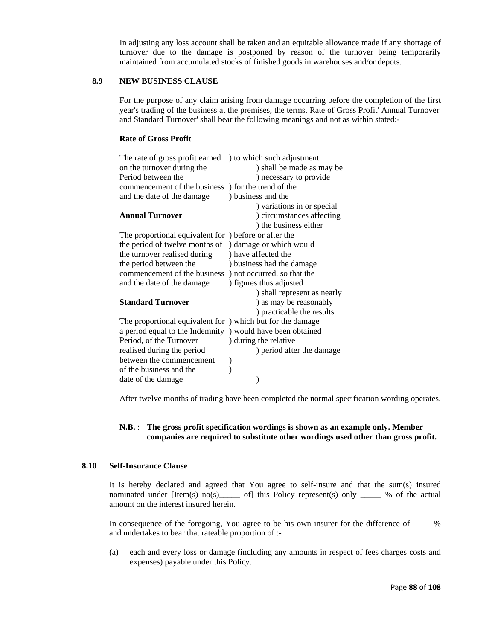In adjusting any loss account shall be taken and an equitable allowance made if any shortage of turnover due to the damage is postponed by reason of the turnover being temporarily maintained from accumulated stocks of finished goods in warehouses and/or depots.

# **8.9 NEW BUSINESS CLAUSE**

For the purpose of any claim arising from damage occurring before the completion of the first year's trading of the business at the premises, the terms, Rate of Gross Profit' Annual Turnover' and Standard Turnover' shall bear the following meanings and not as within stated:-

#### **Rate of Gross Profit**

| ) to which such adjustment                                 |
|------------------------------------------------------------|
| ) shall be made as may be                                  |
| ) necessary to provide                                     |
| commencement of the business ) for the trend of the        |
| ) business and the                                         |
| ) variations in or special                                 |
| ) circumstances affecting                                  |
| ) the business either                                      |
| The proportional equivalent for ) before or after the      |
| ) damage or which would                                    |
| ) have affected the                                        |
| ) business had the damage                                  |
| commencement of the business ) not occurred, so that the   |
| ) figures thus adjusted                                    |
| ) shall represent as nearly                                |
| ) as may be reasonably                                     |
| ) practicable the results                                  |
| The proportional equivalent for ) which but for the damage |
| ) would have been obtained                                 |
| ) during the relative                                      |
| ) period after the damage                                  |
|                                                            |
|                                                            |
|                                                            |
|                                                            |

After twelve months of trading have been completed the normal specification wording operates.

## **N.B.** : **The gross profit specification wordings is shown as an example only. Member companies are required to substitute other wordings used other than gross profit.**

#### **8.10 Self-Insurance Clause**

It is hereby declared and agreed that You agree to self-insure and that the sum(s) insured nominated under [Item(s) no(s) \_\_\_\_ of] this Policy represent(s) only \_\_\_\_ % of the actual amount on the interest insured herein.

In consequence of the foregoing, You agree to be his own insurer for the difference of \_\_\_\_\_% and undertakes to bear that rateable proportion of :-

(a) each and every loss or damage (including any amounts in respect of fees charges costs and expenses) payable under this Policy.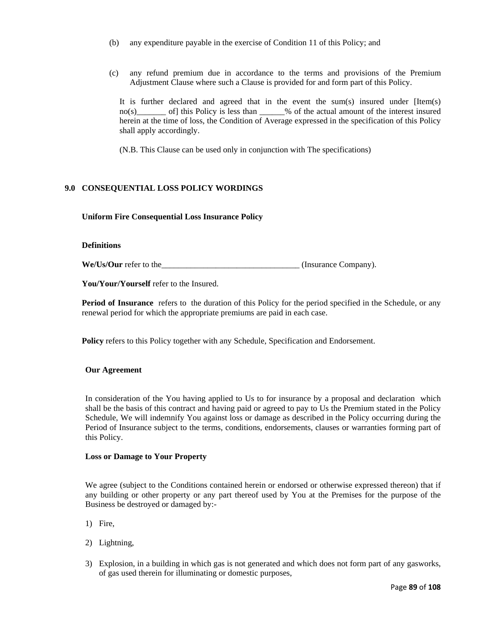- (b) any expenditure payable in the exercise of Condition 11 of this Policy; and
- (c) any refund premium due in accordance to the terms and provisions of the Premium Adjustment Clause where such a Clause is provided for and form part of this Policy.

It is further declared and agreed that in the event the sum(s) insured under [Item(s) no(s)\_\_\_\_\_\_\_ of] this Policy is less than \_\_\_\_\_\_% of the actual amount of the interest insured herein at the time of loss, the Condition of Average expressed in the specification of this Policy shall apply accordingly.

(N.B. This Clause can be used only in conjunction with The specifications)

## **9.0 CONSEQUENTIAL LOSS POLICY WORDINGS**

**Uniform Fire Consequential Loss Insurance Policy** 

#### **Definitions**

**We/Us/Our** refer to the  $\qquad \qquad$  (Insurance Company).

You/Your/Yourself refer to the Insured.

**Period of Insurance** refers to the duration of this Policy for the period specified in the Schedule, or any renewal period for which the appropriate premiums are paid in each case.

**Policy** refers to this Policy together with any Schedule, Specification and Endorsement.

#### **Our Agreement**

In consideration of the You having applied to Us to for insurance by a proposal and declaration which shall be the basis of this contract and having paid or agreed to pay to Us the Premium stated in the Policy Schedule, We will indemnify You against loss or damage as described in the Policy occurring during the Period of Insurance subject to the terms, conditions, endorsements, clauses or warranties forming part of this Policy.

#### **Loss or Damage to Your Property**

We agree (subject to the Conditions contained herein or endorsed or otherwise expressed thereon) that if any building or other property or any part thereof used by You at the Premises for the purpose of the Business be destroyed or damaged by:-

- 1) Fire,
- 2) Lightning,
- 3) Explosion, in a building in which gas is not generated and which does not form part of any gasworks, of gas used therein for illuminating or domestic purposes,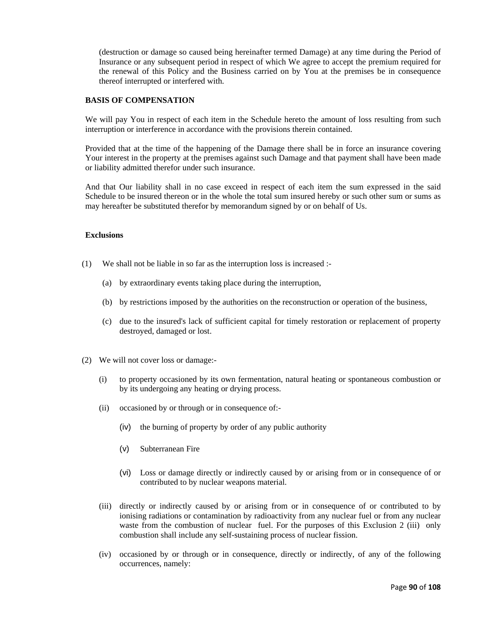(destruction or damage so caused being hereinafter termed Damage) at any time during the Period of Insurance or any subsequent period in respect of which We agree to accept the premium required for the renewal of this Policy and the Business carried on by You at the premises be in consequence thereof interrupted or interfered with.

#### **BASIS OF COMPENSATION**

We will pay You in respect of each item in the Schedule hereto the amount of loss resulting from such interruption or interference in accordance with the provisions therein contained.

Provided that at the time of the happening of the Damage there shall be in force an insurance covering Your interest in the property at the premises against such Damage and that payment shall have been made or liability admitted therefor under such insurance.

And that Our liability shall in no case exceed in respect of each item the sum expressed in the said Schedule to be insured thereon or in the whole the total sum insured hereby or such other sum or sums as may hereafter be substituted therefor by memorandum signed by or on behalf of Us.

#### **Exclusions**

- (1) We shall not be liable in so far as the interruption loss is increased :-
	- (a) by extraordinary events taking place during the interruption,
	- (b) by restrictions imposed by the authorities on the reconstruction or operation of the business,
	- (c) due to the insured's lack of sufficient capital for timely restoration or replacement of property destroyed, damaged or lost.
- (2) We will not cover loss or damage:-
	- (i) to property occasioned by its own fermentation, natural heating or spontaneous combustion or by its undergoing any heating or drying process.
	- (ii) occasioned by or through or in consequence of:-
		- (iv) the burning of property by order of any public authority
		- (v) Subterranean Fire
		- (vi) Loss or damage directly or indirectly caused by or arising from or in consequence of or contributed to by nuclear weapons material.
	- (iii) directly or indirectly caused by or arising from or in consequence of or contributed to by ionising radiations or contamination by radioactivity from any nuclear fuel or from any nuclear waste from the combustion of nuclear fuel. For the purposes of this Exclusion 2 (iii) only combustion shall include any self-sustaining process of nuclear fission.
	- (iv) occasioned by or through or in consequence, directly or indirectly, of any of the following occurrences, namely: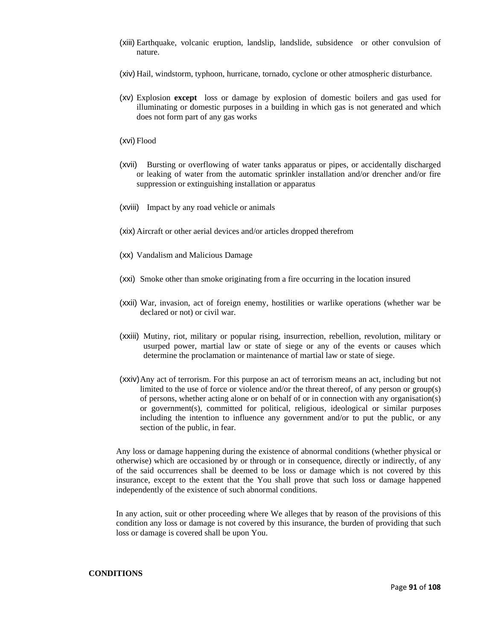- (xiii) Earthquake, volcanic eruption, landslip, landslide, subsidence or other convulsion of nature.
- (xiv) Hail, windstorm, typhoon, hurricane, tornado, cyclone or other atmospheric disturbance.
- (xv) Explosion **except** loss or damage by explosion of domestic boilers and gas used for illuminating or domestic purposes in a building in which gas is not generated and which does not form part of any gas works
- (xvi) Flood
- (xvii) Bursting or overflowing of water tanks apparatus or pipes, or accidentally discharged or leaking of water from the automatic sprinkler installation and/or drencher and/or fire suppression or extinguishing installation or apparatus
- (xviii) Impact by any road vehicle or animals
- (xix) Aircraft or other aerial devices and/or articles dropped therefrom
- (xx) Vandalism and Malicious Damage
- (xxi) Smoke other than smoke originating from a fire occurring in the location insured
- (xxii) War, invasion, act of foreign enemy, hostilities or warlike operations (whether war be declared or not) or civil war.
- (xxiii) Mutiny, riot, military or popular rising, insurrection, rebellion, revolution, military or usurped power, martial law or state of siege or any of the events or causes which determine the proclamation or maintenance of martial law or state of siege.
- (xxiv) Any act of terrorism. For this purpose an act of terrorism means an act, including but not limited to the use of force or violence and/or the threat thereof, of any person or group(s) of persons, whether acting alone or on behalf of or in connection with any organisation(s) or government(s), committed for political, religious, ideological or similar purposes including the intention to influence any government and/or to put the public, or any section of the public, in fear.

Any loss or damage happening during the existence of abnormal conditions (whether physical or otherwise) which are occasioned by or through or in consequence, directly or indirectly, of any of the said occurrences shall be deemed to be loss or damage which is not covered by this insurance, except to the extent that the You shall prove that such loss or damage happened independently of the existence of such abnormal conditions.

In any action, suit or other proceeding where We alleges that by reason of the provisions of this condition any loss or damage is not covered by this insurance, the burden of providing that such loss or damage is covered shall be upon You.

## **CONDITIONS**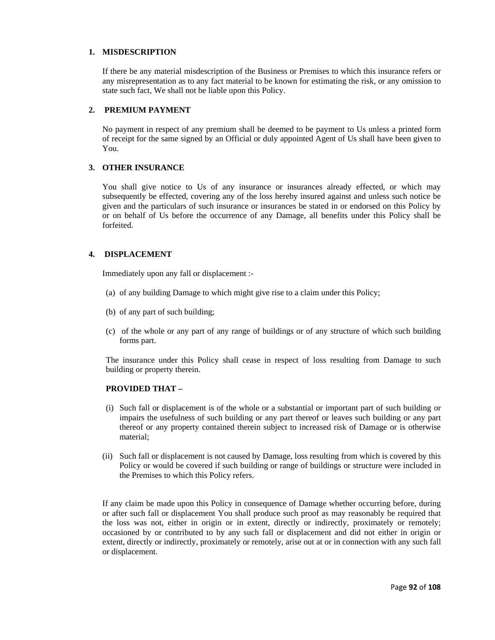### **1. MISDESCRIPTION**

If there be any material misdescription of the Business or Premises to which this insurance refers or any misrepresentation as to any fact material to be known for estimating the risk, or any omission to state such fact, We shall not be liable upon this Policy.

#### **2. PREMIUM PAYMENT**

No payment in respect of any premium shall be deemed to be payment to Us unless a printed form of receipt for the same signed by an Official or duly appointed Agent of Us shall have been given to You.

#### **3. OTHER INSURANCE**

You shall give notice to Us of any insurance or insurances already effected, or which may subsequently be effected, covering any of the loss hereby insured against and unless such notice be given and the particulars of such insurance or insurances be stated in or endorsed on this Policy by or on behalf of Us before the occurrence of any Damage, all benefits under this Policy shall be forfeited.

## **4. DISPLACEMENT**

Immediately upon any fall or displacement :-

- (a) of any building Damage to which might give rise to a claim under this Policy;
- (b) of any part of such building;
- (c) of the whole or any part of any range of buildings or of any structure of which such building forms part.

The insurance under this Policy shall cease in respect of loss resulting from Damage to such building or property therein.

## **PROVIDED THAT –**

- (i) Such fall or displacement is of the whole or a substantial or important part of such building or impairs the usefulness of such building or any part thereof or leaves such building or any part thereof or any property contained therein subject to increased risk of Damage or is otherwise material;
- (ii) Such fall or displacement is not caused by Damage, loss resulting from which is covered by this Policy or would be covered if such building or range of buildings or structure were included in the Premises to which this Policy refers.

If any claim be made upon this Policy in consequence of Damage whether occurring before, during or after such fall or displacement You shall produce such proof as may reasonably be required that the loss was not, either in origin or in extent, directly or indirectly, proximately or remotely; occasioned by or contributed to by any such fall or displacement and did not either in origin or extent, directly or indirectly, proximately or remotely, arise out at or in connection with any such fall or displacement.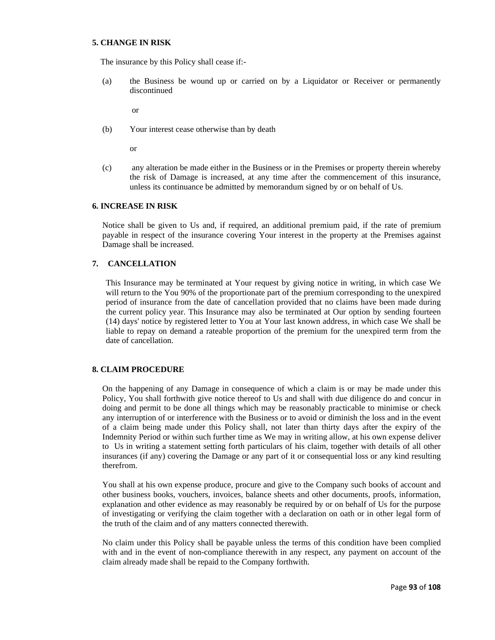### **5. CHANGE IN RISK**

The insurance by this Policy shall cease if:-

(a) the Business be wound up or carried on by a Liquidator or Receiver or permanently discontinued

or

(b) Your interest cease otherwise than by death

or

(c) any alteration be made either in the Business or in the Premises or property therein whereby the risk of Damage is increased, at any time after the commencement of this insurance, unless its continuance be admitted by memorandum signed by or on behalf of Us.

#### **6. INCREASE IN RISK**

Notice shall be given to Us and, if required, an additional premium paid, if the rate of premium payable in respect of the insurance covering Your interest in the property at the Premises against Damage shall be increased.

#### **7. CANCELLATION**

This Insurance may be terminated at Your request by giving notice in writing, in which case We will return to the You 90% of the proportionate part of the premium corresponding to the unexpired period of insurance from the date of cancellation provided that no claims have been made during the current policy year. This Insurance may also be terminated at Our option by sending fourteen (14) days' notice by registered letter to You at Your last known address, in which case We shall be liable to repay on demand a rateable proportion of the premium for the unexpired term from the date of cancellation.

## **8. CLAIM PROCEDURE**

On the happening of any Damage in consequence of which a claim is or may be made under this Policy, You shall forthwith give notice thereof to Us and shall with due diligence do and concur in doing and permit to be done all things which may be reasonably practicable to minimise or check any interruption of or interference with the Business or to avoid or diminish the loss and in the event of a claim being made under this Policy shall, not later than thirty days after the expiry of the Indemnity Period or within such further time as We may in writing allow, at his own expense deliver to Us in writing a statement setting forth particulars of his claim, together with details of all other insurances (if any) covering the Damage or any part of it or consequential loss or any kind resulting therefrom.

You shall at his own expense produce, procure and give to the Company such books of account and other business books, vouchers, invoices, balance sheets and other documents, proofs, information, explanation and other evidence as may reasonably be required by or on behalf of Us for the purpose of investigating or verifying the claim together with a declaration on oath or in other legal form of the truth of the claim and of any matters connected therewith.

No claim under this Policy shall be payable unless the terms of this condition have been complied with and in the event of non-compliance therewith in any respect, any payment on account of the claim already made shall be repaid to the Company forthwith.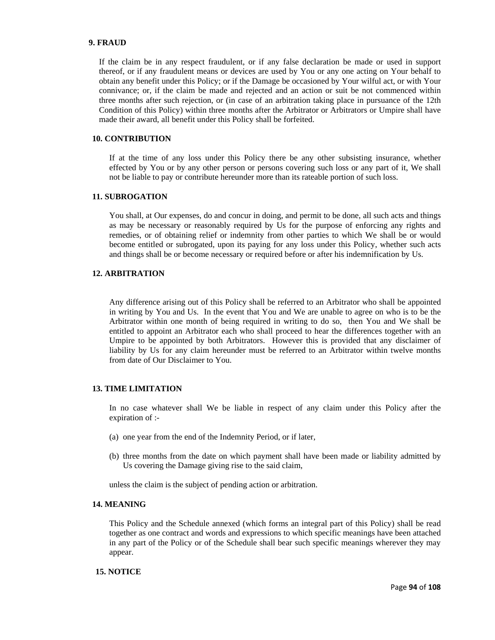#### **9. FRAUD**

If the claim be in any respect fraudulent, or if any false declaration be made or used in support thereof, or if any fraudulent means or devices are used by You or any one acting on Your behalf to obtain any benefit under this Policy; or if the Damage be occasioned by Your wilful act, or with Your connivance; or, if the claim be made and rejected and an action or suit be not commenced within three months after such rejection, or (in case of an arbitration taking place in pursuance of the 12th Condition of this Policy) within three months after the Arbitrator or Arbitrators or Umpire shall have made their award, all benefit under this Policy shall be forfeited.

#### **10. CONTRIBUTION**

If at the time of any loss under this Policy there be any other subsisting insurance, whether effected by You or by any other person or persons covering such loss or any part of it, We shall not be liable to pay or contribute hereunder more than its rateable portion of such loss.

#### **11. SUBROGATION**

You shall, at Our expenses, do and concur in doing, and permit to be done, all such acts and things as may be necessary or reasonably required by Us for the purpose of enforcing any rights and remedies, or of obtaining relief or indemnity from other parties to which We shall be or would become entitled or subrogated, upon its paying for any loss under this Policy, whether such acts and things shall be or become necessary or required before or after his indemnification by Us.

#### **12. ARBITRATION**

Any difference arising out of this Policy shall be referred to an Arbitrator who shall be appointed in writing by You and Us. In the event that You and We are unable to agree on who is to be the Arbitrator within one month of being required in writing to do so, then You and We shall be entitled to appoint an Arbitrator each who shall proceed to hear the differences together with an Umpire to be appointed by both Arbitrators. However this is provided that any disclaimer of liability by Us for any claim hereunder must be referred to an Arbitrator within twelve months from date of Our Disclaimer to You.

#### **13. TIME LIMITATION**

In no case whatever shall We be liable in respect of any claim under this Policy after the expiration of :-

- (a) one year from the end of the Indemnity Period, or if later,
- (b) three months from the date on which payment shall have been made or liability admitted by Us covering the Damage giving rise to the said claim,

unless the claim is the subject of pending action or arbitration.

#### **14. MEANING**

This Policy and the Schedule annexed (which forms an integral part of this Policy) shall be read together as one contract and words and expressions to which specific meanings have been attached in any part of the Policy or of the Schedule shall bear such specific meanings wherever they may appear.

# **15. NOTICE**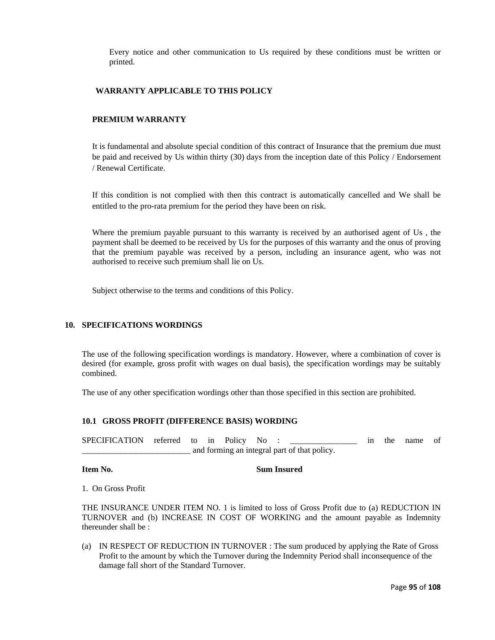Every notice and other communication to Us required by these conditions must be written or printed.

### **WARRANTY APPLICABLE TO THIS POLICY**

## **PREMIUM WARRANTY**

It is fundamental and absolute special condition of this contract of Insurance that the premium due must be paid and received by Us within thirty (30) days from the inception date of this Policy / Endorsement / Renewal Certificate.

If this condition is not complied with then this contract is automatically cancelled and We shall be entitled to the pro-rata premium for the period they have been on risk.

Where the premium payable pursuant to this warranty is received by an authorised agent of Us , the payment shall be deemed to be received by Us for the purposes of this warranty and the onus of proving that the premium payable was received by a person, including an insurance agent, who was not authorised to receive such premium shall lie on Us.

Subject otherwise to the terms and conditions of this Policy.

# **10. SPECIFICATIONS WORDINGS**

The use of the following specification wordings is mandatory. However, where a combination of cover is desired (for example, gross profit with wages on dual basis), the specification wordings may be suitably combined.

The use of any other specification wordings other than those specified in this section are prohibited.

#### **10.1 GROSS PROFIT (DIFFERENCE BASIS) WORDING**

SPECIFICATION referred to in Policy No : \_\_\_\_\_\_\_\_\_\_\_\_\_\_\_\_\_\_\_\_\_ in the name of and forming an integral part of that policy.

#### **Item No.** Sum Insured

1. On Gross Profit

THE INSURANCE UNDER ITEM NO. 1 is limited to loss of Gross Profit due to (a) REDUCTION IN TURNOVER and (b) INCREASE IN COST OF WORKING and the amount payable as Indemnity thereunder shall be :

(a) IN RESPECT OF REDUCTION IN TURNOVER : The sum produced by applying the Rate of Gross Profit to the amount by which the Turnover during the Indemnity Period shall inconsequence of the damage fall short of the Standard Turnover.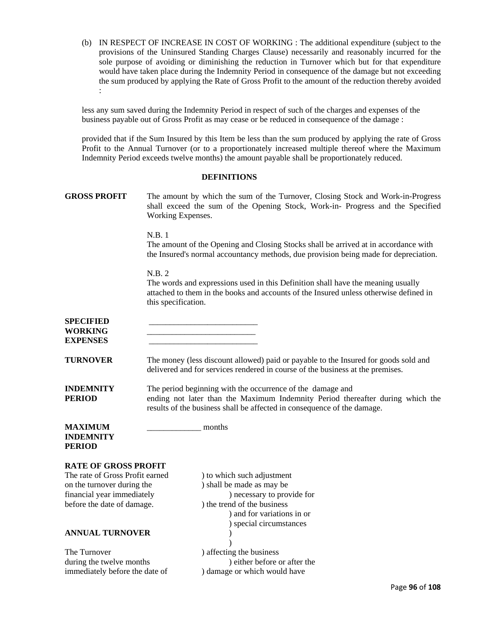(b) IN RESPECT OF INCREASE IN COST OF WORKING : The additional expenditure (subject to the provisions of the Uninsured Standing Charges Clause) necessarily and reasonably incurred for the sole purpose of avoiding or diminishing the reduction in Turnover which but for that expenditure would have taken place during the Indemnity Period in consequence of the damage but not exceeding the sum produced by applying the Rate of Gross Profit to the amount of the reduction thereby avoided :

less any sum saved during the Indemnity Period in respect of such of the charges and expenses of the business payable out of Gross Profit as may cease or be reduced in consequence of the damage :

provided that if the Sum Insured by this Item be less than the sum produced by applying the rate of Gross Profit to the Annual Turnover (or to a proportionately increased multiple thereof where the Maximum Indemnity Period exceeds twelve months) the amount payable shall be proportionately reduced.

#### **DEFINITIONS**

| <b>GROSS PROFIT</b>                                           | Working Expenses.                                                                                                                                                     | The amount by which the sum of the Turnover, Closing Stock and Work-in-Progress<br>shall exceed the sum of the Opening Stock, Work-in- Progress and the Specified                                                       |  |  |  |
|---------------------------------------------------------------|-----------------------------------------------------------------------------------------------------------------------------------------------------------------------|-------------------------------------------------------------------------------------------------------------------------------------------------------------------------------------------------------------------------|--|--|--|
|                                                               | N.B.1                                                                                                                                                                 | The amount of the Opening and Closing Stocks shall be arrived at in accordance with<br>the Insured's normal accountancy methods, due provision being made for depreciation.                                             |  |  |  |
|                                                               | N.B. 2<br>this specification.                                                                                                                                         | The words and expressions used in this Definition shall have the meaning usually<br>attached to them in the books and accounts of the Insured unless otherwise defined in                                               |  |  |  |
| <b>SPECIFIED</b><br><b>WORKING</b><br><b>EXPENSES</b>         |                                                                                                                                                                       |                                                                                                                                                                                                                         |  |  |  |
| <b>TURNOVER</b>                                               | The money (less discount allowed) paid or payable to the Insured for goods sold and<br>delivered and for services rendered in course of the business at the premises. |                                                                                                                                                                                                                         |  |  |  |
| <b>INDEMNITY</b><br><b>PERIOD</b>                             |                                                                                                                                                                       | The period beginning with the occurrence of the damage and<br>ending not later than the Maximum Indemnity Period thereafter during which the<br>results of the business shall be affected in consequence of the damage. |  |  |  |
| <b>MAXIMUM</b><br><b>INDEMNITY</b><br><b>PERIOD</b>           |                                                                                                                                                                       | months                                                                                                                                                                                                                  |  |  |  |
|                                                               |                                                                                                                                                                       |                                                                                                                                                                                                                         |  |  |  |
| <b>RATE OF GROSS PROFIT</b>                                   |                                                                                                                                                                       |                                                                                                                                                                                                                         |  |  |  |
| The rate of Gross Profit earned<br>on the turnover during the |                                                                                                                                                                       | ) to which such adjustment<br>) shall be made as may be                                                                                                                                                                 |  |  |  |
| financial year immediately                                    |                                                                                                                                                                       | ) necessary to provide for                                                                                                                                                                                              |  |  |  |
| before the date of damage.                                    |                                                                                                                                                                       | ) the trend of the business                                                                                                                                                                                             |  |  |  |
|                                                               |                                                                                                                                                                       | ) and for variations in or                                                                                                                                                                                              |  |  |  |
|                                                               |                                                                                                                                                                       | ) special circumstances                                                                                                                                                                                                 |  |  |  |
| <b>ANNUAL TURNOVER</b>                                        |                                                                                                                                                                       |                                                                                                                                                                                                                         |  |  |  |
|                                                               |                                                                                                                                                                       |                                                                                                                                                                                                                         |  |  |  |
| The Turnover                                                  |                                                                                                                                                                       | ) affecting the business                                                                                                                                                                                                |  |  |  |
| during the twelve months                                      |                                                                                                                                                                       | ) either before or after the                                                                                                                                                                                            |  |  |  |
| immediately before the date of                                |                                                                                                                                                                       | ) damage or which would have                                                                                                                                                                                            |  |  |  |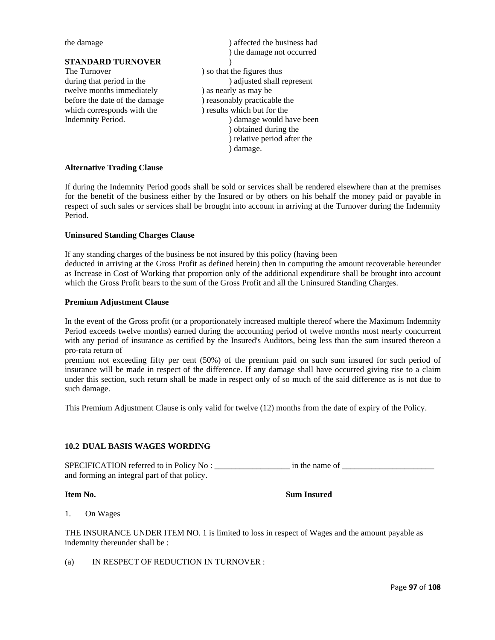## **STANDARD TURNOVER** )

The Turnover ) so that the figures thus twelve months immediately ) as nearly as may be before the date of the damage ) reasonably practicable the which corresponds with the ) results which but for the

the damage  $)$  affected the business had ) the damage not occurred during that period in the ) adjusted shall represent Indemnity Period.  $\Box$  ) damage would have been ) obtained during the ) relative period after the ) damage.

## **Alternative Trading Clause**

If during the Indemnity Period goods shall be sold or services shall be rendered elsewhere than at the premises for the benefit of the business either by the Insured or by others on his behalf the money paid or payable in respect of such sales or services shall be brought into account in arriving at the Turnover during the Indemnity Period.

#### **Uninsured Standing Charges Clause**

If any standing charges of the business be not insured by this policy (having been deducted in arriving at the Gross Profit as defined herein) then in computing the amount recoverable hereunder as Increase in Cost of Working that proportion only of the additional expenditure shall be brought into account which the Gross Profit bears to the sum of the Gross Profit and all the Uninsured Standing Charges.

#### **Premium Adjustment Clause**

In the event of the Gross profit (or a proportionately increased multiple thereof where the Maximum Indemnity Period exceeds twelve months) earned during the accounting period of twelve months most nearly concurrent with any period of insurance as certified by the Insured's Auditors, being less than the sum insured thereon a pro-rata return of

premium not exceeding fifty per cent (50%) of the premium paid on such sum insured for such period of insurance will be made in respect of the difference. If any damage shall have occurred giving rise to a claim under this section, such return shall be made in respect only of so much of the said difference as is not due to such damage.

This Premium Adjustment Clause is only valid for twelve (12) months from the date of expiry of the Policy.

## **10.2 DUAL BASIS WAGES WORDING**

SPECIFICATION referred to in Policy No : \_\_\_\_\_\_\_\_\_\_\_\_\_\_\_\_\_\_ in the name of \_\_\_\_\_\_\_\_\_\_\_\_\_\_\_\_\_\_\_\_\_\_ and forming an integral part of that policy.

#### **Item No.** Sum Insured

1. On Wages

THE INSURANCE UNDER ITEM NO. 1 is limited to loss in respect of Wages and the amount payable as indemnity thereunder shall be :

(a) IN RESPECT OF REDUCTION IN TURNOVER :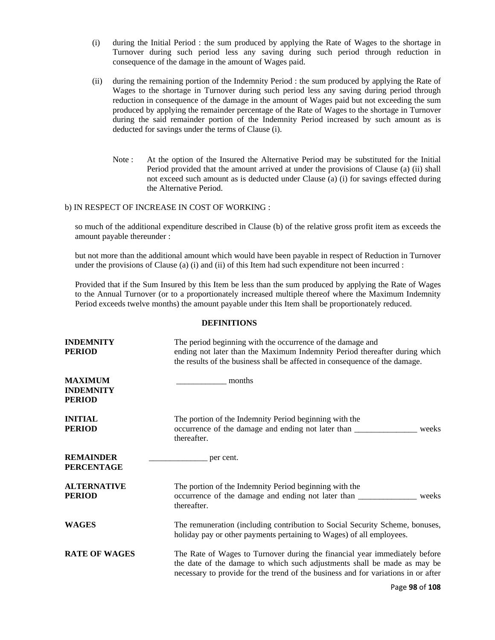- (i) during the Initial Period : the sum produced by applying the Rate of Wages to the shortage in Turnover during such period less any saving during such period through reduction in consequence of the damage in the amount of Wages paid.
- (ii) during the remaining portion of the Indemnity Period : the sum produced by applying the Rate of Wages to the shortage in Turnover during such period less any saving during period through reduction in consequence of the damage in the amount of Wages paid but not exceeding the sum produced by applying the remainder percentage of the Rate of Wages to the shortage in Turnover during the said remainder portion of the Indemnity Period increased by such amount as is deducted for savings under the terms of Clause (i).
	- Note : At the option of the Insured the Alternative Period may be substituted for the Initial Period provided that the amount arrived at under the provisions of Clause (a) (ii) shall not exceed such amount as is deducted under Clause (a) (i) for savings effected during the Alternative Period.

#### b) IN RESPECT OF INCREASE IN COST OF WORKING :

so much of the additional expenditure described in Clause (b) of the relative gross profit item as exceeds the amount payable thereunder :

but not more than the additional amount which would have been payable in respect of Reduction in Turnover under the provisions of Clause (a) (i) and (ii) of this Item had such expenditure not been incurred :

Provided that if the Sum Insured by this Item be less than the sum produced by applying the Rate of Wages to the Annual Turnover (or to a proportionately increased multiple thereof where the Maximum Indemnity Period exceeds twelve months) the amount payable under this Item shall be proportionately reduced.

#### **DEFINITIONS**

| <b>INDEMNITY</b><br><b>PERIOD</b>                   | The period beginning with the occurrence of the damage and<br>ending not later than the Maximum Indemnity Period thereafter during which<br>the results of the business shall be affected in consequence of the damage.                     |  |
|-----------------------------------------------------|---------------------------------------------------------------------------------------------------------------------------------------------------------------------------------------------------------------------------------------------|--|
| <b>MAXIMUM</b><br><b>INDEMNITY</b><br><b>PERIOD</b> | months                                                                                                                                                                                                                                      |  |
| <b>INITIAL</b><br><b>PERIOD</b>                     | The portion of the Indemnity Period beginning with the<br>weeks<br>thereafter.                                                                                                                                                              |  |
| <b>REMAINDER</b><br><b>PERCENTAGE</b>               | per cent.                                                                                                                                                                                                                                   |  |
| <b>ALTERNATIVE</b><br><b>PERIOD</b>                 | The portion of the Indemnity Period beginning with the<br>weeks<br>thereafter.                                                                                                                                                              |  |
| <b>WAGES</b>                                        | The remuneration (including contribution to Social Security Scheme, bonuses,<br>holiday pay or other payments pertaining to Wages) of all employees.                                                                                        |  |
| <b>RATE OF WAGES</b>                                | The Rate of Wages to Turnover during the financial year immediately before<br>the date of the damage to which such adjustments shall be made as may be<br>necessary to provide for the trend of the business and for variations in or after |  |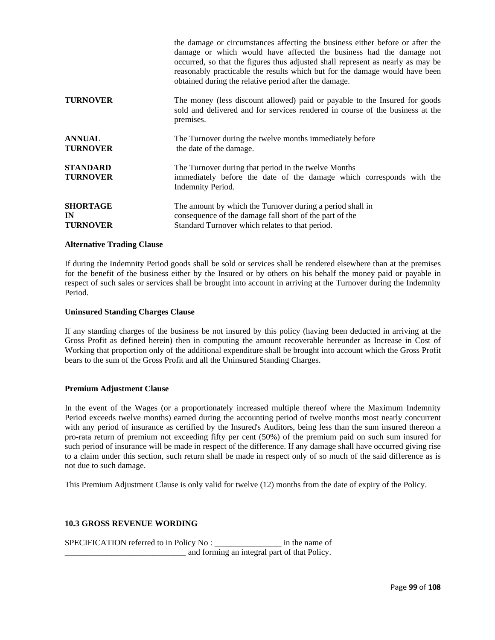|                                          | the damage or circumstances affecting the business either before or after the<br>damage or which would have affected the business had the damage not<br>occurred, so that the figures thus adjusted shall represent as nearly as may be<br>reasonably practicable the results which but for the damage would have been<br>obtained during the relative period after the damage. |
|------------------------------------------|---------------------------------------------------------------------------------------------------------------------------------------------------------------------------------------------------------------------------------------------------------------------------------------------------------------------------------------------------------------------------------|
| <b>TURNOVER</b>                          | The money (less discount allowed) paid or payable to the Insured for goods<br>sold and delivered and for services rendered in course of the business at the<br>premises.                                                                                                                                                                                                        |
| <b>ANNUAL</b><br><b>TURNOVER</b>         | The Turnover during the twelve months immediately before<br>the date of the damage.                                                                                                                                                                                                                                                                                             |
| <b>STANDARD</b><br><b>TURNOVER</b>       | The Turnover during that period in the twelve Months<br>immediately before the date of the damage which corresponds with the<br><b>Indemnity Period.</b>                                                                                                                                                                                                                        |
| <b>SHORTAGE</b><br>IN<br><b>TURNOVER</b> | The amount by which the Turnover during a period shall in<br>consequence of the damage fall short of the part of the<br>Standard Turnover which relates to that period.                                                                                                                                                                                                         |

#### **Alternative Trading Clause**

If during the Indemnity Period goods shall be sold or services shall be rendered elsewhere than at the premises for the benefit of the business either by the Insured or by others on his behalf the money paid or payable in respect of such sales or services shall be brought into account in arriving at the Turnover during the Indemnity Period.

#### **Uninsured Standing Charges Clause**

If any standing charges of the business be not insured by this policy (having been deducted in arriving at the Gross Profit as defined herein) then in computing the amount recoverable hereunder as Increase in Cost of Working that proportion only of the additional expenditure shall be brought into account which the Gross Profit bears to the sum of the Gross Profit and all the Uninsured Standing Charges.

# **Premium Adjustment Clause**

In the event of the Wages (or a proportionately increased multiple thereof where the Maximum Indemnity Period exceeds twelve months) earned during the accounting period of twelve months most nearly concurrent with any period of insurance as certified by the Insured's Auditors, being less than the sum insured thereon a pro-rata return of premium not exceeding fifty per cent (50%) of the premium paid on such sum insured for such period of insurance will be made in respect of the difference. If any damage shall have occurred giving rise to a claim under this section, such return shall be made in respect only of so much of the said difference as is not due to such damage.

This Premium Adjustment Clause is only valid for twelve (12) months from the date of expiry of the Policy.

## **10.3 GROSS REVENUE WORDING**

SPECIFICATION referred to in Policy No : \_\_\_\_\_\_\_\_\_\_\_\_\_\_\_\_ in the name of \_\_\_\_\_\_\_\_\_\_\_\_\_\_\_\_\_\_\_\_\_\_\_\_\_\_\_\_\_ and forming an integral part of that Policy.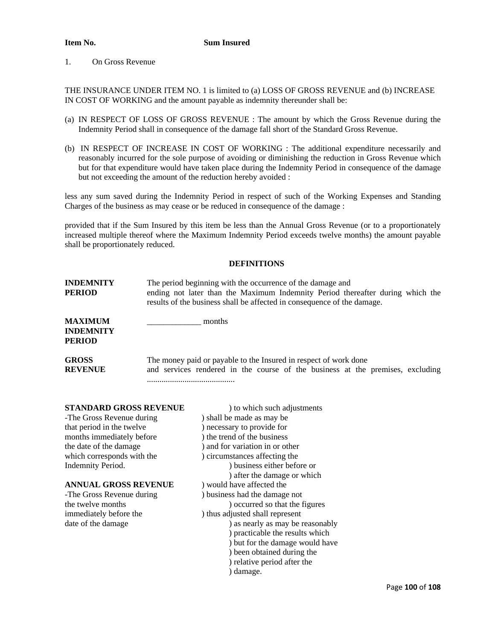### **Item No.** Sum Insured

### 1. On Gross Revenue

THE INSURANCE UNDER ITEM NO. 1 is limited to (a) LOSS OF GROSS REVENUE and (b) INCREASE IN COST OF WORKING and the amount payable as indemnity thereunder shall be:

- (a) IN RESPECT OF LOSS OF GROSS REVENUE : The amount by which the Gross Revenue during the Indemnity Period shall in consequence of the damage fall short of the Standard Gross Revenue.
- (b) IN RESPECT OF INCREASE IN COST OF WORKING : The additional expenditure necessarily and reasonably incurred for the sole purpose of avoiding or diminishing the reduction in Gross Revenue which but for that expenditure would have taken place during the Indemnity Period in consequence of the damage but not exceeding the amount of the reduction hereby avoided :

less any sum saved during the Indemnity Period in respect of such of the Working Expenses and Standing Charges of the business as may cease or be reduced in consequence of the damage :

provided that if the Sum Insured by this item be less than the Annual Gross Revenue (or to a proportionately increased multiple thereof where the Maximum Indemnity Period exceeds twelve months) the amount payable shall be proportionately reduced.

## **DEFINITIONS**

| <b>INDEMNITY</b><br>PERIOD                   | The period beginning with the occurrence of the damage and<br>ending not later than the Maximum Indemnity Period thereafter during which the<br>results of the business shall be affected in consequence of the damage. |
|----------------------------------------------|-------------------------------------------------------------------------------------------------------------------------------------------------------------------------------------------------------------------------|
| <b>MAXIMUM</b><br><b>INDEMNITY</b><br>PERIOD | months                                                                                                                                                                                                                  |
| <b>GROSS</b><br><b>REVENUE</b>               | The money paid or payable to the Insured in respect of work done<br>and services rendered in the course of the business at the premises, excluding                                                                      |

| <b>STANDARD GROSS REVENUE</b> | ) to which such adjustments      |
|-------------------------------|----------------------------------|
| -The Gross Revenue during     | ) shall be made as may be        |
| that period in the twelve     | ) necessary to provide for       |
| months immediately before     | ) the trend of the business      |
| the date of the damage        | ) and for variation in or other  |
| which corresponds with the    | ) circumstances affecting the    |
| Indemnity Period.             | ) business either before or      |
|                               | ) after the damage or which      |
| <b>ANNUAL GROSS REVENUE</b>   | ) would have affected the        |
| -The Gross Revenue during     | ) business had the damage not    |
| the twelve months             | ) occurred so that the figures   |
| immediately before the        | ) thus adjusted shall represent  |
| date of the damage            | ) as nearly as may be reasonably |
|                               | ) practicable the results which  |
|                               | ) but for the damage would have  |
|                               | ) been obtained during the       |
|                               | ) relative period after the      |
|                               | ) damage.                        |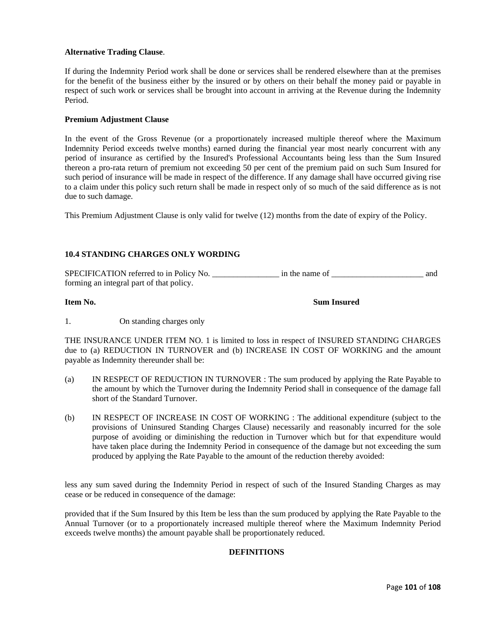## **Alternative Trading Clause**.

If during the Indemnity Period work shall be done or services shall be rendered elsewhere than at the premises for the benefit of the business either by the insured or by others on their behalf the money paid or payable in respect of such work or services shall be brought into account in arriving at the Revenue during the Indemnity Period.

### **Premium Adjustment Clause**

In the event of the Gross Revenue (or a proportionately increased multiple thereof where the Maximum Indemnity Period exceeds twelve months) earned during the financial year most nearly concurrent with any period of insurance as certified by the Insured's Professional Accountants being less than the Sum Insured thereon a pro-rata return of premium not exceeding 50 per cent of the premium paid on such Sum Insured for such period of insurance will be made in respect of the difference. If any damage shall have occurred giving rise to a claim under this policy such return shall be made in respect only of so much of the said difference as is not due to such damage.

This Premium Adjustment Clause is only valid for twelve (12) months from the date of expiry of the Policy.

## **10.4 STANDING CHARGES ONLY WORDING**

SPECIFICATION referred to in Policy No. \_\_\_\_\_\_\_\_\_\_\_\_\_\_\_\_\_\_\_\_\_\_ in the name of \_\_\_\_\_\_\_\_\_\_\_\_\_\_\_\_\_\_\_\_\_\_\_\_\_\_\_\_\_\_\_\_ and forming an integral part of that policy.

**Item No. Sum Insured** 

1. On standing charges only

THE INSURANCE UNDER ITEM NO. 1 is limited to loss in respect of INSURED STANDING CHARGES due to (a) REDUCTION IN TURNOVER and (b) INCREASE IN COST OF WORKING and the amount payable as Indemnity thereunder shall be:

- (a) IN RESPECT OF REDUCTION IN TURNOVER : The sum produced by applying the Rate Payable to the amount by which the Turnover during the Indemnity Period shall in consequence of the damage fall short of the Standard Turnover.
- (b) IN RESPECT OF INCREASE IN COST OF WORKING : The additional expenditure (subject to the provisions of Uninsured Standing Charges Clause) necessarily and reasonably incurred for the sole purpose of avoiding or diminishing the reduction in Turnover which but for that expenditure would have taken place during the Indemnity Period in consequence of the damage but not exceeding the sum produced by applying the Rate Payable to the amount of the reduction thereby avoided:

less any sum saved during the Indemnity Period in respect of such of the Insured Standing Charges as may cease or be reduced in consequence of the damage:

provided that if the Sum Insured by this Item be less than the sum produced by applying the Rate Payable to the Annual Turnover (or to a proportionately increased multiple thereof where the Maximum Indemnity Period exceeds twelve months) the amount payable shall be proportionately reduced.

## **DEFINITIONS**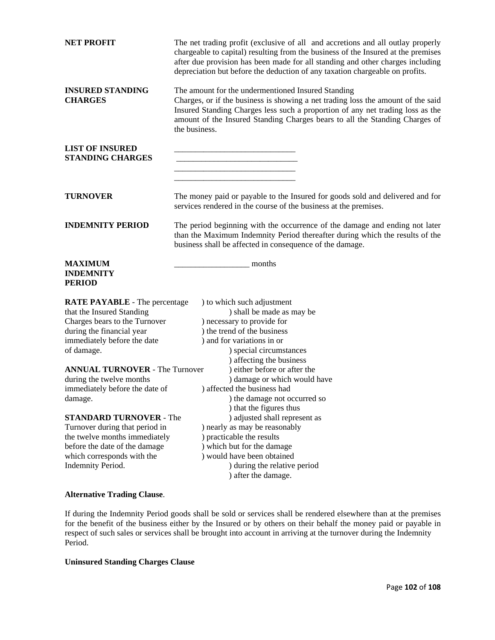| <b>NET PROFIT</b>                                                                                                                                                                            | The net trading profit (exclusive of all and accretions and all outlay properly<br>chargeable to capital) resulting from the business of the Insured at the premises<br>after due provision has been made for all standing and other charges including<br>depreciation but before the deduction of any taxation chargeable on profits. |  |  |
|----------------------------------------------------------------------------------------------------------------------------------------------------------------------------------------------|----------------------------------------------------------------------------------------------------------------------------------------------------------------------------------------------------------------------------------------------------------------------------------------------------------------------------------------|--|--|
| <b>INSURED STANDING</b><br><b>CHARGES</b>                                                                                                                                                    | The amount for the undermentioned Insured Standing<br>Charges, or if the business is showing a net trading loss the amount of the said<br>Insured Standing Charges less such a proportion of any net trading loss as the<br>amount of the Insured Standing Charges bears to all the Standing Charges of<br>the business.               |  |  |
| <b>LIST OF INSURED</b><br><b>STANDING CHARGES</b>                                                                                                                                            |                                                                                                                                                                                                                                                                                                                                        |  |  |
| <b>TURNOVER</b>                                                                                                                                                                              | The money paid or payable to the Insured for goods sold and delivered and for<br>services rendered in the course of the business at the premises.                                                                                                                                                                                      |  |  |
| <b>INDEMNITY PERIOD</b>                                                                                                                                                                      | The period beginning with the occurrence of the damage and ending not later<br>than the Maximum Indemnity Period thereafter during which the results of the<br>business shall be affected in consequence of the damage.                                                                                                                |  |  |
| <b>MAXIMUM</b><br><b>INDEMNITY</b><br><b>PERIOD</b>                                                                                                                                          | months                                                                                                                                                                                                                                                                                                                                 |  |  |
| <b>RATE PAYABLE</b> - The percentage<br>that the Insured Standing<br>Charges bears to the Turnover<br>during the financial year<br>immediately before the date<br>of damage.                 | ) to which such adjustment<br>) shall be made as may be<br>) necessary to provide for<br>) the trend of the business<br>) and for variations in or<br>) special circumstances                                                                                                                                                          |  |  |
| <b>ANNUAL TURNOVER - The Turnover</b><br>during the twelve months<br>immediately before the date of<br>damage.                                                                               | ) affecting the business<br>) either before or after the<br>) damage or which would have<br>) affected the business had<br>) the damage not occurred so<br>) that the figures thus                                                                                                                                                     |  |  |
| <b>STANDARD TURNOVER - The</b><br>Turnover during that period in<br>the twelve months immediately<br>before the date of the damage<br>which corresponds with the<br><b>Indemnity Period.</b> | ) adjusted shall represent as<br>) nearly as may be reasonably<br>) practicable the results<br>) which but for the damage<br>) would have been obtained<br>) during the relative period<br>) after the damage.                                                                                                                         |  |  |
| <b>Alternative Trading Clause.</b>                                                                                                                                                           |                                                                                                                                                                                                                                                                                                                                        |  |  |

If during the Indemnity Period goods shall be sold or services shall be rendered elsewhere than at the premises for the benefit of the business either by the Insured or by others on their behalf the money paid or payable in respect of such sales or services shall be brought into account in arriving at the turnover during the Indemnity Period.

# **Uninsured Standing Charges Clause**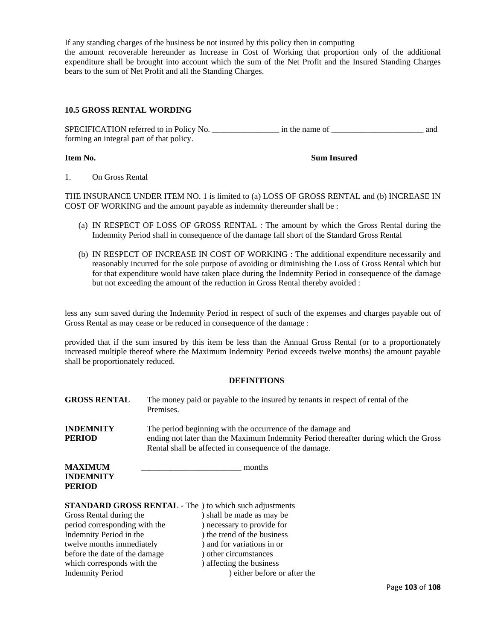If any standing charges of the business be not insured by this policy then in computing the amount recoverable hereunder as Increase in Cost of Working that proportion only of the additional expenditure shall be brought into account which the sum of the Net Profit and the Insured Standing Charges bears to the sum of Net Profit and all the Standing Charges.

#### **10.5 GROSS RENTAL WORDING**

SPECIFICATION referred to in Policy No. \_\_\_\_\_\_\_\_\_\_\_\_\_\_\_\_\_\_\_\_\_\_ in the name of \_\_\_\_\_\_\_\_\_\_\_\_\_\_\_\_\_\_\_\_\_\_\_\_\_\_\_\_\_\_\_\_ and forming an integral part of that policy.

**Item No. Sum Insured** 

1. On Gross Rental

THE INSURANCE UNDER ITEM NO. 1 is limited to (a) LOSS OF GROSS RENTAL and (b) INCREASE IN COST OF WORKING and the amount payable as indemnity thereunder shall be :

- (a) IN RESPECT OF LOSS OF GROSS RENTAL : The amount by which the Gross Rental during the Indemnity Period shall in consequence of the damage fall short of the Standard Gross Rental
- (b) IN RESPECT OF INCREASE IN COST OF WORKING : The additional expenditure necessarily and reasonably incurred for the sole purpose of avoiding or diminishing the Loss of Gross Rental which but for that expenditure would have taken place during the Indemnity Period in consequence of the damage but not exceeding the amount of the reduction in Gross Rental thereby avoided :

less any sum saved during the Indemnity Period in respect of such of the expenses and charges payable out of Gross Rental as may cease or be reduced in consequence of the damage :

provided that if the sum insured by this item be less than the Annual Gross Rental (or to a proportionately increased multiple thereof where the Maximum Indemnity Period exceeds twelve months) the amount payable shall be proportionately reduced.

#### **DEFINITIONS**

| <b>GROSS RENTAL</b>                                           | The money paid or payable to the insured by tenants in respect of rental of the<br>Premises.                                                                                                                 |
|---------------------------------------------------------------|--------------------------------------------------------------------------------------------------------------------------------------------------------------------------------------------------------------|
| <b>INDEMNITY</b><br><b>PERIOD</b>                             | The period beginning with the occurrence of the damage and<br>ending not later than the Maximum Indemnity Period thereafter during which the Gross<br>Rental shall be affected in consequence of the damage. |
| <b>MAXIMUM</b><br>months<br><b>INDEMNITY</b><br><b>PERIOD</b> |                                                                                                                                                                                                              |
|                                                               | <b>STANDARD GROSS RENTAL</b> - The ) to which such adjustments                                                                                                                                               |
| Gross Rental during the                                       | ) shall be made as may be                                                                                                                                                                                    |
| period corresponding with the                                 | ) necessary to provide for                                                                                                                                                                                   |
| Indemnity Period in the                                       | ) the trend of the business                                                                                                                                                                                  |
| twelve months immediately                                     | ) and for variations in or                                                                                                                                                                                   |
| before the date of the damage                                 | other circumstances                                                                                                                                                                                          |

which corresponds with the ) affecting the business

Indemnity Period ) either before or after the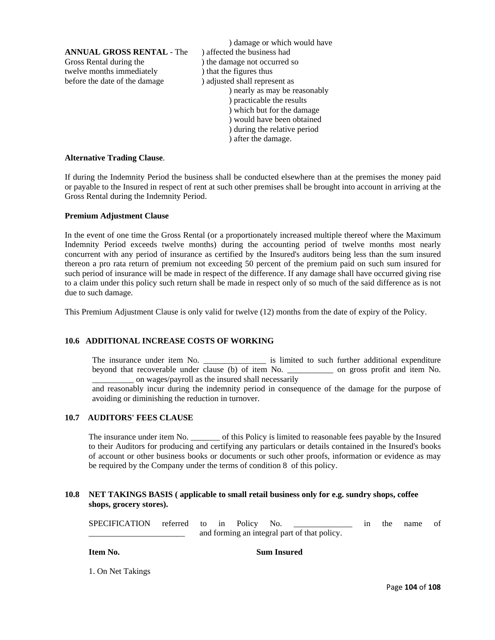**ANNUAL GROSS RENTAL - The ) affected the business had** Gross Rental during the  $\qquad$  ) the damage not occurred so twelve months immediately ) that the figures thus before the date of the damage ) adjusted shall represent as

) damage or which would have ) nearly as may be reasonably ) practicable the results ) which but for the damage ) would have been obtained ) during the relative period ) after the damage.

#### **Alternative Trading Clause**.

If during the Indemnity Period the business shall be conducted elsewhere than at the premises the money paid or payable to the Insured in respect of rent at such other premises shall be brought into account in arriving at the Gross Rental during the Indemnity Period.

#### **Premium Adjustment Clause**

In the event of one time the Gross Rental (or a proportionately increased multiple thereof where the Maximum Indemnity Period exceeds twelve months) during the accounting period of twelve months most nearly concurrent with any period of insurance as certified by the Insured's auditors being less than the sum insured thereon a pro rata return of premium not exceeding 50 percent of the premium paid on such sum insured for such period of insurance will be made in respect of the difference. If any damage shall have occurred giving rise to a claim under this policy such return shall be made in respect only of so much of the said difference as is not due to such damage.

This Premium Adjustment Clause is only valid for twelve (12) months from the date of expiry of the Policy.

## **10.6 ADDITIONAL INCREASE COSTS OF WORKING**

The insurance under item No. \_\_\_\_\_\_\_\_\_\_\_\_\_\_\_ is limited to such further additional expenditure beyond that recoverable under clause (b) of item No. \_\_\_\_\_\_\_\_\_\_\_ on gross profit and item No. on wages/payroll as the insured shall necessarily

and reasonably incur during the indemnity period in consequence of the damage for the purpose of avoiding or diminishing the reduction in turnover.

# **10.7 AUDITORS' FEES CLAUSE**

The insurance under item No.  $\qquad \qquad$  of this Policy is limited to reasonable fees payable by the Insured to their Auditors for producing and certifying any particulars or details contained in the Insured's books of account or other business books or documents or such other proofs, information or evidence as may be required by the Company under the terms of condition 8 of this policy.

#### **10.8 NET TAKINGS BASIS ( applicable to small retail business only for e.g. sundry shops, coffee shops, grocery stores).**

SPECIFICATION referred to in Policy No. \_\_\_\_\_\_\_\_\_\_\_\_\_ in the name of and forming an integral part of that policy.

**Item No.** Sum Insured

1. On Net Takings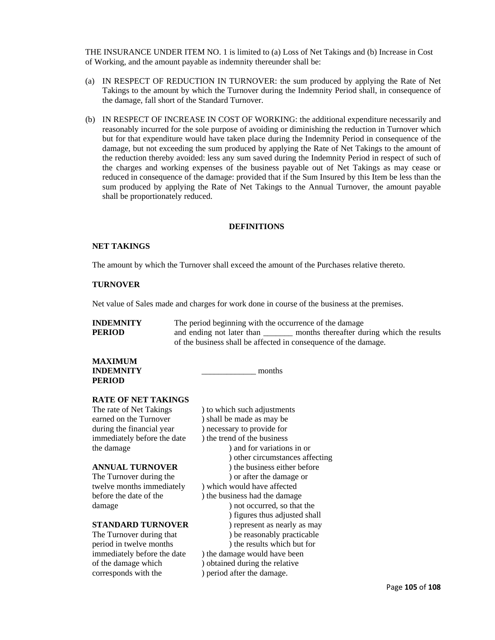THE INSURANCE UNDER ITEM NO. 1 is limited to (a) Loss of Net Takings and (b) Increase in Cost of Working, and the amount payable as indemnity thereunder shall be:

- (a) IN RESPECT OF REDUCTION IN TURNOVER: the sum produced by applying the Rate of Net Takings to the amount by which the Turnover during the Indemnity Period shall, in consequence of the damage, fall short of the Standard Turnover.
- (b) IN RESPECT OF INCREASE IN COST OF WORKING: the additional expenditure necessarily and reasonably incurred for the sole purpose of avoiding or diminishing the reduction in Turnover which but for that expenditure would have taken place during the Indemnity Period in consequence of the damage, but not exceeding the sum produced by applying the Rate of Net Takings to the amount of the reduction thereby avoided: less any sum saved during the Indemnity Period in respect of such of the charges and working expenses of the business payable out of Net Takings as may cease or reduced in consequence of the damage: provided that if the Sum Insured by this Item be less than the sum produced by applying the Rate of Net Takings to the Annual Turnover, the amount payable shall be proportionately reduced.

#### **DEFINITIONS**

#### **NET TAKINGS**

The amount by which the Turnover shall exceed the amount of the Purchases relative thereto.

# **TURNOVER**

Net value of Sales made and charges for work done in course of the business at the premises.

| <b>INDEMNITY</b> | The period beginning with the occurrence of the damage          |                                            |  |
|------------------|-----------------------------------------------------------------|--------------------------------------------|--|
| <b>PERIOD</b>    | and ending not later than                                       | months thereafter during which the results |  |
|                  | of the business shall be affected in consequence of the damage. |                                            |  |
|                  |                                                                 |                                            |  |

#### **MAXIMUM INDEMNITY** months **PERIOD**

#### **RATE OF NET TAKINGS**

The rate of Net Takings ) to which such adjustments earned on the Turnover ) shall be made as may be during the financial year (a) necessary to provide for immediately before the date ) the trend of the business

corresponds with the ) period after the damage.

the damage ) and for variations in or ) other circumstances affecting **ANNUAL TURNOVER** ) the business either before The Turnover during the ) or after the damage or twelve months immediately ) which would have affected before the date of the ) the business had the damage damage ) not occurred, so that the ) figures thus adjusted shall **STANDARD TURNOVER** ) represent as nearly as may The Turnover during that  $)$  be reasonably practicable period in twelve months ) the results which but for immediately before the date ) the damage would have been of the damage which ) obtained during the relative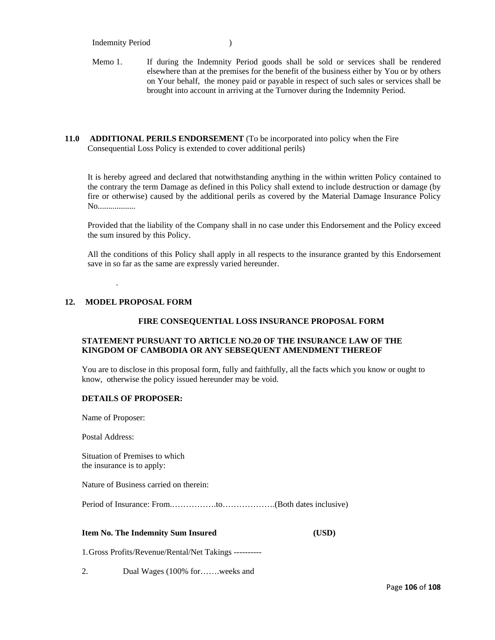#### Indemnity Period )

Memo 1. If during the Indemnity Period goods shall be sold or services shall be rendered elsewhere than at the premises for the benefit of the business either by You or by others on Your behalf, the money paid or payable in respect of such sales or services shall be brought into account in arriving at the Turnover during the Indemnity Period.

#### **11.0 ADDITIONAL PERILS ENDORSEMENT** (To be incorporated into policy when the Fire Consequential Loss Policy is extended to cover additional perils)

It is hereby agreed and declared that notwithstanding anything in the within written Policy contained to the contrary the term Damage as defined in this Policy shall extend to include destruction or damage (by fire or otherwise) caused by the additional perils as covered by the Material Damage Insurance Policy No..................

Provided that the liability of the Company shall in no case under this Endorsement and the Policy exceed the sum insured by this Policy.

All the conditions of this Policy shall apply in all respects to the insurance granted by this Endorsement save in so far as the same are expressly varied hereunder.

# **12. MODEL PROPOSAL FORM**

.

#### **FIRE CONSEQUENTIAL LOSS INSURANCE PROPOSAL FORM**

## **STATEMENT PURSUANT TO ARTICLE NO.20 OF THE INSURANCE LAW OF THE KINGDOM OF CAMBODIA OR ANY SEBSEQUENT AMENDMENT THEREOF**

You are to disclose in this proposal form, fully and faithfully, all the facts which you know or ought to know, otherwise the policy issued hereunder may be void.

#### **DETAILS OF PROPOSER:**

Name of Proposer:

Postal Address:

Situation of Premises to which the insurance is to apply:

Nature of Business carried on therein:

Period of Insurance: From.…………….to……………….(Both dates inclusive)

#### **Item No. The Indemnity Sum Insured (USD)**

1.Gross Profits/Revenue/Rental/Net Takings ----------

2. Dual Wages (100% for…….weeks and